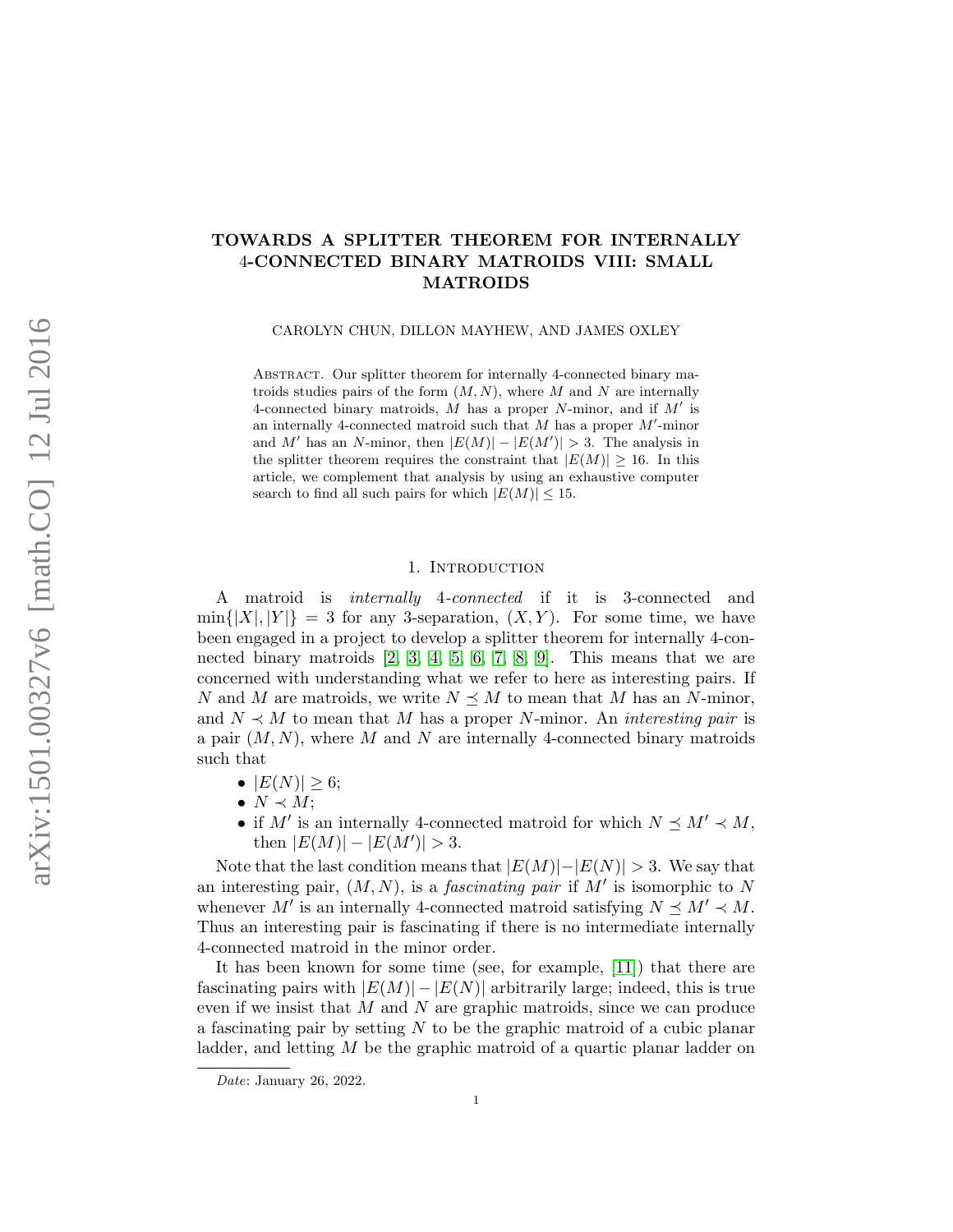## TOWARDS A SPLITTER THEOREM FOR INTERNALLY 4-CONNECTED BINARY MATROIDS VIII: SMALL MATROIDS

CAROLYN CHUN, DILLON MAYHEW, AND JAMES OXLEY

ABSTRACT. Our splitter theorem for internally 4-connected binary matroids studies pairs of the form  $(M, N)$ , where M and N are internally 4-connected binary matroids,  $M$  has a proper  $N$ -minor, and if  $M'$  is an internally 4-connected matroid such that  $M$  has a proper  $M'$ -minor and M' has an N-minor, then  $|E(M)| - |E(M')| > 3$ . The analysis in the splitter theorem requires the constraint that  $|E(M)| \geq 16$ . In this article, we complement that analysis by using an exhaustive computer search to find all such pairs for which  $|E(M)| \leq 15$ .

#### 1. INTRODUCTION

<span id="page-0-0"></span>A matroid is internally 4-connected if it is 3-connected and  $\min\{|X|, |Y|\} = 3$  for any 3-separation,  $(X, Y)$ . For some time, we have been engaged in a project to develop a splitter theorem for internally 4-connected binary matroids [\[2,](#page-34-0) [3,](#page-34-1) [4,](#page-34-2) [5,](#page-34-3) [6,](#page-34-4) [7,](#page-34-5) [8,](#page-34-6) [9\]](#page-34-7). This means that we are concerned with understanding what we refer to here as interesting pairs. If N and M are matroids, we write  $N \preceq M$  to mean that M has an N-minor, and  $N \prec M$  to mean that M has a proper N-minor. An *interesting pair* is a pair  $(M, N)$ , where M and N are internally 4-connected binary matroids such that

- $|E(N)| \ge 6;$
- $\bullet N \prec M;$
- if M' is an internally 4-connected matroid for which  $N \preceq M' \prec M$ , then  $|E(M)| - |E(M')| > 3$ .

Note that the last condition means that  $|E(M)|-|E(N)| > 3$ . We say that an interesting pair,  $(M, N)$ , is a *fascinating pair* if M' is isomorphic to N whenever M' is an internally 4-connected matroid satisfying  $N \preceq M' \prec M$ . Thus an interesting pair is fascinating if there is no intermediate internally 4-connected matroid in the minor order.

It has been known for some time (see, for example, [\[11\]](#page-34-8)) that there are fascinating pairs with  $|E(M)| - |E(N)|$  arbitrarily large; indeed, this is true even if we insist that M and N are graphic matroids, since we can produce a fascinating pair by setting  $N$  to be the graphic matroid of a cubic planar ladder, and letting M be the graphic matroid of a quartic planar ladder on

Date: January 26, 2022.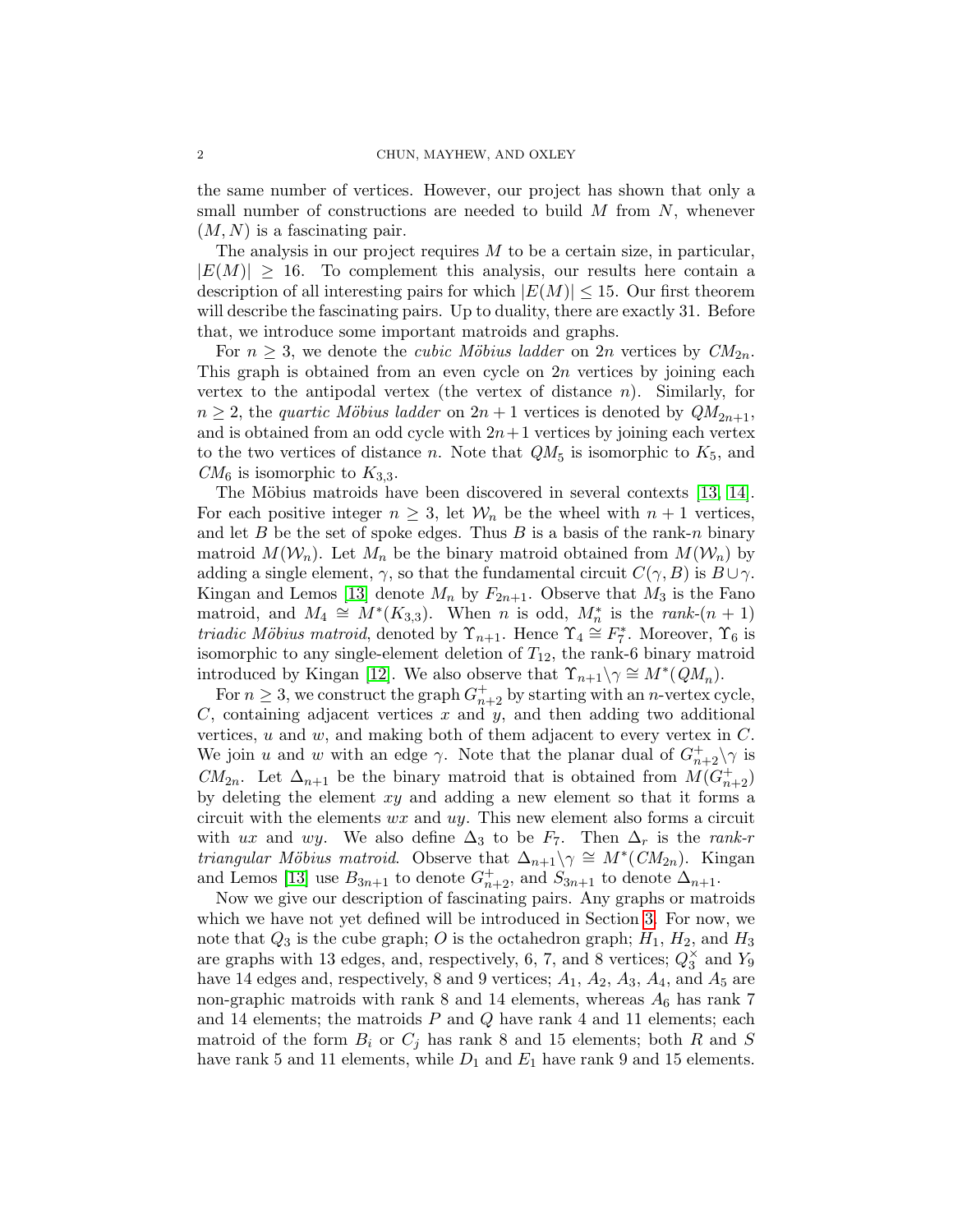the same number of vertices. However, our project has shown that only a small number of constructions are needed to build  $M$  from  $N$ , whenever  $(M, N)$  is a fascinating pair.

The analysis in our project requires  $M$  to be a certain size, in particular,  $|E(M)| \geq 16$ . To complement this analysis, our results here contain a description of all interesting pairs for which  $|E(M)| \leq 15$ . Our first theorem will describe the fascinating pairs. Up to duality, there are exactly 31. Before that, we introduce some important matroids and graphs.

For  $n > 3$ , we denote the *cubic Möbius ladder* on  $2n$  vertices by  $CM_{2n}$ . This graph is obtained from an even cycle on  $2n$  vertices by joining each vertex to the antipodal vertex (the vertex of distance  $n$ ). Similarly, for  $n \geq 2$ , the *quartic Möbius ladder* on  $2n + 1$  vertices is denoted by  $QM_{2n+1}$ , and is obtained from an odd cycle with  $2n+1$  vertices by joining each vertex to the two vertices of distance *n*. Note that  $QM_5$  is isomorphic to  $K_5$ , and  $CM_6$  is isomorphic to  $K_{3,3}$ .

The Möbius matroids have been discovered in several contexts [\[13,](#page-34-9) [14\]](#page-34-10). For each positive integer  $n \geq 3$ , let  $\mathcal{W}_n$  be the wheel with  $n+1$  vertices, and let B be the set of spoke edges. Thus B is a basis of the rank-n binary matroid  $M(\mathcal{W}_n)$ . Let  $M_n$  be the binary matroid obtained from  $M(\mathcal{W}_n)$  by adding a single element,  $\gamma$ , so that the fundamental circuit  $C(\gamma, B)$  is  $B\cup \gamma$ . Kingan and Lemos [\[13\]](#page-34-9) denote  $M_n$  by  $F_{2n+1}$ . Observe that  $M_3$  is the Fano matroid, and  $M_4 \cong M^*(K_{3,3})$ . When *n* is odd,  $M_n^*$  is the *rank*- $(n + 1)$ *triadic Möbius matroid*, denoted by  $\Upsilon_{n+1}$ . Hence  $\Upsilon_4 \cong F_7^*$ . Moreover,  $\Upsilon_6$  is isomorphic to any single-element deletion of  $T_{12}$ , the rank-6 binary matroid introduced by Kingan [\[12\]](#page-34-11). We also observe that  $\Upsilon_{n+1} \setminus \gamma \cong M^*(QM_n)$ .

For  $n \geq 3$ , we construct the graph  $G_{n+2}^+$  by starting with an *n*-vertex cycle,  $C$ , containing adjacent vertices  $x$  and  $y$ , and then adding two additional vertices,  $u$  and  $w$ , and making both of them adjacent to every vertex in  $C$ . We join u and w with an edge  $\gamma$ . Note that the planar dual of  $G_{n+2}^{\dagger} \setminus \gamma$  is  $CM_{2n}$ . Let  $\Delta_{n+1}$  be the binary matroid that is obtained from  $M(G_{n+2}^+)$ by deleting the element xy and adding a new element so that it forms a circuit with the elements  $wx$  and  $uy$ . This new element also forms a circuit with ux and wy. We also define  $\Delta_3$  to be  $F_7$ . Then  $\Delta_r$  is the rank-r *triangular Möbius matroid.* Observe that  $\Delta_{n+1} \setminus \gamma \cong M^*(CM_{2n})$ . Kingan and Lemos [\[13\]](#page-34-9) use  $B_{3n+1}$  to denote  $G_{n+2}^+$ , and  $S_{3n+1}$  to denote  $\Delta_{n+1}$ .

Now we give our description of fascinating pairs. Any graphs or matroids which we have not yet defined will be introduced in Section [3.](#page-5-0) For now, we note that  $Q_3$  is the cube graph; O is the octahedron graph;  $H_1$ ,  $H_2$ , and  $H_3$ are graphs with 13 edges, and, respectively, 6, 7, and 8 vertices;  $Q_3^{\times}$  and  $Y_9$ have 14 edges and, respectively, 8 and 9 vertices;  $A_1$ ,  $A_2$ ,  $A_3$ ,  $A_4$ , and  $A_5$  are non-graphic matroids with rank  $8$  and  $14$  elements, whereas  $A_6$  has rank  $7$ and 14 elements; the matroids  $P$  and  $Q$  have rank 4 and 11 elements; each matroid of the form  $B_i$  or  $C_j$  has rank 8 and 15 elements; both R and S have rank 5 and 11 elements, while  $D_1$  and  $E_1$  have rank 9 and 15 elements.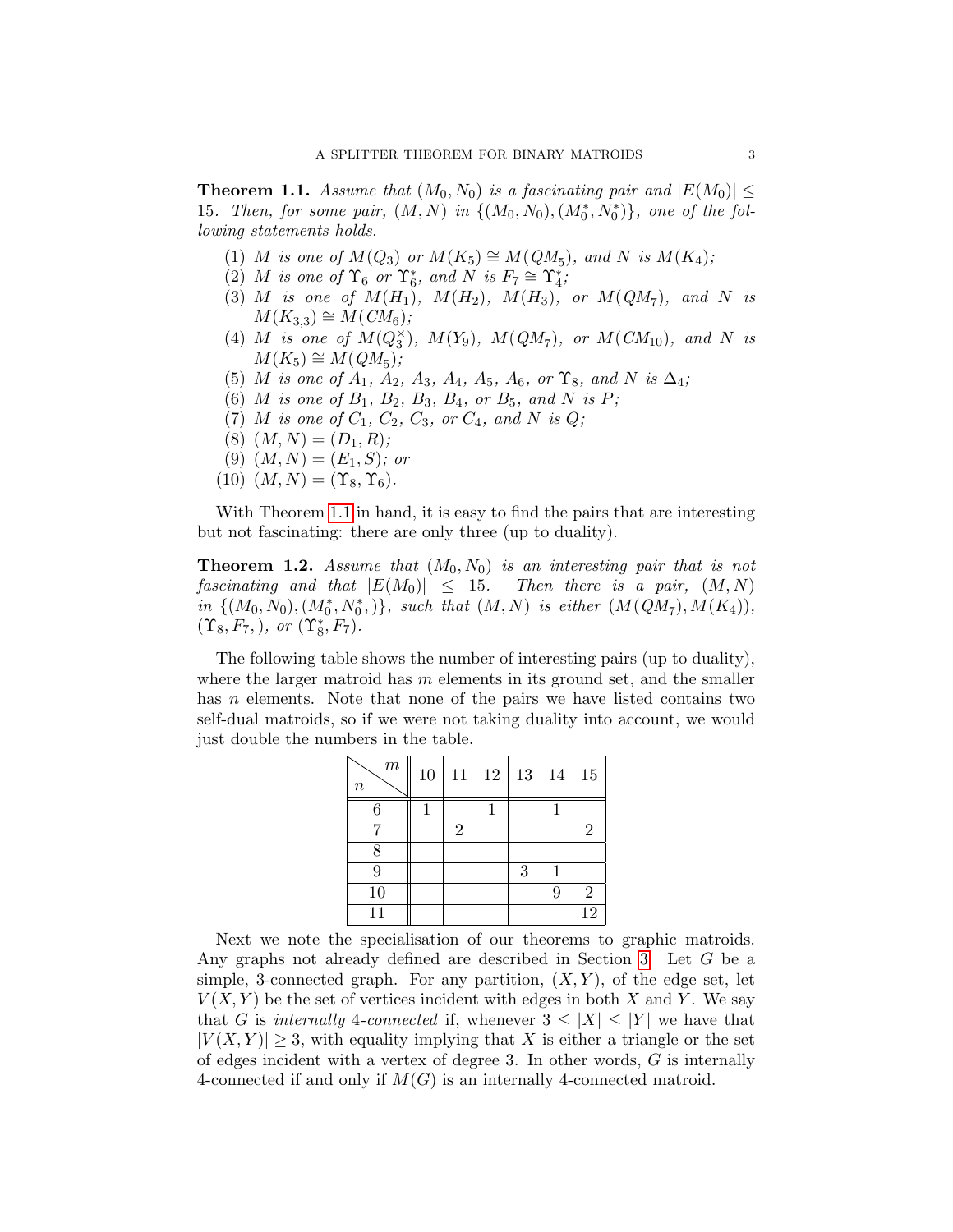<span id="page-2-0"></span>**Theorem 1.1.** Assume that  $(M_0, N_0)$  is a fascinating pair and  $|E(M_0)| \leq$ 15. Then, for some pair,  $(M, N)$  in  $\{(M_0, N_0), (M_0^*, N_0^*)\}$ , one of the following statements holds.

- (1) M is one of  $M(Q_3)$  or  $M(K_5) \cong M(QM_5)$ , and N is  $M(K_4)$ ;
- (2) M is one of  $\Upsilon_6$  or  $\Upsilon_6^*$ , and N is  $F_7 \cong \Upsilon_4^*$ ;
- (3) M is one of  $M(H_1)$ ,  $M(H_2)$ ,  $M(H_3)$ , or  $M(QM_7)$ , and N is  $M(K_{3,3}) \cong M(CM_6);$
- (4) M is one of  $M(Q_3^{\times})$ ,  $M(Y_9)$ ,  $M(QM_7)$ , or  $M(CM_{10})$ , and N is  $M(K_5) \cong M(QM_5);$
- (5) M is one of  $A_1$ ,  $A_2$ ,  $A_3$ ,  $A_4$ ,  $A_5$ ,  $A_6$ , or  $\Upsilon_8$ , and N is  $\Delta_4$ ;
- (6) *M* is one of  $B_1$ ,  $B_2$ ,  $B_3$ ,  $B_4$ , or  $B_5$ , and *N* is *P*;
- (7) *M* is one of  $C_1$ ,  $C_2$ ,  $C_3$ , or  $C_4$ , and N is Q;
- $(8)$   $(M, N) = (D_1, R);$
- (9)  $(M, N) = (E_1, S)$ ; or
- $(10)$   $(M, N) = (\Upsilon_8, \Upsilon_6).$

With Theorem [1.1](#page-2-0) in hand, it is easy to find the pairs that are interesting but not fascinating: there are only three (up to duality).

<span id="page-2-1"></span>**Theorem 1.2.** Assume that  $(M_0, N_0)$  is an interesting pair that is not fascinating and that  $|E(M_0)| \leq 15$ . Then there is a pair,  $(M, N)$  $in \{(M_0, N_0), (M_0^*, N_0^*)\},$  such that  $(M, N)$  is either  $(M(QM_7), M(K_4)),$  $(\Upsilon_8, F_7, ), \text{ or } (\Upsilon_8^*, F_7).$ 

The following table shows the number of interesting pairs (up to duality), where the larger matroid has  $m$  elements in its ground set, and the smaller has *n* elements. Note that none of the pairs we have listed contains two self-dual matroids, so if we were not taking duality into account, we would just double the numbers in the table.

| $\boldsymbol{m}$<br>$\, n$ | 10 | 11             | 12 | 13 | 14 | 15              |
|----------------------------|----|----------------|----|----|----|-----------------|
| 6                          |    |                |    |    | 1  |                 |
|                            |    | $\overline{2}$ |    |    |    | 2               |
| 8                          |    |                |    |    |    |                 |
| 9                          |    |                |    | 3  | 1  |                 |
| 10                         |    |                |    |    | 9  | $\overline{2}$  |
| 11                         |    |                |    |    |    | $\overline{12}$ |

Next we note the specialisation of our theorems to graphic matroids. Any graphs not already defined are described in Section [3.](#page-5-0) Let G be a simple, 3-connected graph. For any partition,  $(X, Y)$ , of the edge set, let  $V(X, Y)$  be the set of vertices incident with edges in both X and Y. We say that G is internally 4-connected if, whenever  $3 \leq |X| \leq |Y|$  we have that  $|V(X, Y)| \geq 3$ , with equality implying that X is either a triangle or the set of edges incident with a vertex of degree 3. In other words, G is internally 4-connected if and only if  $M(G)$  is an internally 4-connected matroid.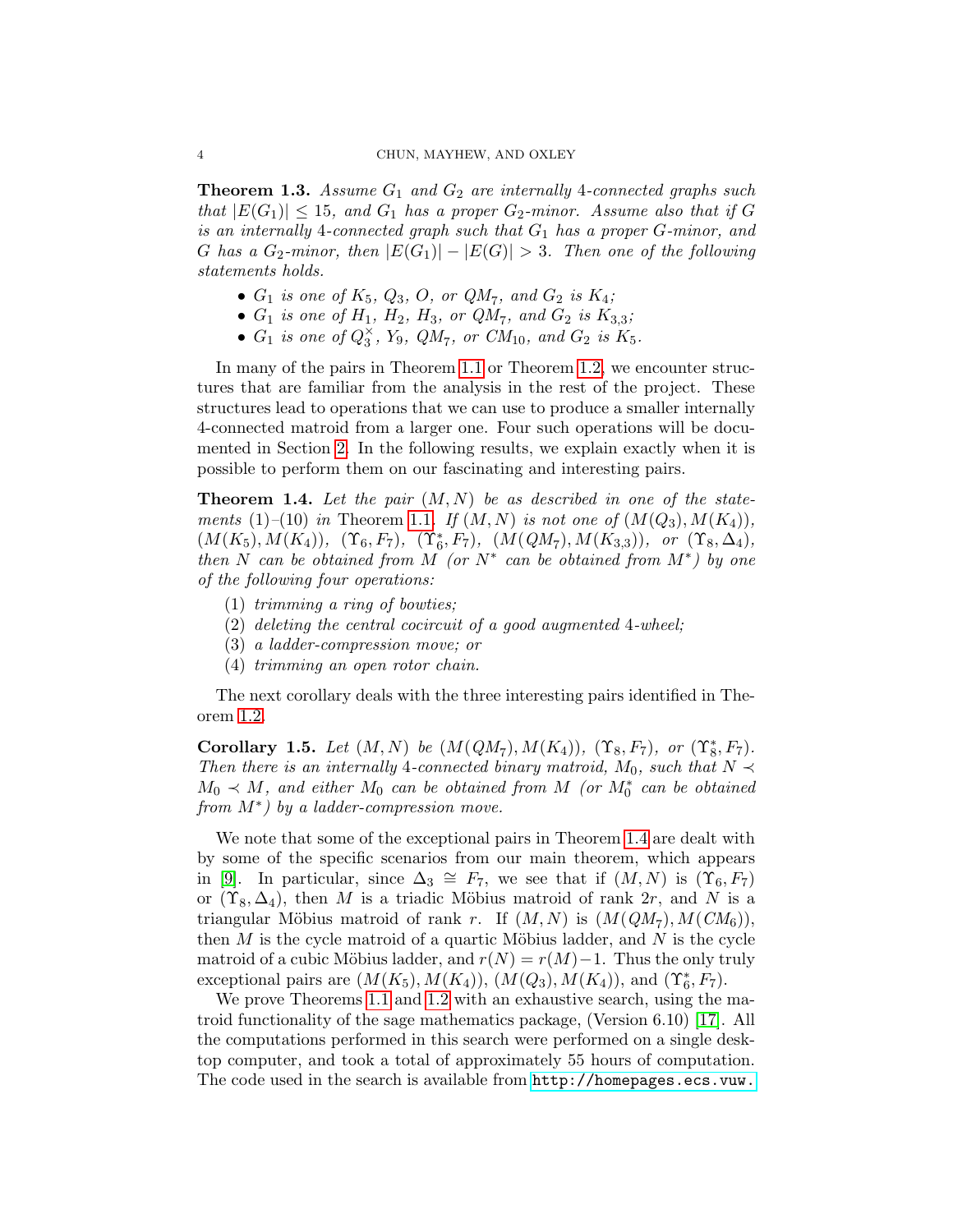**Theorem 1.3.** Assume  $G_1$  and  $G_2$  are internally 4-connected graphs such that  $|E(G_1)| \leq 15$ , and  $G_1$  has a proper  $G_2$ -minor. Assume also that if G is an internally 4-connected graph such that  $G_1$  has a proper  $G$ -minor, and G has a  $G_2$ -minor, then  $|E(G_1)| - |E(G)| > 3$ . Then one of the following statements holds.

- $G_1$  is one of  $K_5$ ,  $Q_3$ ,  $O$ , or  $QM_7$ , and  $G_2$  is  $K_4$ ;
- $G_1$  is one of  $H_1, H_2, H_3$ , or  $QM_7$ , and  $G_2$  is  $K_{3,3}$ ;
- $G_1$  is one of  $Q_3^{\times}$ , Y<sub>9</sub>,  $QM_7$ , or  $CM_{10}$ , and  $G_2$  is  $K_5$ .

In many of the pairs in Theorem [1.1](#page-2-0) or Theorem [1.2,](#page-2-1) we encounter structures that are familiar from the analysis in the rest of the project. These structures lead to operations that we can use to produce a smaller internally 4-connected matroid from a larger one. Four such operations will be documented in Section [2.](#page-4-0) In the following results, we explain exactly when it is possible to perform them on our fascinating and interesting pairs.

<span id="page-3-0"></span>**Theorem 1.4.** Let the pair  $(M, N)$  be as described in one of the state-ments (1)–(10) in Theorem [1.1](#page-2-0). If  $(M, N)$  is not one of  $(M(Q_3), M(K_4))$ ,  $(M(K_5), M(K_4)), \; (\Upsilon_6, F_7), \; (\Upsilon_6^*, F_7), \; (M(QM_7), M(K_{3,3})), \; \; or \; \; (\Upsilon_8, \Delta_4),$ then N can be obtained from M (or  $N^*$  can be obtained from  $M^*$ ) by one of the following four operations:

- (1) trimming a ring of bowties;
- (2) deleting the central cocircuit of a good augmented 4-wheel;
- (3) a ladder-compression move; or
- (4) trimming an open rotor chain.

The next corollary deals with the three interesting pairs identified in Theorem [1.2.](#page-2-1)

<span id="page-3-1"></span>Corollary 1.5. Let  $(M, N)$  be  $(M(QM_7), M(K_4))$ ,  $(\Upsilon_8, F_7)$ , or  $(\Upsilon_8^*, F_7)$ . Then there is an internally 4-connected binary matroid,  $M_0$ , such that  $N \prec$  $M_0 \prec M$ , and either  $M_0$  can be obtained from M (or  $M_0^*$  can be obtained from M<sup>\*</sup>) by a ladder-compression move.

We note that some of the exceptional pairs in Theorem [1.4](#page-3-0) are dealt with by some of the specific scenarios from our main theorem, which appears in [\[9\]](#page-34-7). In particular, since  $\Delta_3 \cong F_7$ , we see that if  $(M, N)$  is  $(\Upsilon_6, F_7)$ or  $(\Upsilon_8, \Delta_4)$ , then M is a triadic Möbius matroid of rank 2r, and N is a triangular Möbius matroid of rank r. If  $(M, N)$  is  $(M(QM_7), M(CM_6)),$ then  $M$  is the cycle matroid of a quartic Möbius ladder, and  $N$  is the cycle matroid of a cubic Möbius ladder, and  $r(N) = r(M) - 1$ . Thus the only truly exceptional pairs are  $(M(K_5), M(K_4)), (M(Q_3), M(K_4)),$  and  $(\Upsilon_6^*, F_7)$ .

We prove Theorems [1.1](#page-2-0) and [1.2](#page-2-1) with an exhaustive search, using the matroid functionality of the sage mathematics package, (Version 6.10) [\[17\]](#page-34-12). All the computations performed in this search were performed on a single desktop computer, and took a total of approximately 55 hours of computation. The code used in the search is available from [http://homepages.ecs.vuw.](http://homepages.ecs.vuw.ac.nz/~mayhew/splittertheorem.shtml)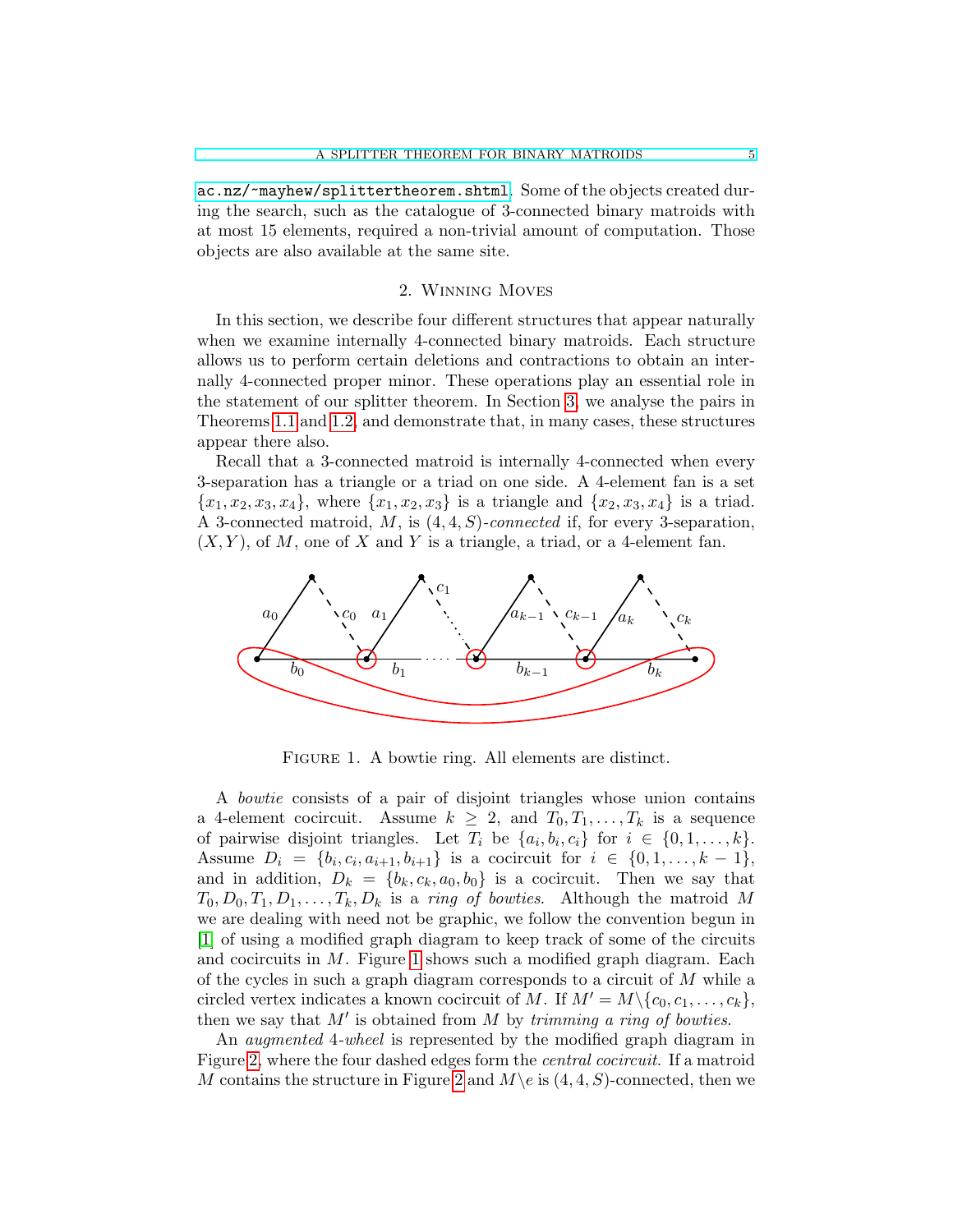[ac.nz/~mayhew/splittertheorem.shtml](http://homepages.ecs.vuw.ac.nz/~mayhew/splittertheorem.shtml). Some of the objects created during the search, such as the catalogue of 3-connected binary matroids with at most 15 elements, required a non-trivial amount of computation. Those objects are also available at the same site.

#### 2. Winning Moves

<span id="page-4-0"></span>In this section, we describe four different structures that appear naturally when we examine internally 4-connected binary matroids. Each structure allows us to perform certain deletions and contractions to obtain an internally 4-connected proper minor. These operations play an essential role in the statement of our splitter theorem. In Section [3,](#page-5-0) we analyse the pairs in Theorems [1.1](#page-2-0) and [1.2,](#page-2-1) and demonstrate that, in many cases, these structures appear there also.

Recall that a 3-connected matroid is internally 4-connected when every 3-separation has a triangle or a triad on one side. A 4-element fan is a set  ${x_1, x_2, x_3, x_4}$ , where  ${x_1, x_2, x_3}$  is a triangle and  ${x_2, x_3, x_4}$  is a triad. A 3-connected matroid, M, is (4, 4, S)-connected if, for every 3-separation,  $(X, Y)$ , of M, one of X and Y is a triangle, a triad, or a 4-element fan.



<span id="page-4-1"></span>Figure 1. A bowtie ring. All elements are distinct.

A bowtie consists of a pair of disjoint triangles whose union contains a 4-element cocircuit. Assume  $k \geq 2$ , and  $T_0, T_1, \ldots, T_k$  is a sequence of pairwise disjoint triangles. Let  $T_i$  be  $\{a_i, b_i, c_i\}$  for  $i \in \{0, 1, \ldots, k\}$ . Assume  $D_i = \{b_i, c_i, a_{i+1}, b_{i+1}\}$  is a cocircuit for  $i \in \{0, 1, ..., k-1\},\$ and in addition,  $D_k = \{b_k, c_k, a_0, b_0\}$  is a cocircuit. Then we say that  $T_0, D_0, T_1, D_1, \ldots, T_k, D_k$  is a ring of bowties. Although the matroid M we are dealing with need not be graphic, we follow the convention begun in [\[1\]](#page-34-13) of using a modified graph diagram to keep track of some of the circuits and cocircuits in  $M$ . Figure [1](#page-4-1) shows such a modified graph diagram. Each of the cycles in such a graph diagram corresponds to a circuit of  $M$  while a circled vertex indicates a known cocircuit of M. If  $M' = M \setminus \{c_0, c_1, \ldots, c_k\},$ then we say that  $M'$  is obtained from M by trimming a ring of bowties.

An *augmented* 4-wheel is represented by the modified graph diagram in Figure [2,](#page-5-1) where the four dashed edges form the central cocircuit. If a matroid M contains the structure in Figure [2](#page-5-1) and  $M\$ e is  $(4, 4, S)$ -connected, then we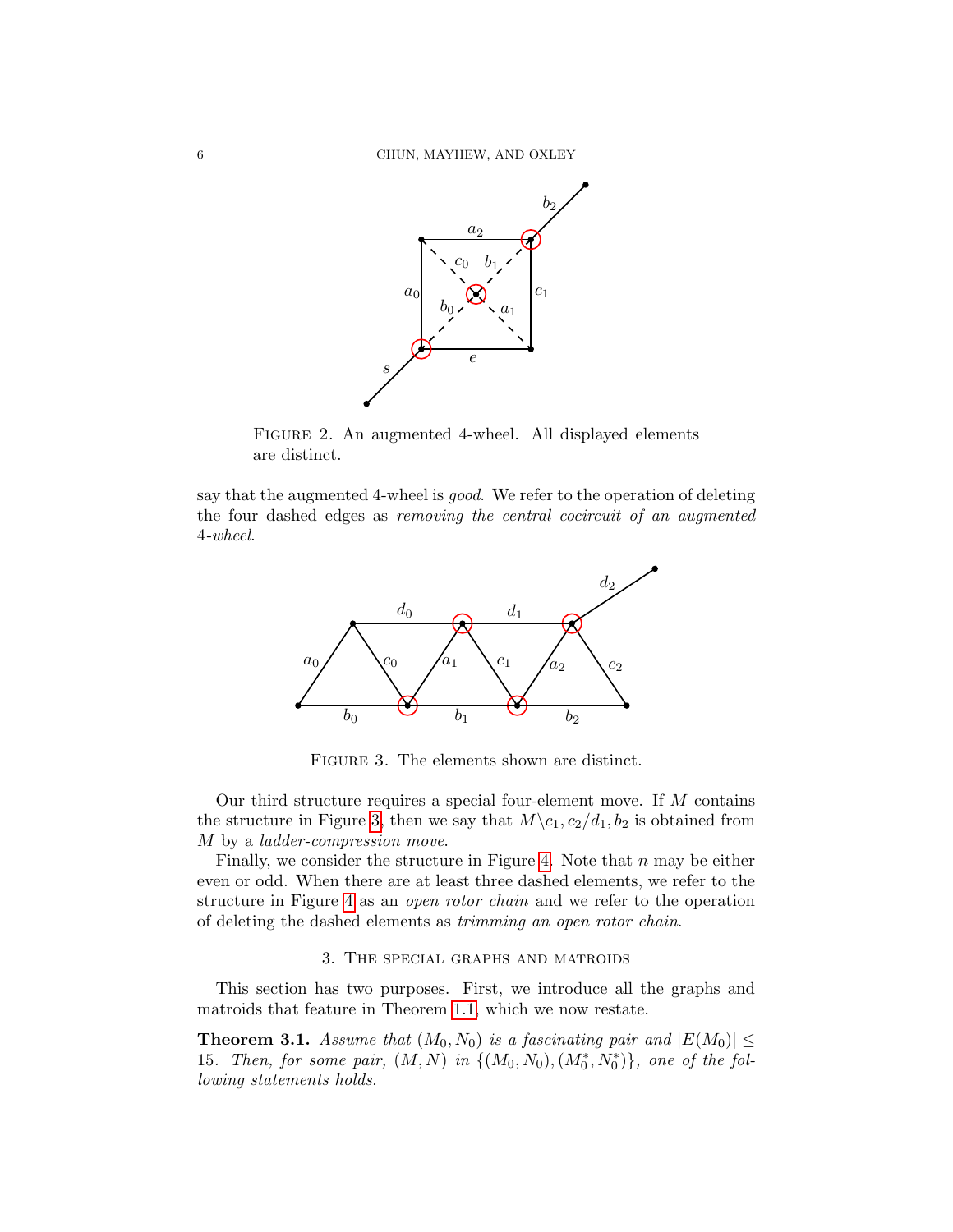

<span id="page-5-1"></span>Figure 2. An augmented 4-wheel. All displayed elements are distinct.

say that the augmented 4-wheel is good. We refer to the operation of deleting the four dashed edges as removing the central cocircuit of an augmented 4-wheel.



<span id="page-5-2"></span>Figure 3. The elements shown are distinct.

Our third structure requires a special four-element move. If M contains the structure in Figure [3,](#page-5-2) then we say that  $M\backslash c_1, c_2/d_1, b_2$  is obtained from M by a ladder-compression move.

Finally, we consider the structure in Figure [4.](#page-6-0) Note that  $n$  may be either even or odd. When there are at least three dashed elements, we refer to the structure in Figure [4](#page-6-0) as an open rotor chain and we refer to the operation of deleting the dashed elements as trimming an open rotor chain.

### 3. The special graphs and matroids

<span id="page-5-0"></span>This section has two purposes. First, we introduce all the graphs and matroids that feature in Theorem [1.1,](#page-2-0) which we now restate.

<span id="page-5-3"></span>**Theorem 3.1.** Assume that  $(M_0, N_0)$  is a fascinating pair and  $|E(M_0)| \leq$ 15. Then, for some pair,  $(M, N)$  in  $\{(M_0, N_0), (M_0^*, N_0^*)\}$ , one of the following statements holds.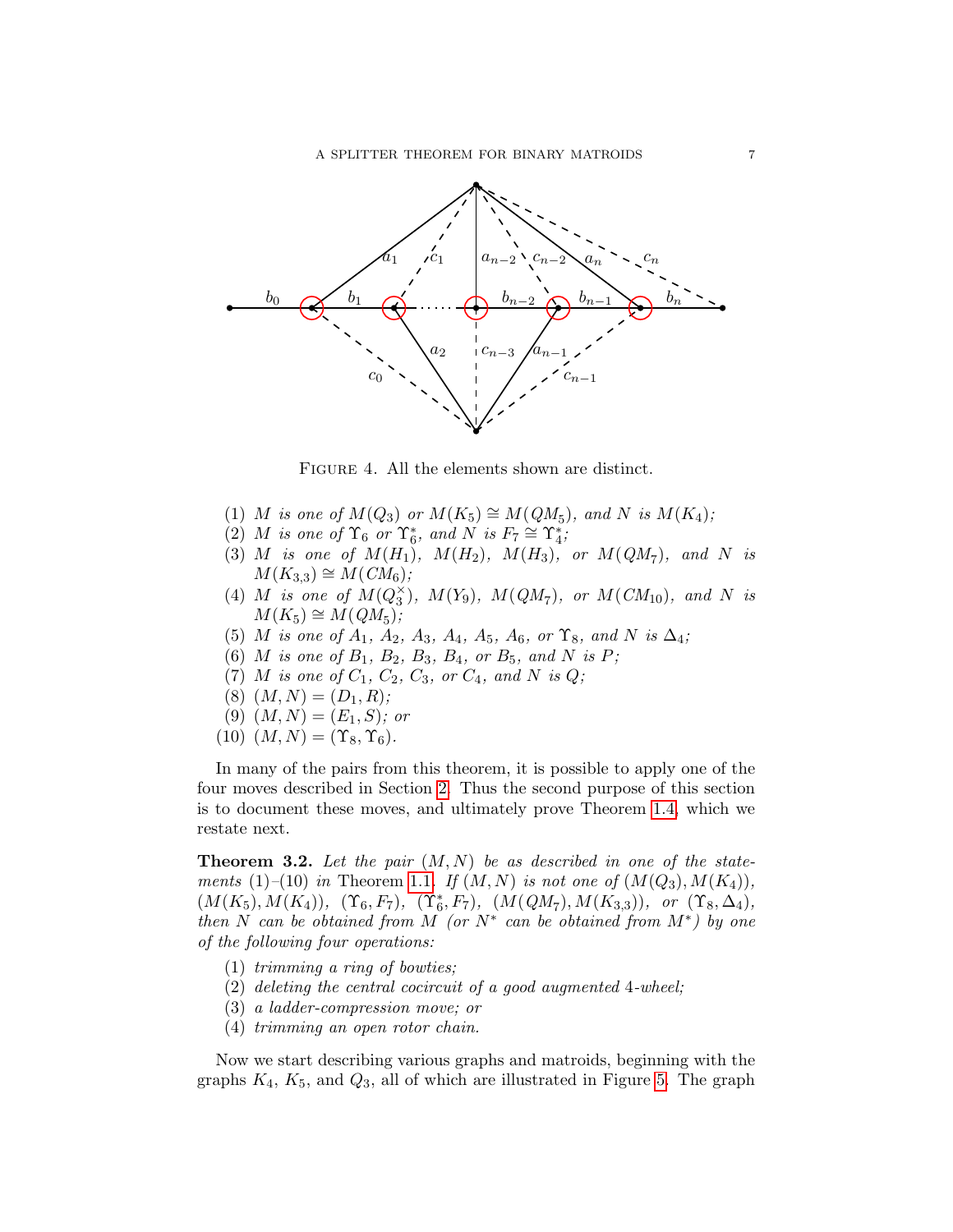

<span id="page-6-0"></span>Figure 4. All the elements shown are distinct.

- (1) M is one of  $M(Q_3)$  or  $M(K_5) \cong M(QM_5)$ , and N is  $M(K_4)$ ;
- (2) M is one of  $\Upsilon_6$  or  $\Upsilon_6^*$ , and N is  $F_7 \cong \Upsilon_4^*$ ;
- (3) M is one of  $M(H_1)$ ,  $M(H_2)$ ,  $M(H_3)$ , or  $M(QM_7)$ , and N is  $M(K_{3,3}) \cong M(CM_6);$
- (4) M is one of  $M(Q_3^{\times})$ ,  $M(Y_9)$ ,  $M(QM_7)$ , or  $M(CM_{10})$ , and N is  $M(K_5) \cong M(QM_5);$
- (5) M is one of  $A_1$ ,  $A_2$ ,  $A_3$ ,  $A_4$ ,  $A_5$ ,  $A_6$ , or  $\Upsilon_8$ , and N is  $\Delta_4$ ;
- (6) *M* is one of  $B_1$ ,  $B_2$ ,  $B_3$ ,  $B_4$ , or  $B_5$ , and *N* is *P*;
- (7) *M* is one of  $C_1$ ,  $C_2$ ,  $C_3$ , or  $C_4$ , and N is Q;
- $(8)$   $(M, N) = (D_1, R);$
- (9)  $(M, N) = (E_1, S)$ ; or
- $(10)$   $(M, N) = (\Upsilon_8, \Upsilon_6).$

In many of the pairs from this theorem, it is possible to apply one of the four moves described in Section [2.](#page-4-0) Thus the second purpose of this section is to document these moves, and ultimately prove Theorem [1.4,](#page-3-0) which we restate next.

<span id="page-6-1"></span>**Theorem 3.2.** Let the pair  $(M, N)$  be as described in one of the state-ments (1)–(10) in Theorem [1.1](#page-2-0). If  $(M, N)$  is not one of  $(M(Q_3), M(K_4))$ ,  $(M(K_5), M(K_4)), \; (\Upsilon_6, F_7), \; (\Upsilon_6^*, F_7), \; (M(QM_7), M(K_{3,3})), \; \; or \; \; (\Upsilon_8, \Delta_4),$ then N can be obtained from M (or  $N^*$  can be obtained from  $M^*$ ) by one of the following four operations:

- (1) trimming a ring of bowties;
- (2) deleting the central cocircuit of a good augmented 4-wheel;
- (3) a ladder-compression move; or
- (4) trimming an open rotor chain.

Now we start describing various graphs and matroids, beginning with the graphs  $K_4$ ,  $K_5$ , and  $Q_3$ , all of which are illustrated in Figure [5.](#page-7-0) The graph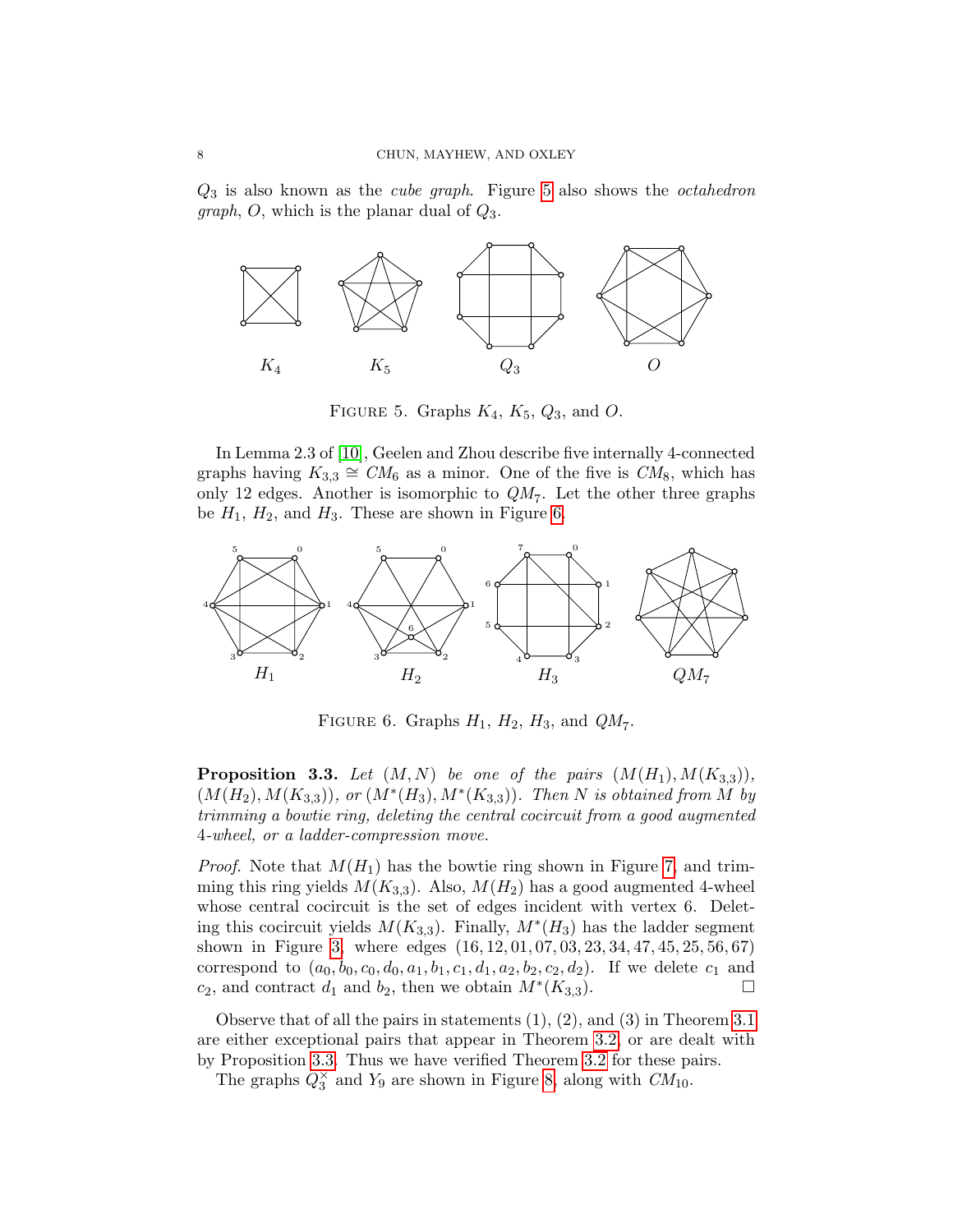$Q_3$  is also known as the *cube graph*. Figure [5](#page-7-0) also shows the *octahedron graph*, O, which is the planar dual of  $Q_3$ .



<span id="page-7-0"></span>FIGURE 5. Graphs  $K_4$ ,  $K_5$ ,  $Q_3$ , and O.

In Lemma 2.3 of [\[10\]](#page-34-14), Geelen and Zhou describe five internally 4-connected graphs having  $K_{3,3} \cong CM_6$  as a minor. One of the five is  $CM_8$ , which has only 12 edges. Another is isomorphic to  $QM<sub>7</sub>$ . Let the other three graphs be  $H_1$ ,  $H_2$ , and  $H_3$ . These are shown in Figure [6.](#page-7-1)



<span id="page-7-1"></span>FIGURE 6. Graphs  $H_1$ ,  $H_2$ ,  $H_3$ , and  $QM_7$ .

<span id="page-7-2"></span>**Proposition 3.3.** Let  $(M, N)$  be one of the pairs  $(M(H_1), M(K_{3,3}))$ ,  $(M(H_2), M(K_{3,3}))$ , or  $(M^*(H_3), M^*(K_{3,3}))$ . Then N is obtained from M by trimming a bowtie ring, deleting the central cocircuit from a good augmented 4-wheel, or a ladder-compression move.

*Proof.* Note that  $M(H_1)$  has the bowtie ring shown in Figure [7,](#page-8-0) and trimming this ring yields  $M(K_{3,3})$ . Also,  $M(H_2)$  has a good augmented 4-wheel whose central cocircuit is the set of edges incident with vertex 6. Deleting this cocircuit yields  $M(K_{3,3})$ . Finally,  $M^*(H_3)$  has the ladder segment shown in Figure [3,](#page-5-2) where edges (16, 12, 01, 07, 03, 23, 34, 47, 45, 25, 56, 67) correspond to  $(a_0, b_0, c_0, d_0, a_1, b_1, c_1, d_1, a_2, b_2, c_2, d_2)$ . If we delete  $c_1$  and  $c_2$ , and contract  $d_1$  and  $b_2$ , then we obtain  $M^*(K_{3,3})$ . □

Observe that of all the pairs in statements (1), (2), and (3) in Theorem [3.1](#page-5-3) are either exceptional pairs that appear in Theorem [3.2,](#page-6-1) or are dealt with by Proposition [3.3.](#page-7-2) Thus we have verified Theorem [3.2](#page-6-1) for these pairs.

<span id="page-7-3"></span>The graphs  $Q_3^{\times}$  and  $Y_9$  are shown in Figure [8,](#page-8-1) along with  $CM_{10}$ .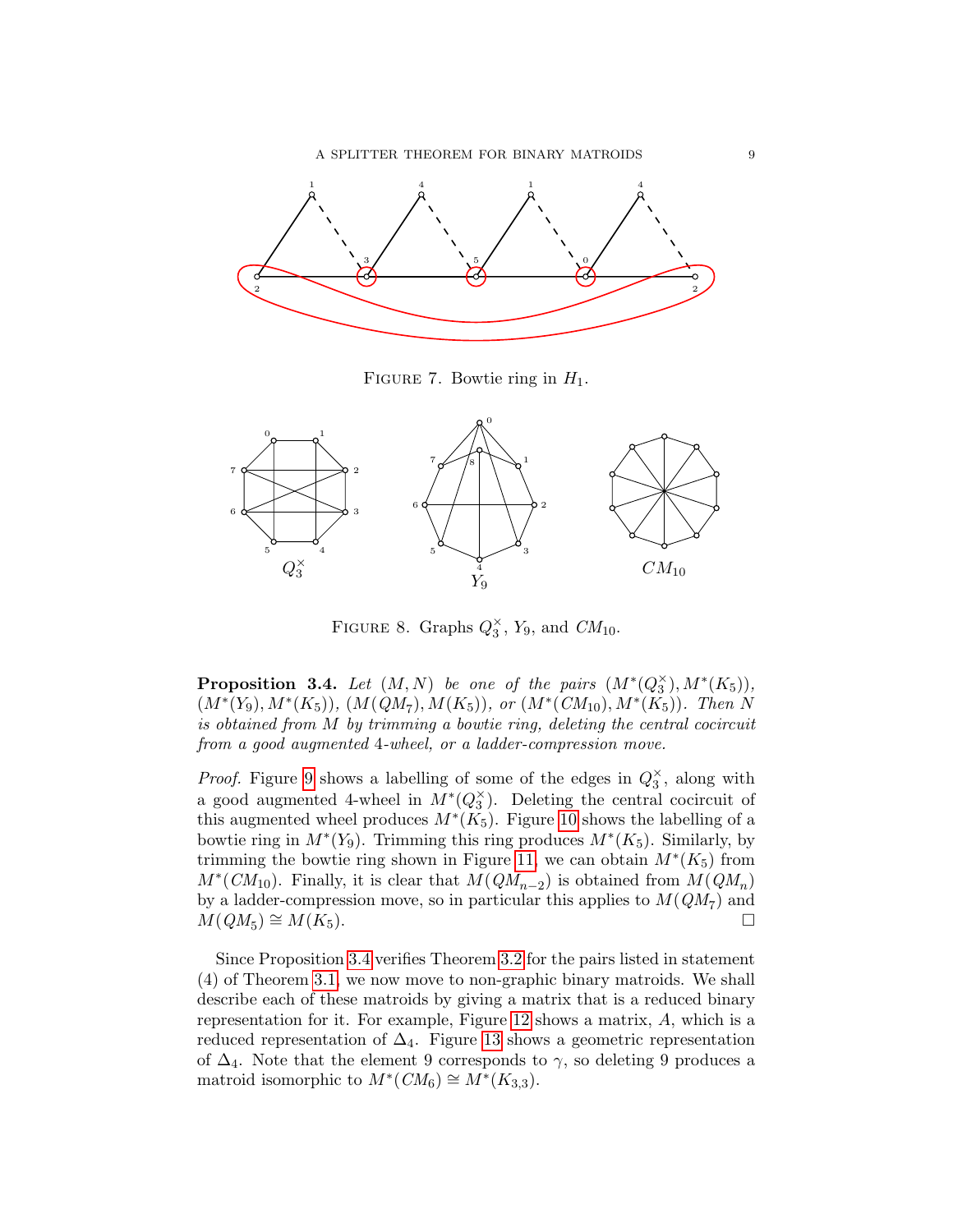

<span id="page-8-0"></span>FIGURE 7. Bowtie ring in  $H_1$ .



<span id="page-8-1"></span>FIGURE 8. Graphs  $Q_3^{\times}$ ,  $Y_9$ , and  $CM_{10}$ .

**Proposition 3.4.** Let  $(M, N)$  be one of the pairs  $(M^*(Q_3^{\times}), M^*(K_5)),$  $(M^*(Y_9), M^*(K_5)), (M(QM_7), M(K_5)),$  or  $(M^*(CM_{10}), M^*(K_5)).$  Then N is obtained from M by trimming a bowtie ring, deleting the central cocircuit from a good augmented 4-wheel, or a ladder-compression move.

*Proof.* Figure [9](#page-9-0) shows a labelling of some of the edges in  $Q_3^{\times}$ , along with a good augmented 4-wheel in  $M^*(Q_3^{\times})$ . Deleting the central cocircuit of this augmented wheel produces  $M^*(K_5)$ . Figure [10](#page-9-1) shows the labelling of a bowtie ring in  $M^*(Y_9)$ . Trimming this ring produces  $M^*(K_5)$ . Similarly, by trimming the bowtie ring shown in Figure [11,](#page-9-2) we can obtain  $M^*(K_5)$  from  $M^*(CM_{10})$ . Finally, it is clear that  $M(QM_{n-2})$  is obtained from  $M(QM_n)$ by a ladder-compression move, so in particular this applies to  $M(QM<sub>7</sub>)$  and  $M(QM_5) \cong M(K_5).$ 

Since Proposition [3.4](#page-7-3) verifies Theorem [3.2](#page-6-1) for the pairs listed in statement (4) of Theorem [3.1,](#page-5-3) we now move to non-graphic binary matroids. We shall describe each of these matroids by giving a matrix that is a reduced binary representation for it. For example, Figure [12](#page-10-0) shows a matrix, A, which is a reduced representation of  $\Delta_4$ . Figure [13](#page-10-1) shows a geometric representation of  $\Delta_4$ . Note that the element 9 corresponds to  $\gamma$ , so deleting 9 produces a matroid isomorphic to  $M^*(CM_6) \cong M^*(K_{3,3}).$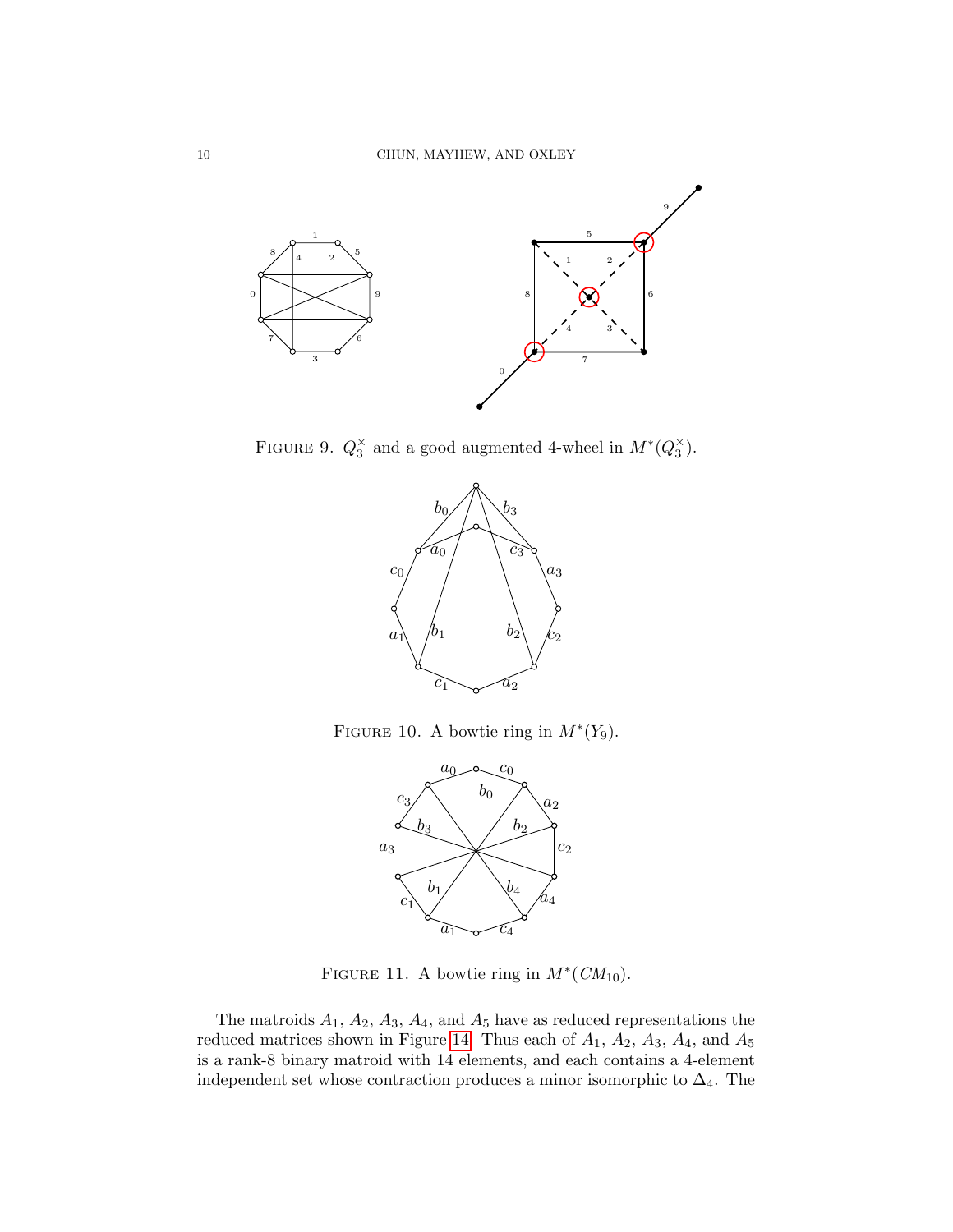

FIGURE 9.  $Q_3^{\times}$  and a good augmented 4-wheel in  $M^*(Q_3^{\times})$ .

<span id="page-9-0"></span>

FIGURE 10. A bowtie ring in  $M^*(Y_9)$ .

<span id="page-9-1"></span>

<span id="page-9-2"></span>FIGURE 11. A bowtie ring in  $M^*(CM_{10})$ .

The matroids  $A_1$ ,  $A_2$ ,  $A_3$ ,  $A_4$ , and  $A_5$  have as reduced representations the reduced matrices shown in Figure [14.](#page-11-0) Thus each of  $A_1$ ,  $A_2$ ,  $A_3$ ,  $A_4$ , and  $A_5$ is a rank-8 binary matroid with 14 elements, and each contains a 4-element independent set whose contraction produces a minor isomorphic to  $\Delta_4$ . The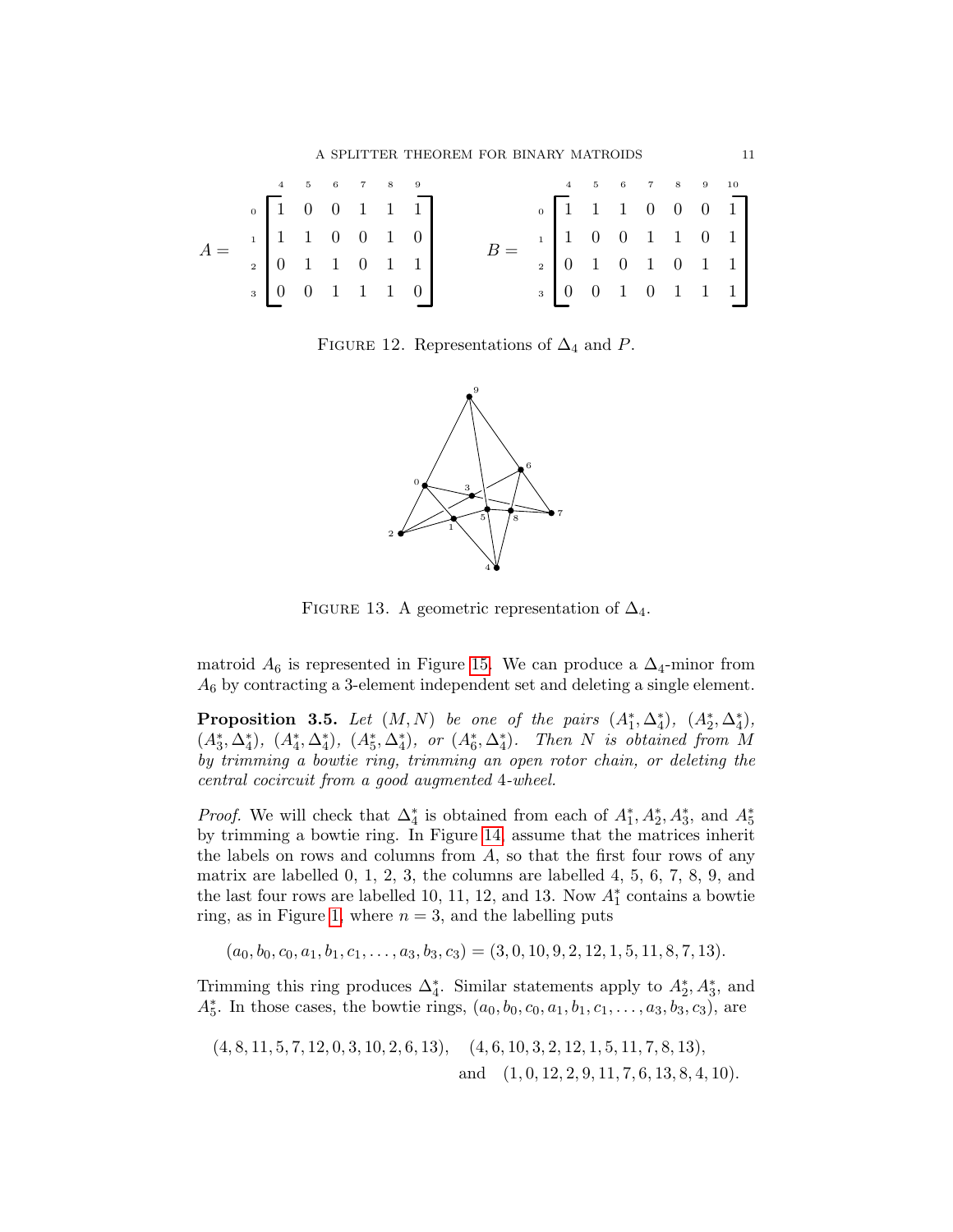A SPLITTER THEOREM FOR BINARY MATROIDS 11

|                                                                                        | $4 \qquad 5 \qquad 6 \qquad 7 \qquad 8 \qquad 9$      |  |  |  |  |  |  |  | $4 \qquad 5 \qquad 6 \qquad 7 \qquad 8 \qquad 9 \qquad 10$ |
|----------------------------------------------------------------------------------------|-------------------------------------------------------|--|--|--|--|--|--|--|------------------------------------------------------------|
| $A = \begin{bmatrix} 1 & 1 & 1 & 0 & 0 & 1 & 0 \\ 0 & 1 & 1 & 0 & 1 & 1 \end{bmatrix}$ | $\begin{bmatrix} 1 & 0 & 0 & 1 & 1 & 1 \end{bmatrix}$ |  |  |  |  |  |  |  |                                                            |
|                                                                                        |                                                       |  |  |  |  |  |  |  |                                                            |
|                                                                                        |                                                       |  |  |  |  |  |  |  |                                                            |
|                                                                                        | $\begin{bmatrix} 0 & 0 & 1 & 1 & 1 & 0 \end{bmatrix}$ |  |  |  |  |  |  |  |                                                            |

FIGURE 12. Representations of  $\Delta_4$  and P.

<span id="page-10-0"></span>

<span id="page-10-1"></span>FIGURE 13. A geometric representation of  $\Delta_4$ .

matroid  $A_6$  is represented in Figure [15.](#page-11-1) We can produce a  $\Delta_4$ -minor from  $A_6$  by contracting a 3-element independent set and deleting a single element.

<span id="page-10-2"></span>**Proposition 3.5.** Let  $(M, N)$  be one of the pairs  $(A_1^*, \Delta_4^*)$ ,  $(A_2^*, \Delta_4^*)$ ,  $(A_3^*, \Delta_4^*), (A_4^*, \Delta_4^*), (A_5^*, \Delta_4^*),$  or  $(A_6^*, \Delta_4^*).$  Then N is obtained from M by trimming a bowtie ring, trimming an open rotor chain, or deleting the central cocircuit from a good augmented 4-wheel.

*Proof.* We will check that  $\Delta_4^*$  is obtained from each of  $A_1^*, A_2^*, A_3^*$ , and  $A_5^*$ by trimming a bowtie ring. In Figure [14,](#page-11-0) assume that the matrices inherit the labels on rows and columns from A, so that the first four rows of any matrix are labelled 0, 1, 2, 3, the columns are labelled 4, 5, 6, 7, 8, 9, and the last four rows are labelled 10, 11, 12, and 13. Now  $A_1^*$  contains a bowtie ring, as in Figure [1,](#page-4-1) where  $n = 3$ , and the labelling puts

 $(a_0, b_0, c_0, a_1, b_1, c_1, \ldots, a_3, b_3, c_3) = (3, 0, 10, 9, 2, 12, 1, 5, 11, 8, 7, 13).$ 

Trimming this ring produces  $\Delta_4^*$ . Similar statements apply to  $A_2^*, A_3^*$ , and  $A_5^*$ . In those cases, the bowtie rings,  $(a_0, b_0, c_0, a_1, b_1, c_1, \ldots, a_3, b_3, c_3)$ , are

$$
(4, 8, 11, 5, 7, 12, 0, 3, 10, 2, 6, 13), \quad (4, 6, 10, 3, 2, 12, 1, 5, 11, 7, 8, 13),
$$
  
and  $(1, 0, 12, 2, 9, 11, 7, 6, 13, 8, 4, 10).$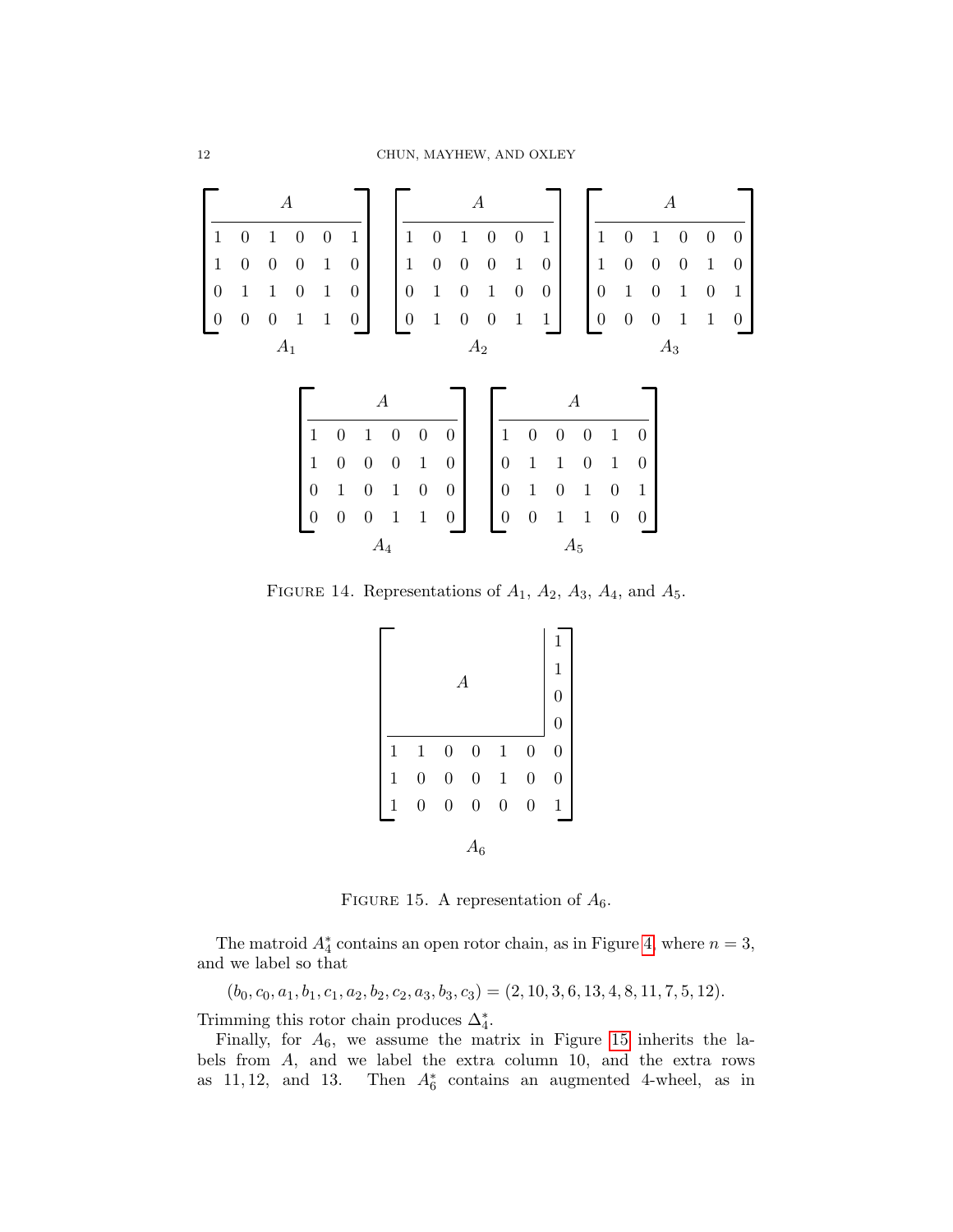

FIGURE 14. Representations of  $A_1$ ,  $A_2$ ,  $A_3$ ,  $A_4$ , and  $A_5$ .

<span id="page-11-0"></span>

<span id="page-11-1"></span>FIGURE 15. A representation of  $A_6$ .

The matroid  $A_4^*$  contains an open rotor chain, as in Figure [4,](#page-6-0) where  $n = 3$ , and we label so that

 $(b_0, c_0, a_1, b_1, c_1, a_2, b_2, c_2, a_3, b_3, c_3) = (2, 10, 3, 6, 13, 4, 8, 11, 7, 5, 12).$ 

Trimming this rotor chain produces  $\Delta_4^*$ .

Finally, for  $A_6$ , we assume the matrix in Figure [15](#page-11-1) inherits the labels from A, and we label the extra column 10, and the extra rows as  $11, 12$ , and  $13$ . Then  $A_6^*$  contains an augmented 4-wheel, as in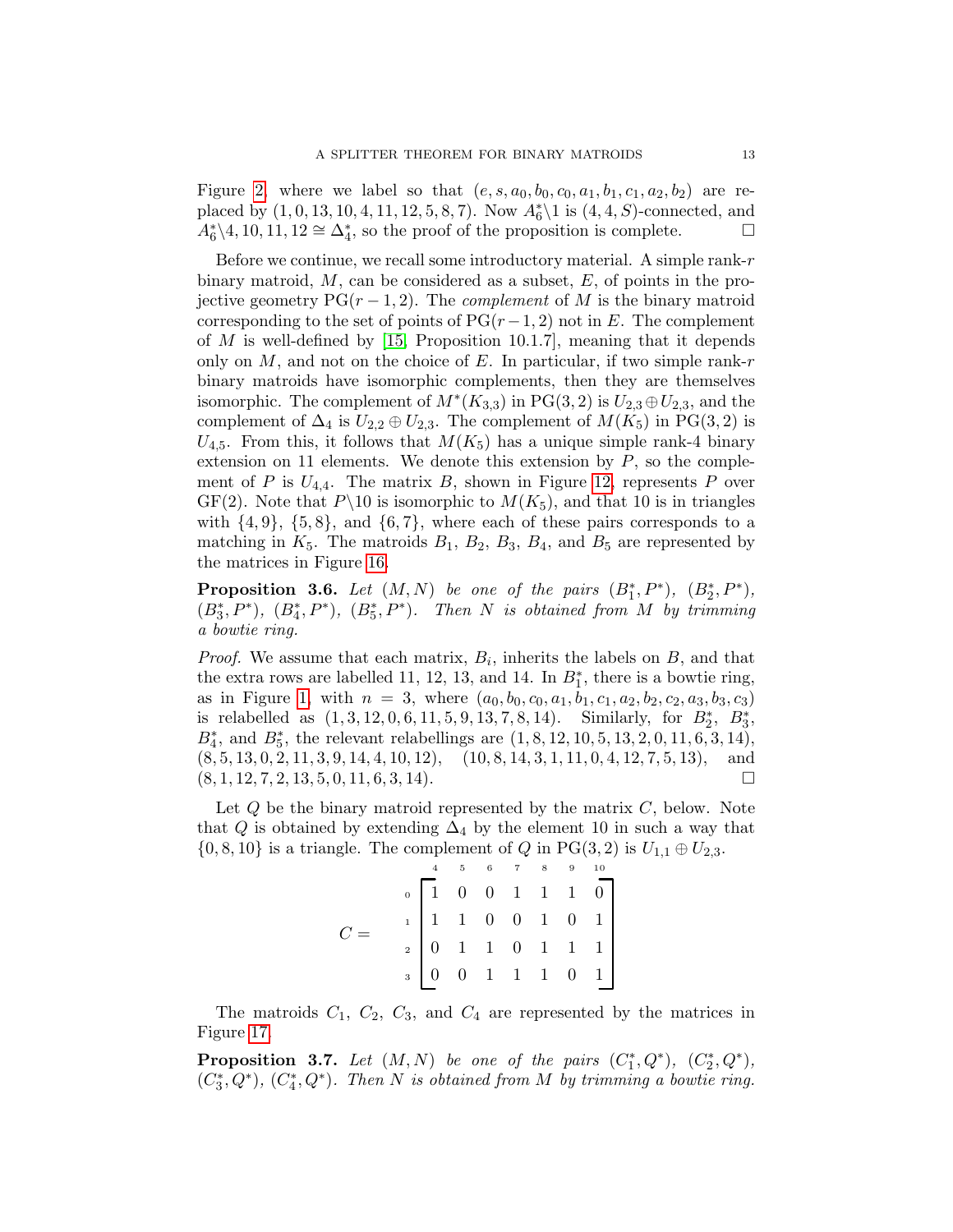Figure [2,](#page-5-1) where we label so that  $(e, s, a_0, b_0, c_0, a_1, b_1, c_1, a_2, b_2)$  are replaced by  $(1, 0, 13, 10, 4, 11, 12, 5, 8, 7)$ . Now  $A_6^*$  is  $(4, 4, S)$ -connected, and  $A_6^*\backslash 4, 10, 11, 12 \cong \Delta_4^*$ , so the proof of the proposition is complete.

Before we continue, we recall some introductory material. A simple rank- $r$ binary matroid,  $M$ , can be considered as a subset,  $E$ , of points in the projective geometry  $PG(r-1, 2)$ . The *complement* of M is the binary matroid corresponding to the set of points of  $PG(r-1, 2)$  not in E. The complement of  $M$  is well-defined by [\[15,](#page-34-15) Proposition 10.1.7], meaning that it depends only on M, and not on the choice of E. In particular, if two simple rank-r binary matroids have isomorphic complements, then they are themselves isomorphic. The complement of  $M^*(K_{3,3})$  in PG(3, 2) is  $U_{2,3} \oplus U_{2,3}$ , and the complement of  $\Delta_4$  is  $U_{2,2} \oplus U_{2,3}$ . The complement of  $M(K_5)$  in PG(3,2) is  $U_{4,5}$ . From this, it follows that  $M(K_5)$  has a unique simple rank-4 binary extension on 11 elements. We denote this extension by  $P$ , so the complement of P is  $U_{4,4}$ . The matrix B, shown in Figure [12,](#page-10-0) represents P over  $GF(2)$ . Note that  $P\setminus 10$  is isomorphic to  $M(K_5)$ , and that 10 is in triangles with  $\{4, 9\}$ ,  $\{5, 8\}$ , and  $\{6, 7\}$ , where each of these pairs corresponds to a matching in  $K_5$ . The matroids  $B_1$ ,  $B_2$ ,  $B_3$ ,  $B_4$ , and  $B_5$  are represented by the matrices in Figure [16.](#page-13-0)

**Proposition 3.6.** Let  $(M, N)$  be one of the pairs  $(B_1^*, P^*)$ ,  $(B_2^*, P^*)$ ,  $(B_3^*, P^*), (B_4^*, P^*), (B_5^*, P^*).$  Then N is obtained from M by trimming a bowtie ring.

*Proof.* We assume that each matrix,  $B_i$ , inherits the labels on  $B$ , and that the extra rows are labelled 11, 12, 13, and 14. In  $B_1^*$ , there is a bowtie ring, as in Figure [1,](#page-4-1) with  $n = 3$ , where  $(a_0, b_0, c_0, a_1, b_1, c_1, a_2, b_2, c_2, a_3, b_3, c_3)$ is relabelled as  $(1, 3, 12, 0, 6, 11, 5, 9, 13, 7, 8, 14)$ . Similarly, for  $B_2^*$ ,  $B_3^*$ ,  $B_4^*$ , and  $B_5^*$ , the relevant relabellings are  $(1, 8, 12, 10, 5, 13, 2, 0, 11, 6, 3, 14)$ ,  $(8, 5, 13, 0, 2, 11, 3, 9, 14, 4, 10, 12), (10, 8, 14, 3, 1, 11, 0, 4, 12, 7, 5, 13), and$  $(8, 1, 12, 7, 2, 13, 5, 0, 11, 6, 3, 14).$ 

Let  $Q$  be the binary matroid represented by the matrix  $C$ , below. Note that Q is obtained by extending  $\Delta_4$  by the element 10 in such a way that  $\{0, 8, 10\}$  is a triangle. The complement of Q in PG(3, 2) is  $U_{1,1} \oplus U_{2,3}$ .

$$
C = \begin{bmatrix} 4 & 5 & 6 & 7 & 8 & 9 & 10 \\ 1 & 0 & 0 & 1 & 1 & 1 & 0 \\ 1 & 1 & 0 & 0 & 1 & 0 & 1 \\ 0 & 1 & 1 & 0 & 1 & 1 & 1 \\ 0 & 0 & 1 & 1 & 1 & 0 & 1 \end{bmatrix}
$$

The matroids  $C_1$ ,  $C_2$ ,  $C_3$ , and  $C_4$  are represented by the matrices in Figure [17.](#page-14-0)

<span id="page-12-0"></span>**Proposition 3.7.** Let  $(M, N)$  be one of the pairs  $(C_1^*, Q^*)$ ,  $(C_2^*, Q^*)$ ,  $(C_3^*, Q^*), (C_4^*, Q^*).$  Then N is obtained from M by trimming a bowtie ring.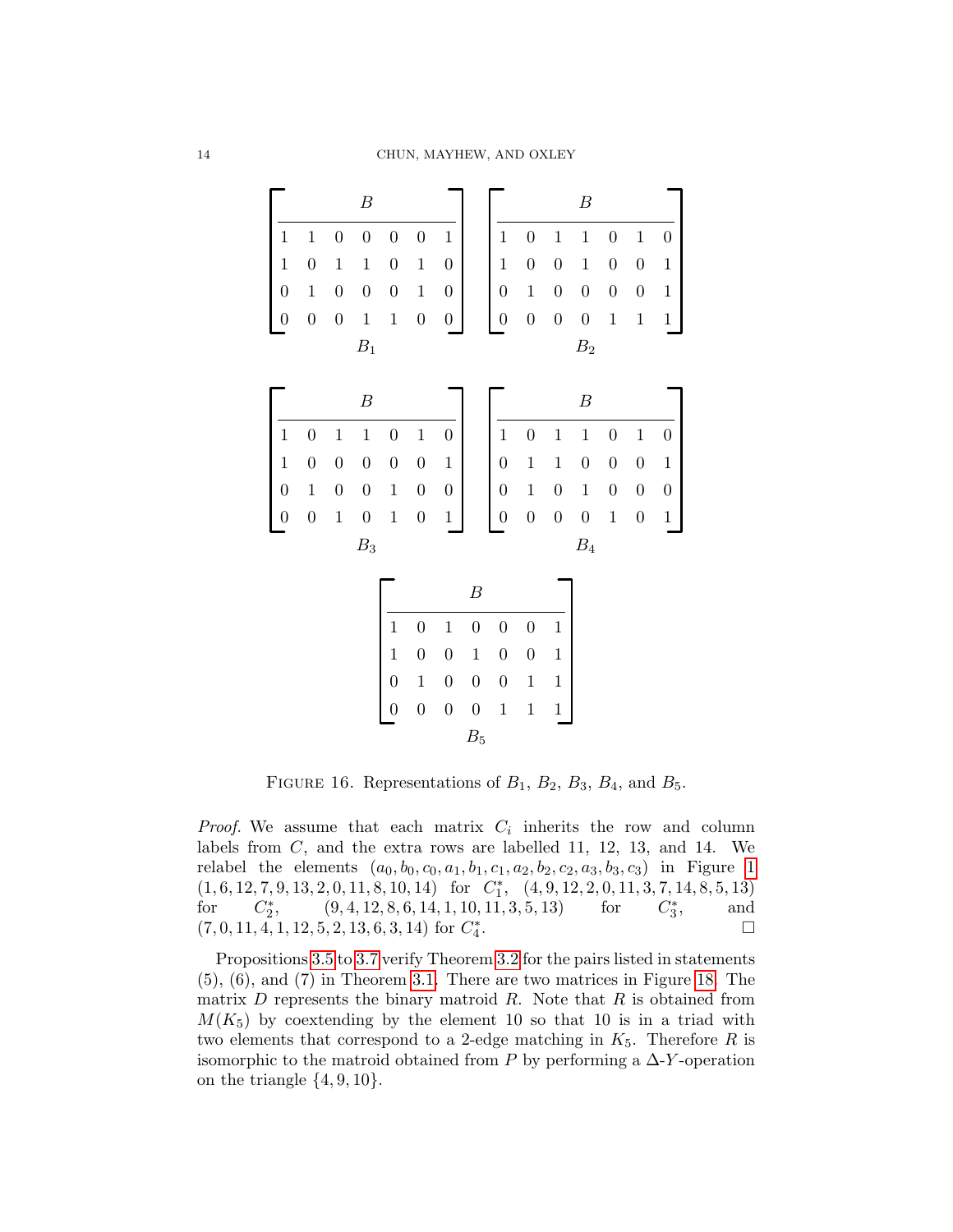

<span id="page-13-0"></span>FIGURE 16. Representations of  $B_1$ ,  $B_2$ ,  $B_3$ ,  $B_4$ , and  $B_5$ .

*Proof.* We assume that each matrix  $C_i$  inherits the row and column labels from  $C$ , and the extra rows are labelled 11, 12, 13, and 14. We relabel the elements  $(a_0, b_0, c_0, a_1, b_1, c_1, a_2, b_2, c_2, a_3, b_3, c_3)$  in Figure [1](#page-4-1)  $(1, 6, 12, 7, 9, 13, 2, 0, 11, 8, 10, 14) \quad \mathrm{for} \quad C_{1}^{*}, \quad (4, 9, 12, 2, 0, 11, 3, 7, 14, 8, 5, 13)$ for  $C_2^*$ ,  $(9, 4, 12, 8, 6, 14, 1, 10, 11, 3, 5, 13)$  for  $C_3^*$ , and  $(7, 0, 11, 4, 1, 12, 5, 2, 13, 6, 3, 14)$  for  $C_4^*$ .

Propositions [3.5](#page-10-2) to [3.7](#page-12-0) verify Theorem [3.2](#page-6-1) for the pairs listed in statements (5), (6), and (7) in Theorem [3.1.](#page-5-3) There are two matrices in Figure [18.](#page-14-1) The matrix  $D$  represents the binary matroid  $R$ . Note that  $R$  is obtained from  $M(K_5)$  by coextending by the element 10 so that 10 is in a triad with two elements that correspond to a 2-edge matching in  $K_5$ . Therefore R is isomorphic to the matroid obtained from P by performing a  $\Delta$ -Y-operation on the triangle  $\{4, 9, 10\}$ .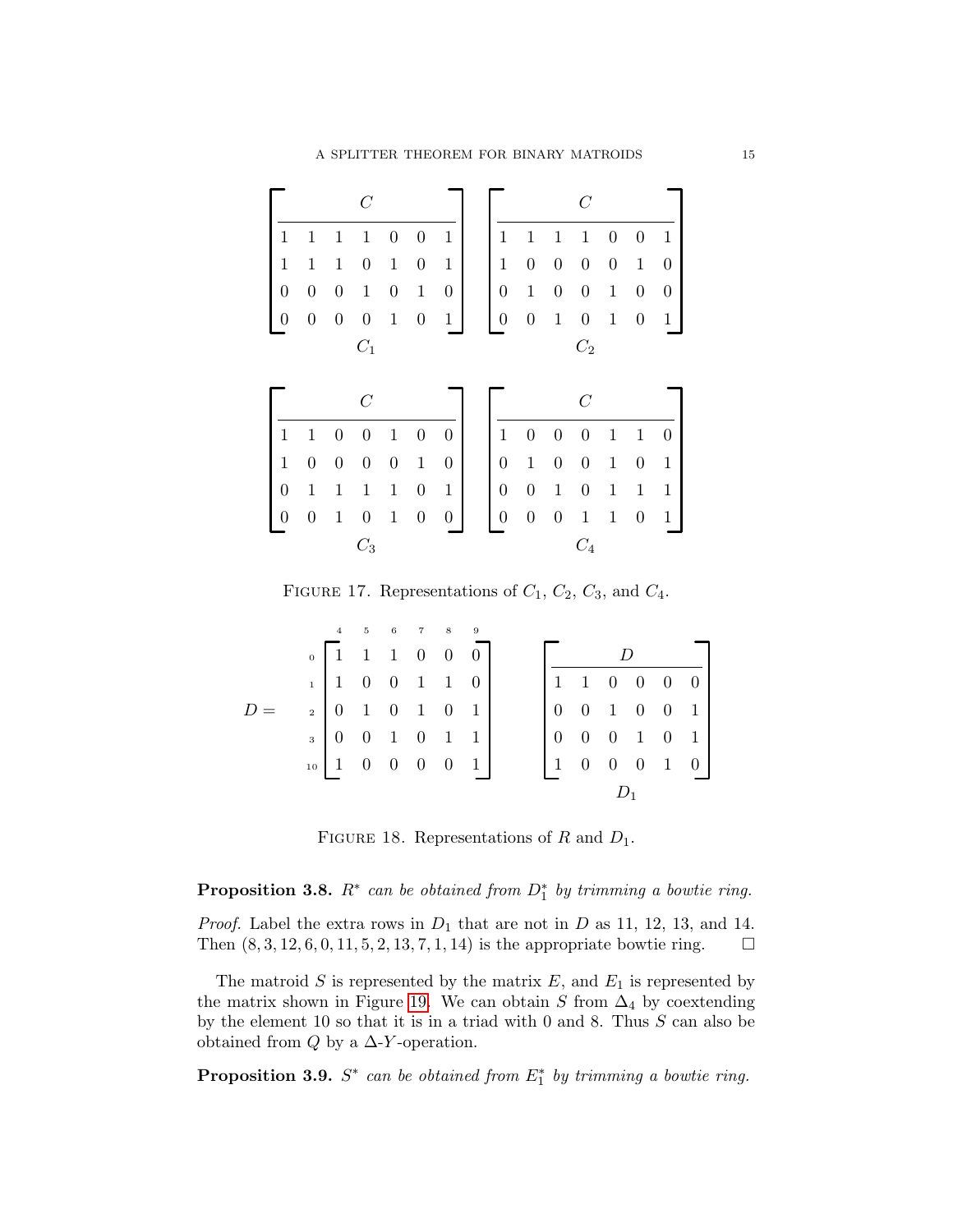|                  |                  |                  | $\,C$            |                  |                  |                  |                  |                  |                  | C                |                  |                  |                  |
|------------------|------------------|------------------|------------------|------------------|------------------|------------------|------------------|------------------|------------------|------------------|------------------|------------------|------------------|
| 1                | $\mathbf{1}$     | $\mathbf{1}$     | $\mathbf{1}$     | $\boldsymbol{0}$ | $\boldsymbol{0}$ | $\mathbf{1}$     | $\mathbf 1$      | $\mathbf 1$      | $\mathbf{1}$     | $\mathbf 1$      | 0                | $\boldsymbol{0}$ | $\mathbf 1$      |
| $\mathbf 1$      | $\,1$            | $\mathbf{1}$     | $\boldsymbol{0}$ | $\mathbf{1}$     | $\boldsymbol{0}$ | $\mathbf{1}$     | $\mathbf{1}$     | $\boldsymbol{0}$ | $\boldsymbol{0}$ | $\boldsymbol{0}$ | $\boldsymbol{0}$ | $\mathbf{1}$     | 0                |
| $\boldsymbol{0}$ | $\boldsymbol{0}$ | $\boldsymbol{0}$ | $1\,$            | $\boldsymbol{0}$ | $1\,$            | $\boldsymbol{0}$ | $\boldsymbol{0}$ | $\,1$            | $\boldsymbol{0}$ | $\boldsymbol{0}$ | $\,1$            | $\boldsymbol{0}$ | $\boldsymbol{0}$ |
| $\overline{0}$   | $\boldsymbol{0}$ | $\boldsymbol{0}$ | $\boldsymbol{0}$ | $\,1\,$          | $\boldsymbol{0}$ | $\,1$            | $\boldsymbol{0}$ | $\boldsymbol{0}$ | $\mathbf{1}$     | $\boldsymbol{0}$ | $\mathbf{1}$     | $\boldsymbol{0}$ | $\mathbf{1}$     |
|                  |                  |                  | $C_1$            |                  |                  |                  |                  |                  |                  | $C_2$            |                  |                  |                  |
|                  |                  |                  |                  |                  |                  |                  |                  |                  |                  |                  |                  |                  |                  |
|                  |                  |                  | $\overline{C}$   |                  |                  |                  |                  |                  |                  | $\overline{C}$   |                  |                  |                  |
| $\mathbf 1$      | $\mathbf{1}$     | $\boldsymbol{0}$ | $\boldsymbol{0}$ | $\mathbf{1}$     | $\boldsymbol{0}$ | $\boldsymbol{0}$ | $1\,$            | $\boldsymbol{0}$ | $\boldsymbol{0}$ | $\boldsymbol{0}$ | $\mathbf{1}$     | $1\,$            | 0                |
| $\mathbf{1}$     | $\boldsymbol{0}$ | $\boldsymbol{0}$ | $\boldsymbol{0}$ | $\boldsymbol{0}$ | $1\,$            | $\boldsymbol{0}$ | $\boldsymbol{0}$ | $\,1$            | $\boldsymbol{0}$ | $\boldsymbol{0}$ | $\,1$            | $\boldsymbol{0}$ | $\mathbf{1}$     |
| $\boldsymbol{0}$ | $\mathbf{1}$     | $\mathbf{1}$     | $\mathbf{1}$     | $1\,$            | $\boldsymbol{0}$ | $\,1$            | $\boldsymbol{0}$ | $\boldsymbol{0}$ | $\mathbf{1}$     | $\boldsymbol{0}$ | $\mathbf{1}$     | $1\,$            | $\mathbf{1}$     |
| 0                | $\boldsymbol{0}$ | $\mathbf{1}$     | $\boldsymbol{0}$ | $\mathbf 1$      | $\boldsymbol{0}$ | 0                | $\boldsymbol{0}$ | $\boldsymbol{0}$ | $\boldsymbol{0}$ | $\mathbf{1}$     | $\mathbf{1}$     | $\boldsymbol{0}$ | $\mathbf 1$      |

<span id="page-14-0"></span>FIGURE 17. Representations of  $C_1$ ,  $C_2$ ,  $C_3$ , and  $C_4$ .

|  | $\overline{4}$ | 5 6 7 8                                                                                                                                                                                                                                   |  | $\overline{9}$ |  |                                                                                                                                          |  |  |  |  |  |  |  |
|--|----------------|-------------------------------------------------------------------------------------------------------------------------------------------------------------------------------------------------------------------------------------------|--|----------------|--|------------------------------------------------------------------------------------------------------------------------------------------|--|--|--|--|--|--|--|
|  |                | $\begin{array}{c cccc} \tiny 0 & \begin{bmatrix} 1 & 1 & 1 & 0 & 0 & 0 \\ 1 & 0 & 0 & 1 & 1 & 0 \\ 0 & 1 & 0 & 1 & 0 & 1 \\ 0 & 0 & 1 & 0 & 1 & 1 \\ 0 & 0 & 0 & 1 & 0 & 1 & 1 \\ 1 & 0 & 0 & 0 & 0 & 0 & 1 \\ \end{bmatrix} \end{array}$ |  |                |  | D                                                                                                                                        |  |  |  |  |  |  |  |
|  |                |                                                                                                                                                                                                                                           |  |                |  |                                                                                                                                          |  |  |  |  |  |  |  |
|  |                |                                                                                                                                                                                                                                           |  |                |  |                                                                                                                                          |  |  |  |  |  |  |  |
|  |                |                                                                                                                                                                                                                                           |  |                |  |                                                                                                                                          |  |  |  |  |  |  |  |
|  |                |                                                                                                                                                                                                                                           |  |                |  | $\begin{array}{ cccccccccccc }\hline 1&1&0&0&0&0 \\[2mm] 0&0&1&0&0&1 \\[2mm] 0&0&0&1&0&1 \\[2mm] 1&0&0&0&1&0 \\[2mm] \hline \end{array}$ |  |  |  |  |  |  |  |
|  |                |                                                                                                                                                                                                                                           |  |                |  |                                                                                                                                          |  |  |  |  |  |  |  |

<span id="page-14-1"></span>FIGURE 18. Representations of R and  $D_1$ .

# **Proposition 3.8.**  $R^*$  can be obtained from  $D_1^*$  by trimming a bowtie ring.

*Proof.* Label the extra rows in  $D_1$  that are not in D as 11, 12, 13, and 14. Then  $(8, 3, 12, 6, 0, 11, 5, 2, 13, 7, 1, 14)$  is the appropriate bowtie ring.  $\Box$ 

The matroid S is represented by the matrix  $E$ , and  $E_1$  is represented by the matrix shown in Figure [19.](#page-15-0) We can obtain S from  $\Delta_4$  by coextending by the element 10 so that it is in a triad with 0 and 8. Thus  $S$  can also be obtained from  $Q$  by a  $\Delta$ -Y-operation.

**Proposition 3.9.**  $S^*$  can be obtained from  $E_1^*$  by trimming a bowtie ring.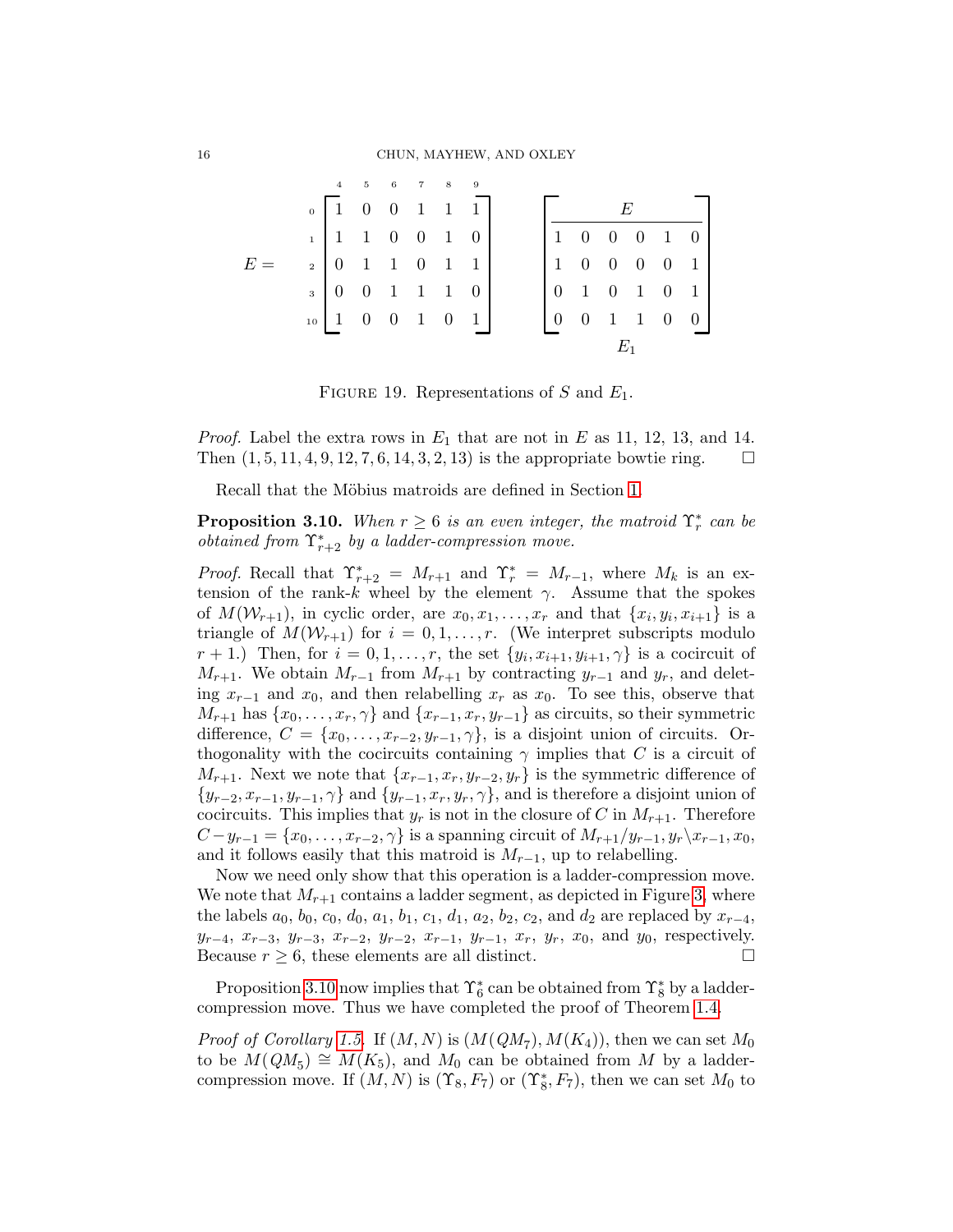|  |                     |  | 4 5 6 7 8 9 |  |                                                                                                                                                  |  |                                                                                                                                                                             |  |  |  |  |  |  |
|--|---------------------|--|-------------|--|--------------------------------------------------------------------------------------------------------------------------------------------------|--|-----------------------------------------------------------------------------------------------------------------------------------------------------------------------------|--|--|--|--|--|--|
|  |                     |  |             |  | $\begin{array}{c cccc} 0 & 1 & 0 & 0 & 1 & 1 & 1 \\ 1 & 1 & 0 & 0 & 1 & 0 \\ 2 & 0 & 1 & 1 & 0 & 1 & 1 \\ 3 & 0 & 0 & 1 & 1 & 1 & 0 \end{array}$ |  | $\begin{array}{ c cccc } \hline & E & & & \\ \hline 1 & 0 & 0 & 0 & 1 & 0 \\ 1 & 0 & 0 & 0 & 0 & 1 \\ 0 & 1 & 0 & 1 & 0 & 1 \\ 0 & 0 & 1 & 1 & 0 & 0 \\ \hline \end{array}$ |  |  |  |  |  |  |
|  |                     |  |             |  |                                                                                                                                                  |  |                                                                                                                                                                             |  |  |  |  |  |  |
|  |                     |  |             |  |                                                                                                                                                  |  |                                                                                                                                                                             |  |  |  |  |  |  |
|  |                     |  |             |  |                                                                                                                                                  |  |                                                                                                                                                                             |  |  |  |  |  |  |
|  | $_{10}$ 1 0 0 1 0 1 |  |             |  |                                                                                                                                                  |  |                                                                                                                                                                             |  |  |  |  |  |  |
|  |                     |  |             |  |                                                                                                                                                  |  |                                                                                                                                                                             |  |  |  |  |  |  |

<span id="page-15-0"></span>FIGURE 19. Representations of S and  $E_1$ .

*Proof.* Label the extra rows in  $E_1$  that are not in E as 11, 12, 13, and 14. Then  $(1, 5, 11, 4, 9, 12, 7, 6, 14, 3, 2, 13)$  is the appropriate bowtie ring.  $\square$ 

Recall that the Möbius matroids are defined in Section [1.](#page-0-0)

<span id="page-15-1"></span>**Proposition 3.10.** When  $r \geq 6$  is an even integer, the matroid  $\Upsilon_r^*$  can be *obtained from*  $\Upsilon^*_{r+2}$  *by a ladder-compression move.* 

*Proof.* Recall that  $\Upsilon_{r+2}^* = M_{r+1}$  and  $\Upsilon_r^* = M_{r-1}$ , where  $M_k$  is an extension of the rank-k wheel by the element  $\gamma$ . Assume that the spokes of  $M(\mathcal{W}_{r+1})$ , in cyclic order, are  $x_0, x_1, \ldots, x_r$  and that  $\{x_i, y_i, x_{i+1}\}$  is a triangle of  $M(\mathcal{W}_{r+1})$  for  $i = 0, 1, ..., r$ . (We interpret subscripts modulo  $r+1$ .) Then, for  $i=0,1,\ldots,r$ , the set  $\{y_i,x_{i+1},y_{i+1},\gamma\}$  is a cocircuit of  $M_{r+1}$ . We obtain  $M_{r-1}$  from  $M_{r+1}$  by contracting  $y_{r-1}$  and  $y_r$ , and deleting  $x_{r-1}$  and  $x_0$ , and then relabelling  $x_r$  as  $x_0$ . To see this, observe that  $M_{r+1}$  has  $\{x_0, \ldots, x_r, \gamma\}$  and  $\{x_{r-1}, x_r, y_{r-1}\}$  as circuits, so their symmetric difference,  $C = \{x_0, \ldots, x_{r-2}, y_{r-1}, \gamma\}$ , is a disjoint union of circuits. Orthogonality with the cocircuits containing  $\gamma$  implies that C is a circuit of  $M_{r+1}$ . Next we note that  $\{x_{r-1}, x_r, y_{r-2}, y_r\}$  is the symmetric difference of  $\{y_{r-2}, x_{r-1}, y_{r-1}, \gamma\}$  and  $\{y_{r-1}, x_r, y_r, \gamma\}$ , and is therefore a disjoint union of cocircuits. This implies that  $y_r$  is not in the closure of C in  $M_{r+1}$ . Therefore  $C-y_{r-1} = \{x_0, \ldots, x_{r-2}, \gamma\}$  is a spanning circuit of  $M_{r+1}/y_{r-1}, y_r\backslash x_{r-1}, x_0$ , and it follows easily that this matroid is  $M_{r-1}$ , up to relabelling.

Now we need only show that this operation is a ladder-compression move. We note that  $M_{r+1}$  contains a ladder segment, as depicted in Figure [3,](#page-5-2) where the labels  $a_0, b_0, c_0, d_0, a_1, b_1, c_1, d_1, a_2, b_2, c_2$ , and  $d_2$  are replaced by  $x_{r-4}$ ,  $y_{r-4}, x_{r-3}, y_{r-3}, x_{r-2}, y_{r-2}, x_{r-1}, y_{r-1}, x_r, y_r, x_0$ , and  $y_0$ , respectively. Because  $r \geq 6$ , these elements are all distinct.

Proposition [3.10](#page-15-1) now implies that  $\Upsilon_6^*$  can be obtained from  $\Upsilon_8^*$  by a laddercompression move. Thus we have completed the proof of Theorem [1.4.](#page-3-0)

*Proof of Corollary [1.5.](#page-3-1)* If  $(M, N)$  is  $(M(QM_7), M(K_4))$ , then we can set  $M_0$ to be  $M(QM_5) \cong M(K_5)$ , and  $M_0$  can be obtained from M by a laddercompression move. If  $(M, N)$  is  $(\Upsilon_8, F_7)$  or  $(\Upsilon_8^*, F_7)$ , then we can set  $M_0$  to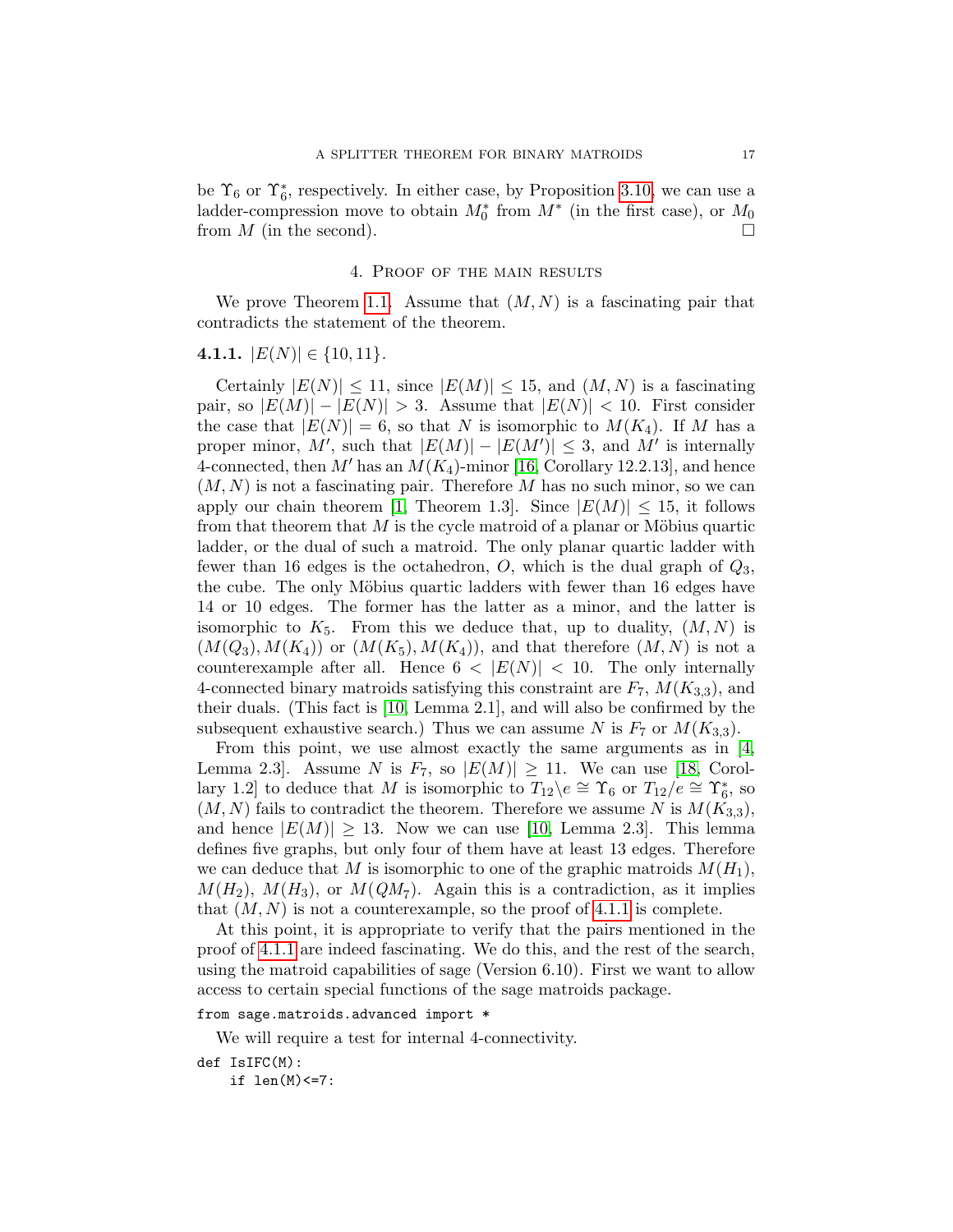be  $\Upsilon_6$  or  $\Upsilon_6^*$ , respectively. In either case, by Proposition [3.10,](#page-15-1) we can use a ladder-compression move to obtain  $M_0^*$  from  $M^*$  (in the first case), or  $M_0$ from  $M$  (in the second).

#### 4. Proof of the main results

We prove Theorem [1.1.](#page-2-0) Assume that  $(M, N)$  is a fascinating pair that contradicts the statement of the theorem.

## <span id="page-16-0"></span>4.1.1.  $|E(N)| \in \{10, 11\}.$

Certainly  $|E(N)| \le 11$ , since  $|E(M)| \le 15$ , and  $(M, N)$  is a fascinating pair, so  $|E(M)| - |E(N)| > 3$ . Assume that  $|E(N)| < 10$ . First consider the case that  $|E(N)| = 6$ , so that N is isomorphic to  $M(K_4)$ . If M has a proper minor, M', such that  $|E(M)| - |E(M')| \leq 3$ , and M' is internally 4-connected, then M' has an  $M(K_4)$ -minor [\[16,](#page-34-16) Corollary 12.2.13], and hence  $(M, N)$  is not a fascinating pair. Therefore M has no such minor, so we can apply our chain theorem [\[1,](#page-34-13) Theorem 1.3]. Since  $|E(M)| \leq 15$ , it follows from that theorem that  $M$  is the cycle matroid of a planar or Möbius quartic ladder, or the dual of such a matroid. The only planar quartic ladder with fewer than 16 edges is the octahedron,  $O$ , which is the dual graph of  $Q_3$ , the cube. The only Möbius quartic ladders with fewer than 16 edges have 14 or 10 edges. The former has the latter as a minor, and the latter is isomorphic to  $K_5$ . From this we deduce that, up to duality,  $(M, N)$  is  $(M(Q_3), M(K_4))$  or  $(M(K_5), M(K_4))$ , and that therefore  $(M, N)$  is not a counterexample after all. Hence  $6 < |E(N)| < 10$ . The only internally 4-connected binary matroids satisfying this constraint are  $F_7$ ,  $M(K_{3,3})$ , and their duals. (This fact is [\[10,](#page-34-14) Lemma 2.1], and will also be confirmed by the subsequent exhaustive search.) Thus we can assume N is  $F_7$  or  $M(K_{3,3})$ .

From this point, we use almost exactly the same arguments as in [\[4,](#page-34-2)] Lemma 2.3. Assume N is  $F_7$ , so  $|E(M)| \ge 11$ . We can use [\[18,](#page-34-17) Corollary 1.2] to deduce that M is isomorphic to  $T_{12}$ \e  $\cong$   $\Upsilon_6$  or  $T_{12}/e \cong \Upsilon_6^*$ , so  $(M, N)$  fails to contradict the theorem. Therefore we assume N is  $M(K_{3,3}),$ and hence  $|E(M)| \geq 13$ . Now we can use [\[10,](#page-34-14) Lemma 2.3]. This lemma defines five graphs, but only four of them have at least 13 edges. Therefore we can deduce that M is isomorphic to one of the graphic matroids  $M(H_1)$ ,  $M(H_2)$ ,  $M(H_3)$ , or  $M(QM_7)$ . Again this is a contradiction, as it implies that  $(M, N)$  is not a counterexample, so the proof of [4.1.1](#page-16-0) is complete.

At this point, it is appropriate to verify that the pairs mentioned in the proof of [4.1.1](#page-16-0) are indeed fascinating. We do this, and the rest of the search, using the matroid capabilities of sage (Version 6.10). First we want to allow access to certain special functions of the sage matroids package.

#### from sage.matroids.advanced import \*

We will require a test for internal 4-connectivity.

```
def IsIFC(M):
```
if len(M)<=7: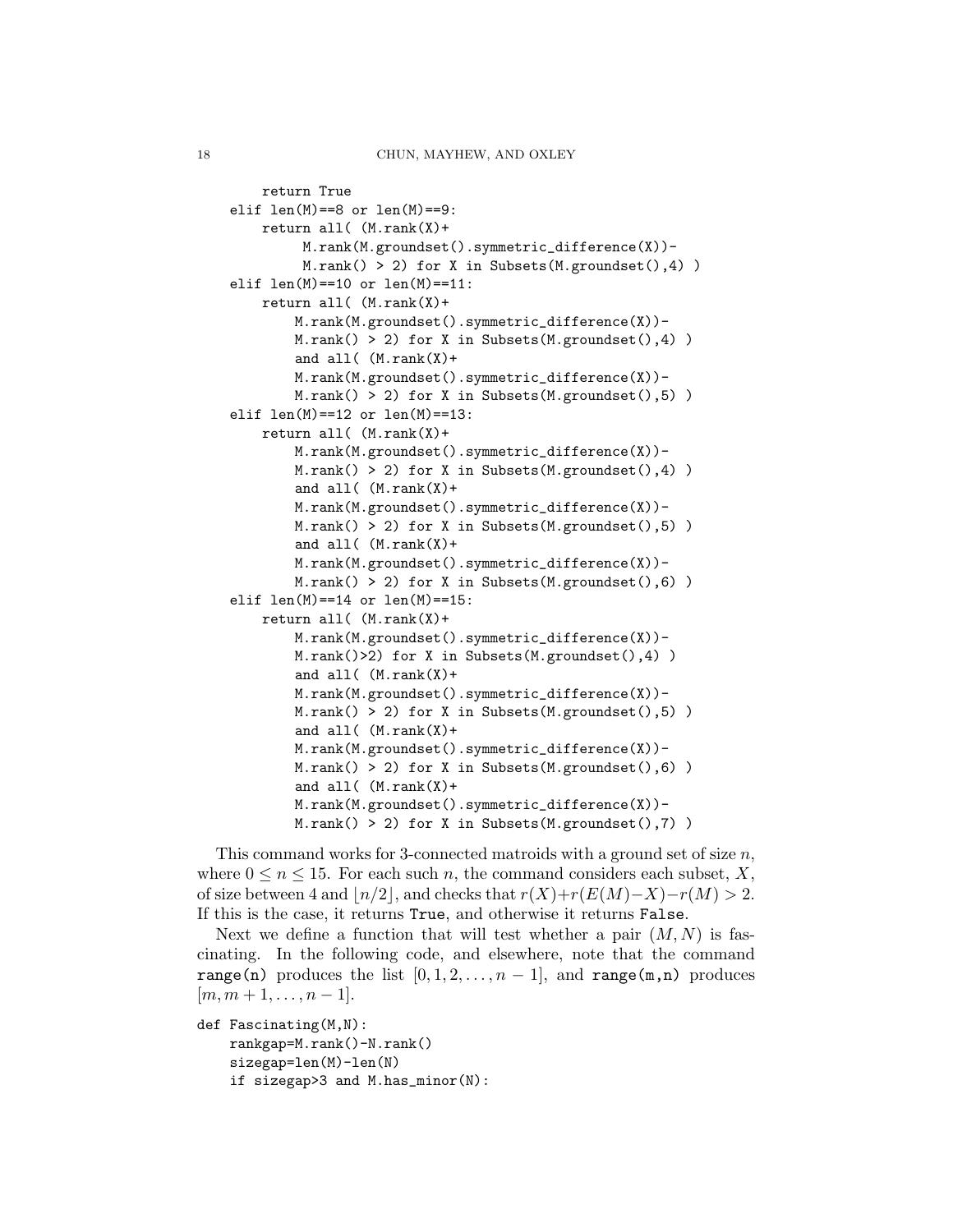```
return True
elif len(M)=8 or len(M)=9:
    return all( (M.rank(X)+
         M.rank(M.groundset().symmetric_difference(X))-
         M.random() > 2) for X in Subsets(M.groundset(),4))
elif len(M) == 10 or len(M) == 11:
    return all( (M.rank(X)+
        M.rank(M.groundset().symmetric_difference(X))-
        M.random() > 2) for X in Subsets(M.groundset(),4))
        and all( (M.\text{rank}(X) +M.rank(M.groundset().symmetric_difference(X))-
        M.\text{rank}() > 2 for X in Subsets(M.groundset(),5))
elif len(M) == 12 or len(M) == 13:
    return all( (M.rank(X)+
        M.rank(M.groundset().symmetric_difference(X))-
        M.random() > 2) for X in Subsets(M.groundset(),4))
        and all( (M.\text{rank}(X) +M.rank(M.groundset().symmetric_difference(X))-
        M.random() > 2) for X in Subsets(M.groundset(),5))
        and all( (M.\text{rank}(X) +M.rank(M.groundset().symmetric_difference(X))-
        M.random() > 2) for X in Subsets(M.groundset(),6))
elif len(M) == 14 or len(M) == 15:
    return all( (M.rank(X)+
        M.rank(M.groundset().symmetric_difference(X))-
        M.rank()>2) for X in Subsets(M.groundset(),4) )
        and all( (M.rank(X)+
        M.rank(M.groundset().symmetric_difference(X))-
        M.random() > 2) for X in Subsets(M.groundset(),5))
        and all( (M.\text{rank}(X) +M.rank(M.groundset().symmetric_difference(X))-
        M.random() > 2) for X in Subsets(M.groundset(),6))
        and all( (M.\text{rank}(X)+
        M.rank(M.groundset().symmetric_difference(X))-
        M.random() > 2) for X in Subsets(M.groundset(),7))
```
This command works for 3-connected matroids with a ground set of size  $n$ , where  $0 \leq n \leq 15$ . For each such n, the command considers each subset, X, of size between 4 and  $\lfloor n/2 \rfloor$ , and checks that  $r(X)+r(E(M)-X)-r(M) > 2$ . If this is the case, it returns True, and otherwise it returns False.

Next we define a function that will test whether a pair  $(M, N)$  is fascinating. In the following code, and elsewhere, note that the command range(n) produces the list  $[0, 1, 2, \ldots, n-1]$ , and range(m,n) produces  $[m, m+1, \ldots, n-1].$ 

```
def Fascinating(M,N):
    rankgap=M.rank()-N.rank()
    sizegap=len(M)-len(N)
    if sizegap>3 and M.has_minor(N):
```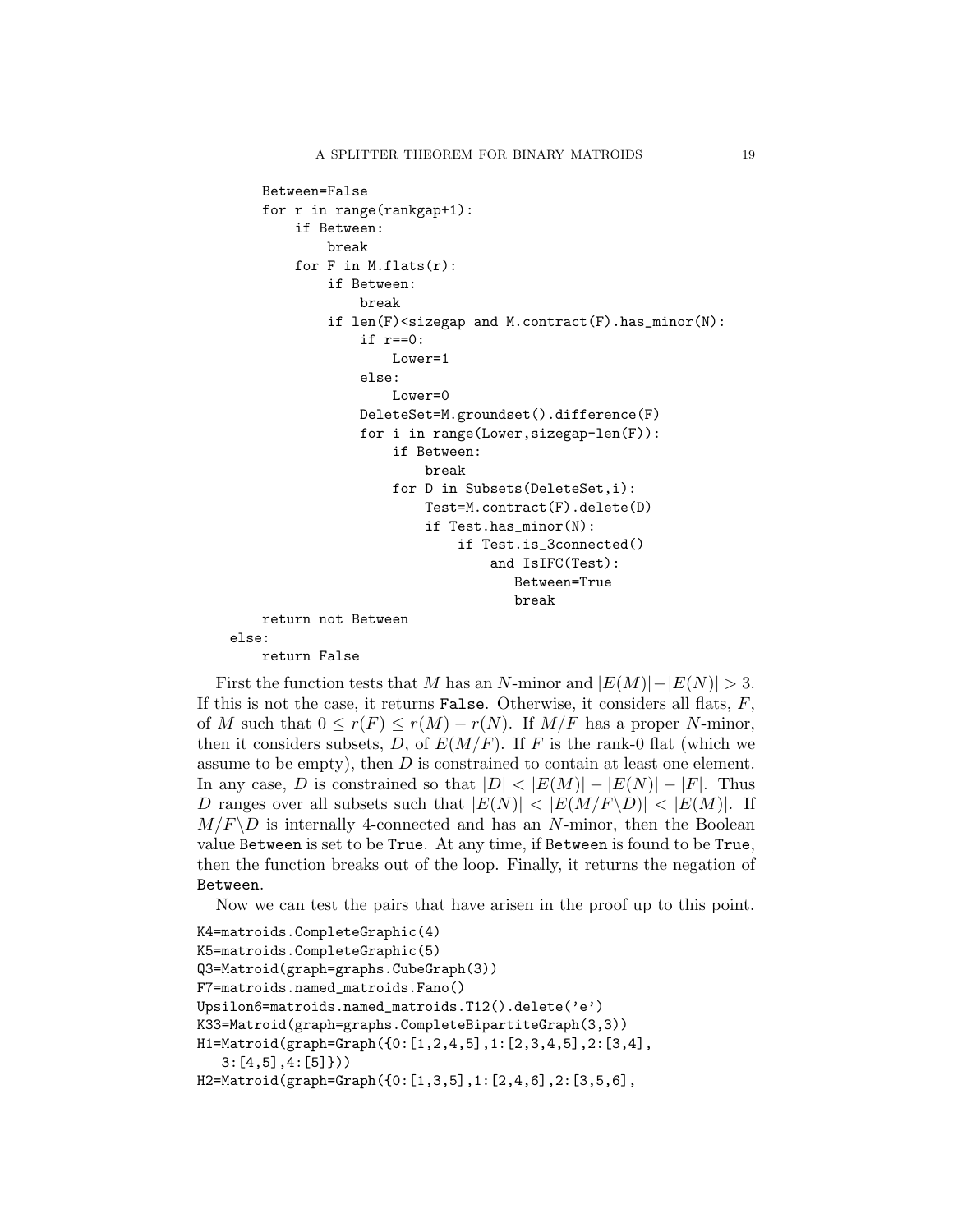```
Between=False
    for r in range(rankgap+1):
        if Between:
            break
        for F in M.flats(r):
            if Between:
                break
            if len(F)<sizegap and M.contract(F).has_minor(N):
                if r==0:
                    Lower=1
                else:
                    Lower=0
                DeleteSet=M.groundset().difference(F)
                for i in range(Lower,sizegap-len(F)):
                    if Between:
                        break
                    for D in Subsets(DeleteSet,i):
                        Test=M.contract(F).delete(D)
                        if Test.has_minor(N):
                            if Test.is_3connected()
                                 and IsIFC(Test):
                                    Between=True
                                    break
    return not Between
else:
    return False
```
First the function tests that M has an N-minor and  $|E(M)|-|E(N)| > 3$ . If this is not the case, it returns False. Otherwise, it considers all flats,  $F$ , of M such that  $0 \le r(F) \le r(M) - r(N)$ . If  $M/F$  has a proper N-minor, then it considers subsets, D, of  $E(M/F)$ . If F is the rank-0 flat (which we assume to be empty), then  $D$  is constrained to contain at least one element. In any case, D is constrained so that  $|D| < |E(M)| - |E(N)| - |F|$ . Thus D ranges over all subsets such that  $|E(N)| < |E(M/F \backslash D)| < |E(M)|$ . If  $M/F\backslash D$  is internally 4-connected and has an N-minor, then the Boolean value Between is set to be True. At any time, if Between is found to be True, then the function breaks out of the loop. Finally, it returns the negation of Between.

Now we can test the pairs that have arisen in the proof up to this point.

```
K4=matroids.CompleteGraphic(4)
K5=matroids.CompleteGraphic(5)
Q3=Matroid(graph=graphs.CubeGraph(3))
F7=matroids.named_matroids.Fano()
Upsilon6=matroids.named_matroids.T12().delete('e')
K33=Matroid(graph=graphs.CompleteBipartiteGraph(3,3))
H1=Matroid(graph=Graph({0:[1,2,4,5],1:[2,3,4,5],2:[3,4],
   3:[4,5],4:[5]}))
H2=Matroid(graph=Graph({0:[1,3,5],1:[2,4,6],2:[3,5,6],
```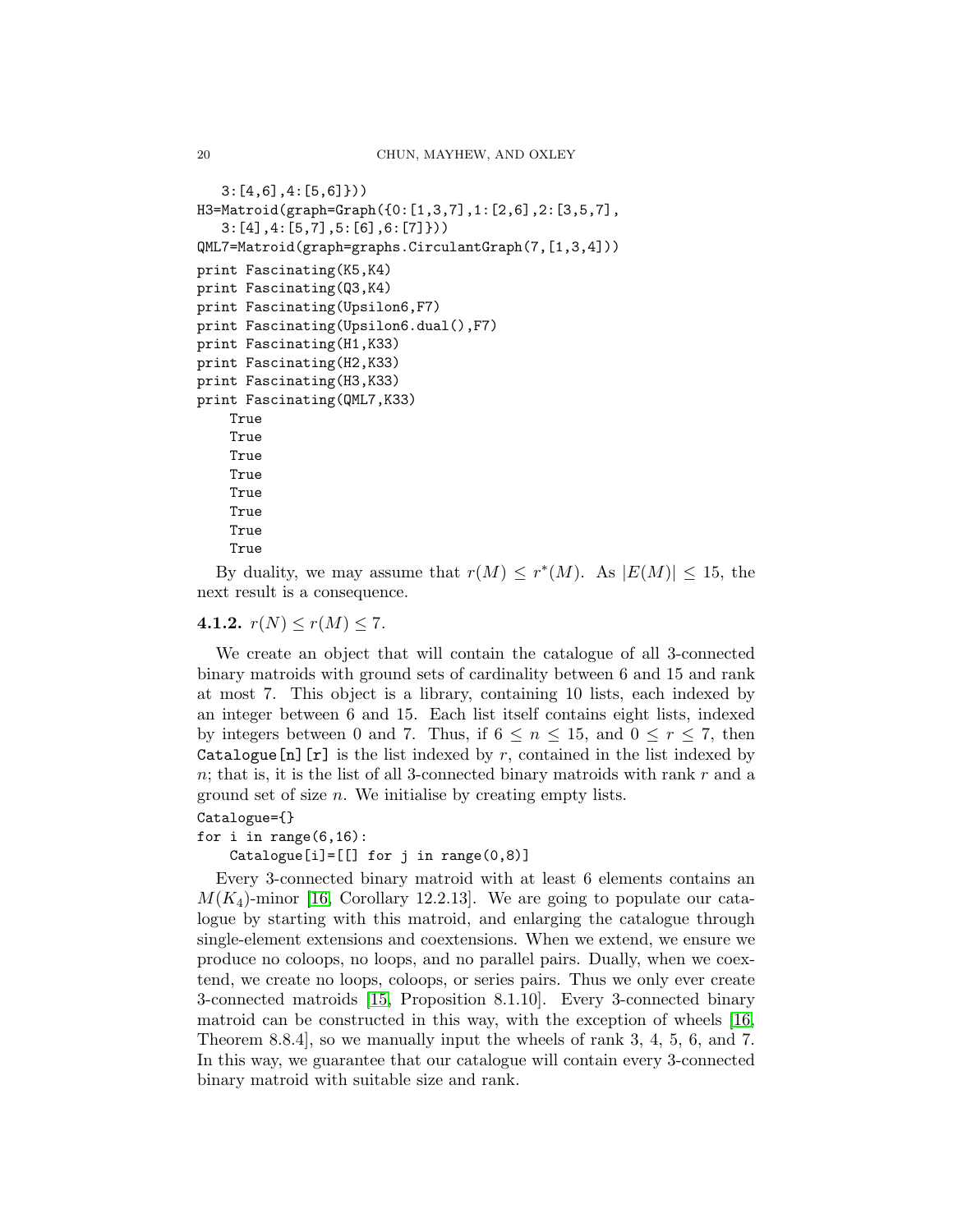```
3:[4,6],4:[5,6]}))
H3=Matroid(graph=Graph({0:[1,3,7],1:[2,6],2:[3,5,7],
   3:[4],4:[5,7],5:[6],6:[7]}))
QML7=Matroid(graph=graphs.CirculantGraph(7,[1,3,4]))
print Fascinating(K5,K4)
print Fascinating(Q3,K4)
print Fascinating(Upsilon6,F7)
print Fascinating(Upsilon6.dual(),F7)
print Fascinating(H1,K33)
print Fascinating(H2,K33)
print Fascinating(H3,K33)
print Fascinating(QML7,K33)
    True
    True
    True
    True
    True
    True
    True
    True
```
By duality, we may assume that  $r(M) \leq r^*(M)$ . As  $|E(M)| \leq 15$ , the next result is a consequence.

## 4.1.2.  $r(N) \le r(M) \le 7$ .

We create an object that will contain the catalogue of all 3-connected binary matroids with ground sets of cardinality between 6 and 15 and rank at most 7. This object is a library, containing 10 lists, each indexed by an integer between 6 and 15. Each list itself contains eight lists, indexed by integers between 0 and 7. Thus, if  $6 \leq n \leq 15$ , and  $0 \leq r \leq 7$ , then Catalogue  $[n]$  [r] is the list indexed by r, contained in the list indexed by  $n$ ; that is, it is the list of all 3-connected binary matroids with rank  $r$  and a ground set of size  $n$ . We initialise by creating empty lists.

```
Catalogue={}
```
for i in range $(6,16)$ :

Catalogue[i]=[[] for j in range(0,8)]

Every 3-connected binary matroid with at least 6 elements contains an  $M(K_4)$ -minor [\[16,](#page-34-16) Corollary 12.2.13]. We are going to populate our catalogue by starting with this matroid, and enlarging the catalogue through single-element extensions and coextensions. When we extend, we ensure we produce no coloops, no loops, and no parallel pairs. Dually, when we coextend, we create no loops, coloops, or series pairs. Thus we only ever create 3-connected matroids [\[15,](#page-34-15) Proposition 8.1.10]. Every 3-connected binary matroid can be constructed in this way, with the exception of wheels [\[16,](#page-34-16) Theorem 8.8.4], so we manually input the wheels of rank 3, 4, 5, 6, and 7. In this way, we guarantee that our catalogue will contain every 3-connected binary matroid with suitable size and rank.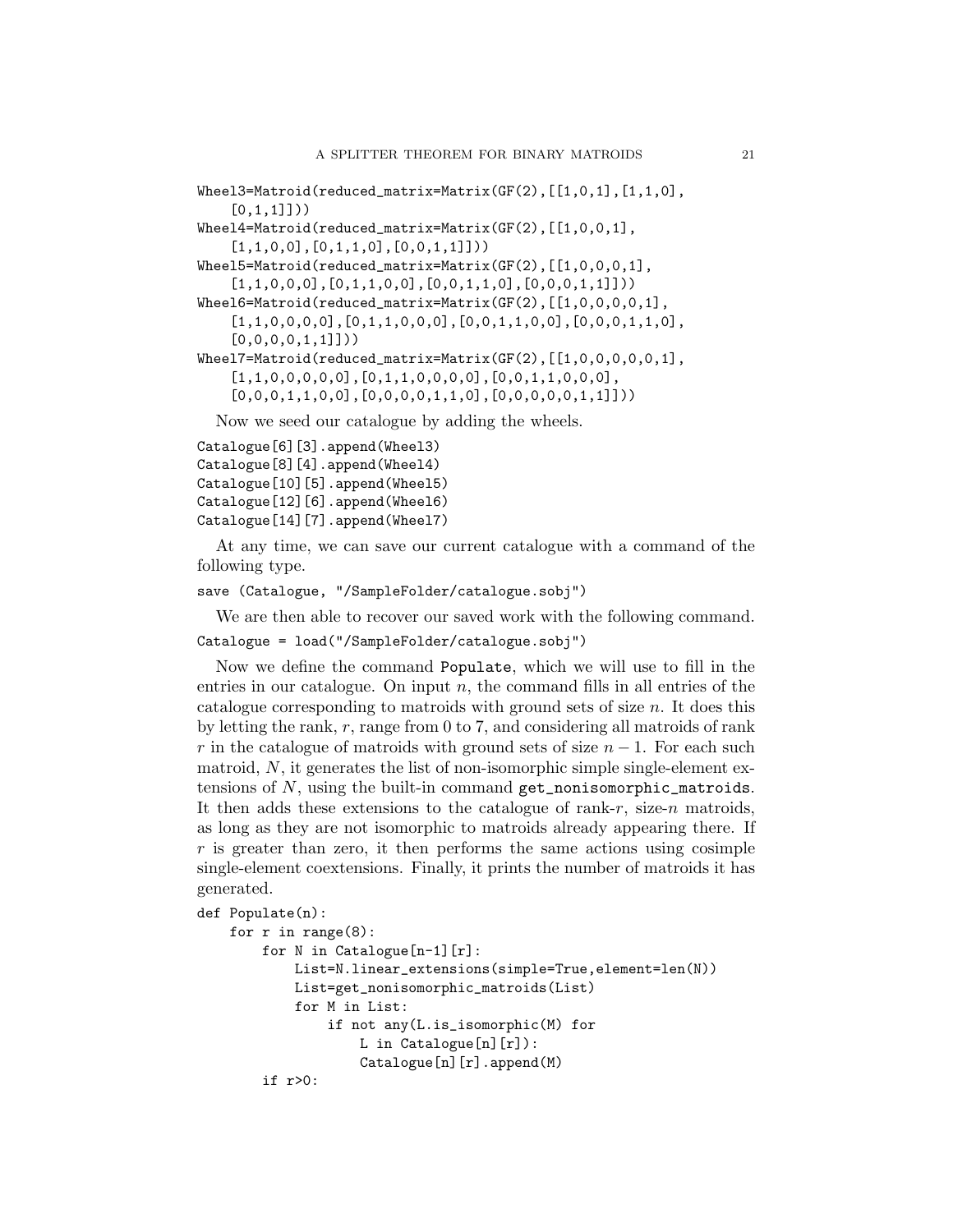```
Wheel3=Matroid(reduced_matrix=Matrix(GF(2), [[1,0,1], [1,1,0],[0,1,1]]))
Wheel4=Matroid(reduced_matrix=Matrix(GF(2),[[1,0,0,1],
    [1,1,0,0],[0,1,1,0],[0,0,1,1]]))
Wheel5=Matroid(reduced_matrix=Matrix(GF(2),[[1,0,0,0,1],
    [1,1,0,0,0],[0,1,1,0,0],[0,0,1,1,0],[0,0,0,1,1]]))
Wheel6=Matroid(reduced_matrix=Matrix(GF(2),[[1,0,0,0,0,1],
    [1,1,0,0,0,0],[0,1,1,0,0,0],[0,0,1,1,0,0],[0,0,0,1,1,0],
    [0,0,0,0,1,1]])
Wheel7=Matroid(reduced_matrix=Matrix(GF(2),[[1,0,0,0,0,0,1],
    [1,1,0,0,0,0,0],[0,1,1,0,0,0,0],[0,0,1,1,0,0,0],
    [0,0,0,1,1,0,0],[0,0,0,0,1,1,0],[0,0,0,0,0,1,1]]))
  Now we seed our catalogue by adding the wheels.
```

```
Catalogue[6][3].append(Wheel3)
Catalogue[8][4].append(Wheel4)
Catalogue[10][5].append(Wheel5)
Catalogue[12][6].append(Wheel6)
Catalogue[14][7].append(Wheel7)
```
At any time, we can save our current catalogue with a command of the following type.

```
save (Catalogue, "/SampleFolder/catalogue.sobj")
```
We are then able to recover our saved work with the following command.

Catalogue = load("/SampleFolder/catalogue.sobj")

Now we define the command Populate, which we will use to fill in the entries in our catalogue. On input  $n$ , the command fills in all entries of the catalogue corresponding to matroids with ground sets of size  $n$ . It does this by letting the rank, r, range from 0 to 7, and considering all matroids of rank r in the catalogue of matroids with ground sets of size  $n - 1$ . For each such matroid,  $N$ , it generates the list of non-isomorphic simple single-element extensions of N, using the built-in command get\_nonisomorphic\_matroids. It then adds these extensions to the catalogue of rank- $r$ , size- $n$  matroids, as long as they are not isomorphic to matroids already appearing there. If  $r$  is greater than zero, it then performs the same actions using cosimple single-element coextensions. Finally, it prints the number of matroids it has generated.

```
def Populate(n):
```

```
for r in range(8):
    for N in Catalogue[n-1][r]:
        List=N.linear_extensions(simple=True,element=len(N))
        List=get_nonisomorphic_matroids(List)
        for M in List:
            if not any(L.is_isomorphic(M) for
                L in Catalogue[n][r]):
                Catalogue[n][r].append(M)
    if r>0:
```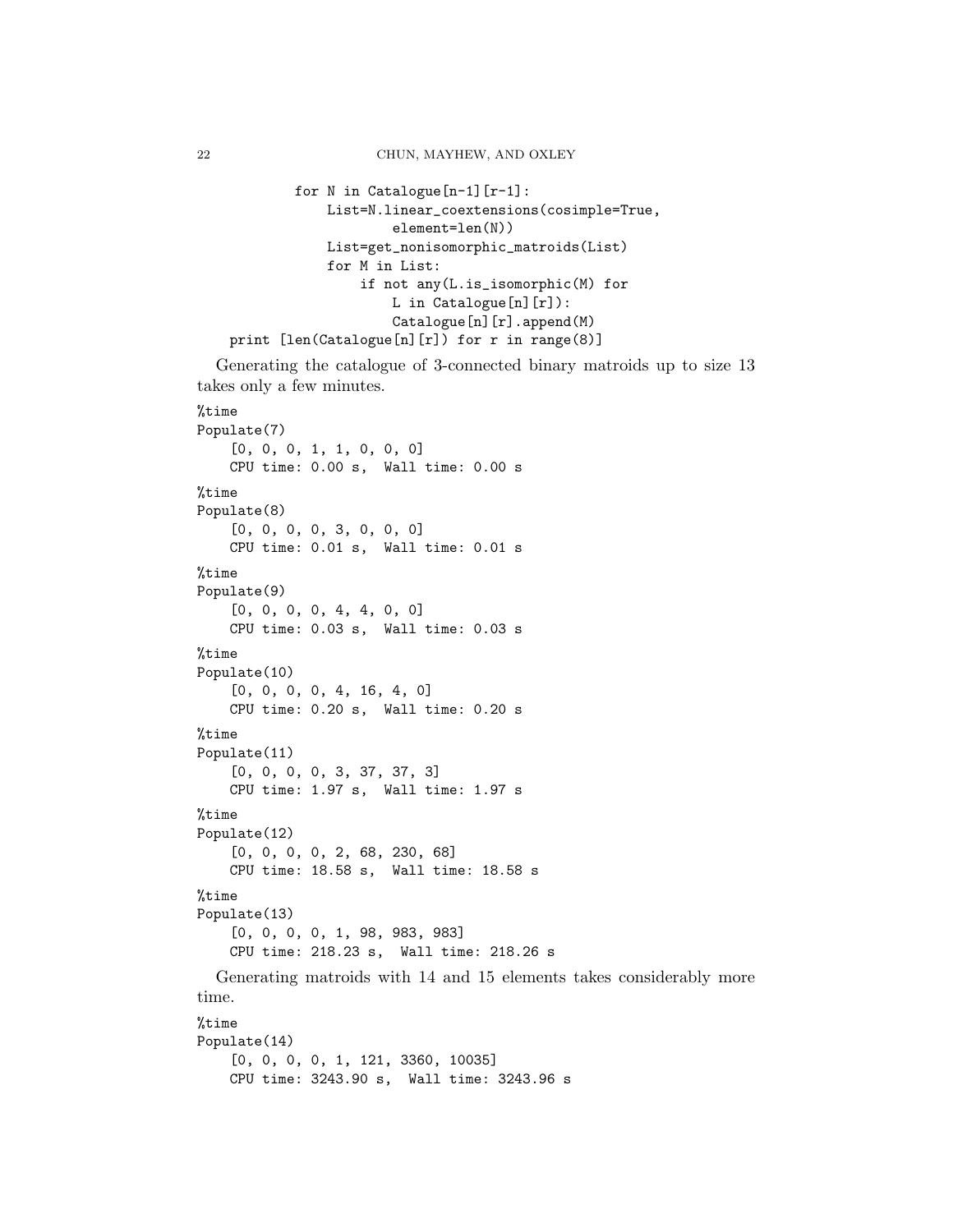```
for N in Catalogue[n-1][r-1]:
            List=N.linear_coextensions(cosimple=True,
                    element=len(N))
            List=get_nonisomorphic_matroids(List)
            for M in List:
                if not any(L.is_isomorphic(M) for
                    L in Catalogue[n][r]):
                    Catalogue[n][r].append(M)
print [len(Catalogue[n][r]) for r in range(8)]
```
Generating the catalogue of 3-connected binary matroids up to size 13 takes only a few minutes.

```
%time
Populate(7)
    [0, 0, 0, 1, 1, 0, 0, 0]
    CPU time: 0.00 s, Wall time: 0.00 s
%time
Populate(8)
    [0, 0, 0, 0, 3, 0, 0, 0]
    CPU time: 0.01 s, Wall time: 0.01 s
%time
Populate(9)
    [0, 0, 0, 0, 4, 4, 0, 0]CPU time: 0.03 s, Wall time: 0.03 s
%time
Populate(10)
    [0, 0, 0, 0, 4, 16, 4, 0]
    CPU time: 0.20 s, Wall time: 0.20 s
%time
Populate(11)
    [0, 0, 0, 0, 3, 37, 37, 3]
   CPU time: 1.97 s, Wall time: 1.97 s
%time
Populate(12)
    [0, 0, 0, 0, 2, 68, 230, 68]
    CPU time: 18.58 s, Wall time: 18.58 s
%time
Populate(13)
    [0, 0, 0, 0, 1, 98, 983, 983]
    CPU time: 218.23 s, Wall time: 218.26 s
  Generating matroids with 14 and 15 elements takes considerably more
time.
%time
Populate(14)
    [0, 0, 0, 0, 1, 121, 3360, 10035]
    CPU time: 3243.90 s, Wall time: 3243.96 s
```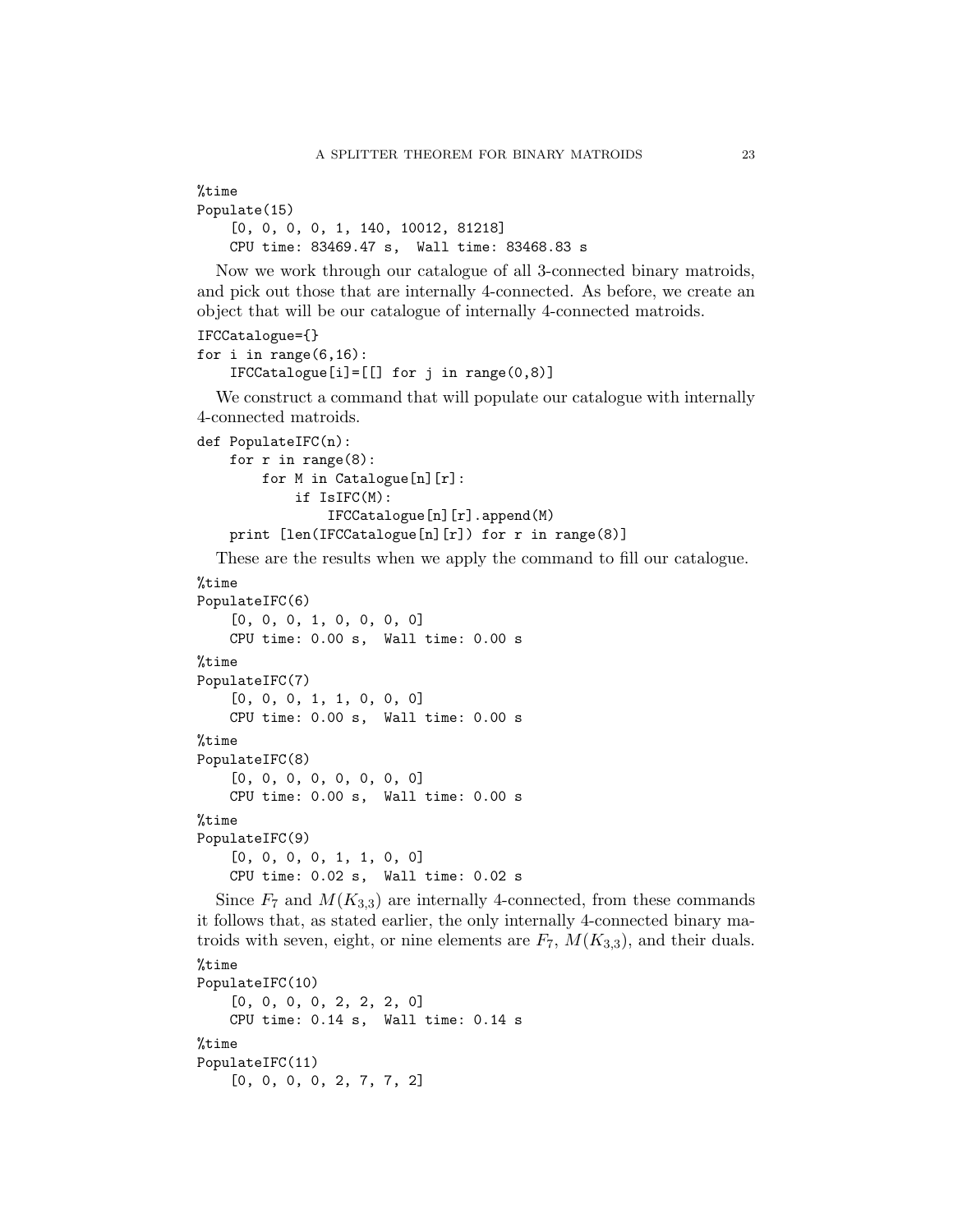```
%time
Populate(15)
    [0, 0, 0, 0, 1, 140, 10012, 81218]
    CPU time: 83469.47 s, Wall time: 83468.83 s
```
Now we work through our catalogue of all 3-connected binary matroids, and pick out those that are internally 4-connected. As before, we create an object that will be our catalogue of internally 4-connected matroids.

```
IFCCatalogue={}
```

```
for i in range(6,16):
    IFCCatalogue[i]=[[] for j in range(0,8)]
```
We construct a command that will populate our catalogue with internally 4-connected matroids.

```
def PopulateIFC(n):
    for r in range(8):
        for M in Catalogue[n][r]:
            if IsIFC(M):
                IFCCatalogue[n][r].append(M)
    print [len(IFCCatalogue[n][r]) for r in range(8)]
```
These are the results when we apply the command to fill our catalogue.

```
%time
```

```
PopulateIFC(6)
    [0, 0, 0, 1, 0, 0, 0, 0]CPU time: 0.00 s, Wall time: 0.00 s
%time
PopulateIFC(7)
    [0, 0, 0, 1, 1, 0, 0, 0]
    CPU time: 0.00 s, Wall time: 0.00 s
%time
PopulateIFC(8)
    [0, 0, 0, 0, 0, 0, 0, 0]
    CPU time: 0.00 s, Wall time: 0.00 s
%time
PopulateIFC(9)
    [0, 0, 0, 0, 1, 1, 0, 0]CPU time: 0.02 s, Wall time: 0.02 s
```
Since  $F_7$  and  $M(K_{3,3})$  are internally 4-connected, from these commands it follows that, as stated earlier, the only internally 4-connected binary matroids with seven, eight, or nine elements are  $F_7$ ,  $M(K_{3,3})$ , and their duals.

```
%time
PopulateIFC(10)
    [0, 0, 0, 0, 2, 2, 2, 0]
    CPU time: 0.14 s, Wall time: 0.14 s
%time
PopulateIFC(11)
    [0, 0, 0, 0, 2, 7, 7, 2]
```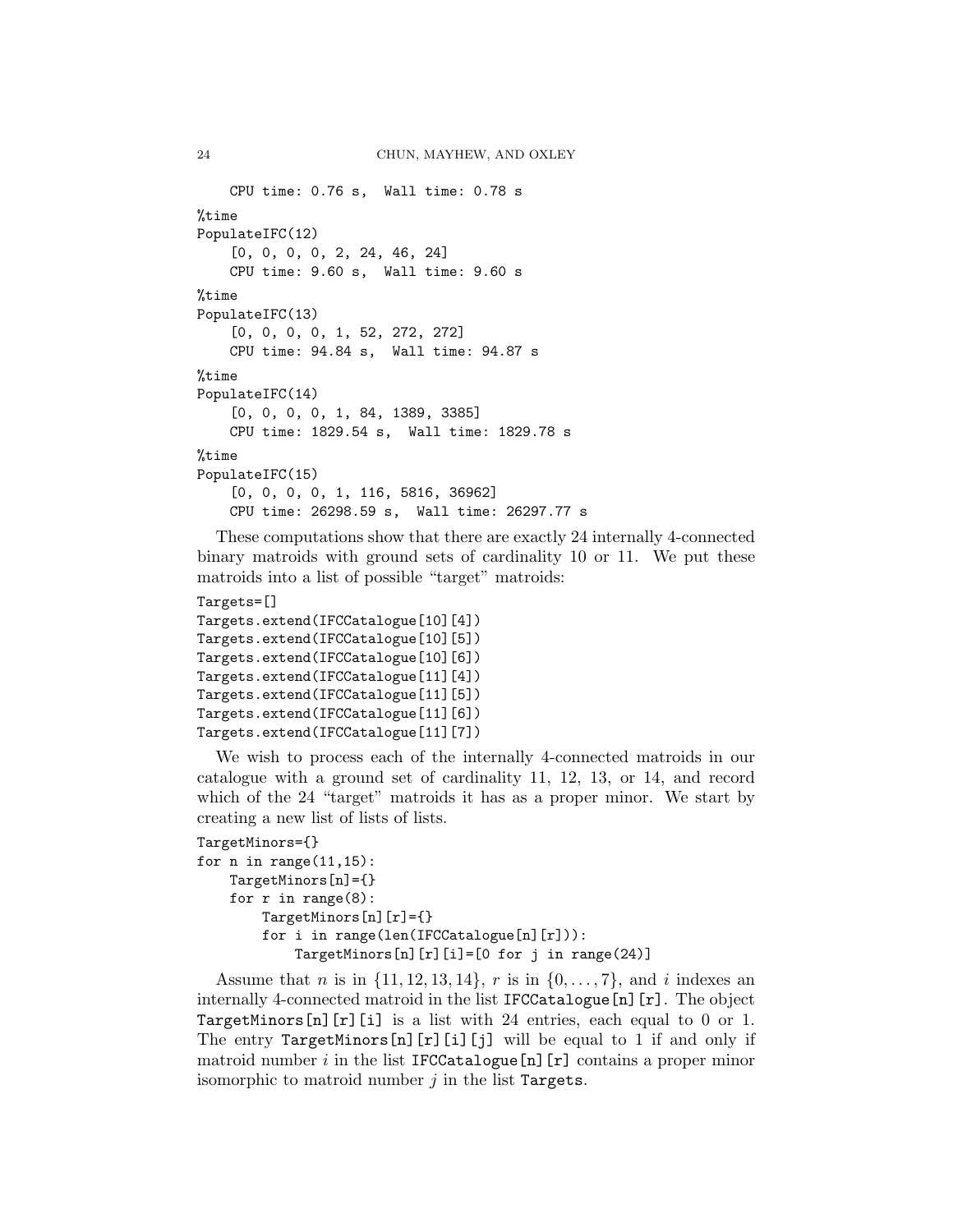```
CPU time: 0.76 s, Wall time: 0.78 s
%time
PopulateIFC(12)
    [0, 0, 0, 0, 2, 24, 46, 24]
    CPU time: 9.60 s, Wall time: 9.60 s
%time
PopulateIFC(13)
    [0, 0, 0, 0, 1, 52, 272, 272]
    CPU time: 94.84 s, Wall time: 94.87 s
%time
PopulateIFC(14)
    [0, 0, 0, 0, 1, 84, 1389, 3385]
    CPU time: 1829.54 s, Wall time: 1829.78 s
%time
PopulateIFC(15)
    [0, 0, 0, 0, 1, 116, 5816, 36962]
    CPU time: 26298.59 s, Wall time: 26297.77 s
```
These computations show that there are exactly 24 internally 4-connected binary matroids with ground sets of cardinality 10 or 11. We put these matroids into a list of possible "target" matroids:

## Targets=[]

```
Targets.extend(IFCCatalogue[10][4])
Targets.extend(IFCCatalogue[10][5])
Targets.extend(IFCCatalogue[10][6])
Targets.extend(IFCCatalogue[11][4])
Targets.extend(IFCCatalogue[11][5])
Targets.extend(IFCCatalogue[11][6])
Targets.extend(IFCCatalogue[11][7])
```
We wish to process each of the internally 4-connected matroids in our catalogue with a ground set of cardinality 11, 12, 13, or 14, and record which of the 24 "target" matroids it has as a proper minor. We start by creating a new list of lists of lists.

```
TargetMinors={}
for n in range(11, 15):
    TargetMinors[n]={}
    for r in range(8):
        TargetMinors[n][r]={}
        for i in range(len(IFCCatalogue[n][r])):
            TargetMinors[n][r][i]=[0 for j in range(24)]
```
Assume that *n* is in  $\{11, 12, 13, 14\}$ , *r* is in  $\{0, \ldots, 7\}$ , and *i* indexes an internally 4-connected matroid in the list IFCCatalogue[n][r]. The object TargetMinors[n][r][i] is a list with 24 entries, each equal to 0 or 1. The entry TargetMinors[n][r][i][j] will be equal to 1 if and only if matroid number  $i$  in the list IFCCatalogue[n][r] contains a proper minor isomorphic to matroid number  $i$  in the list Targets.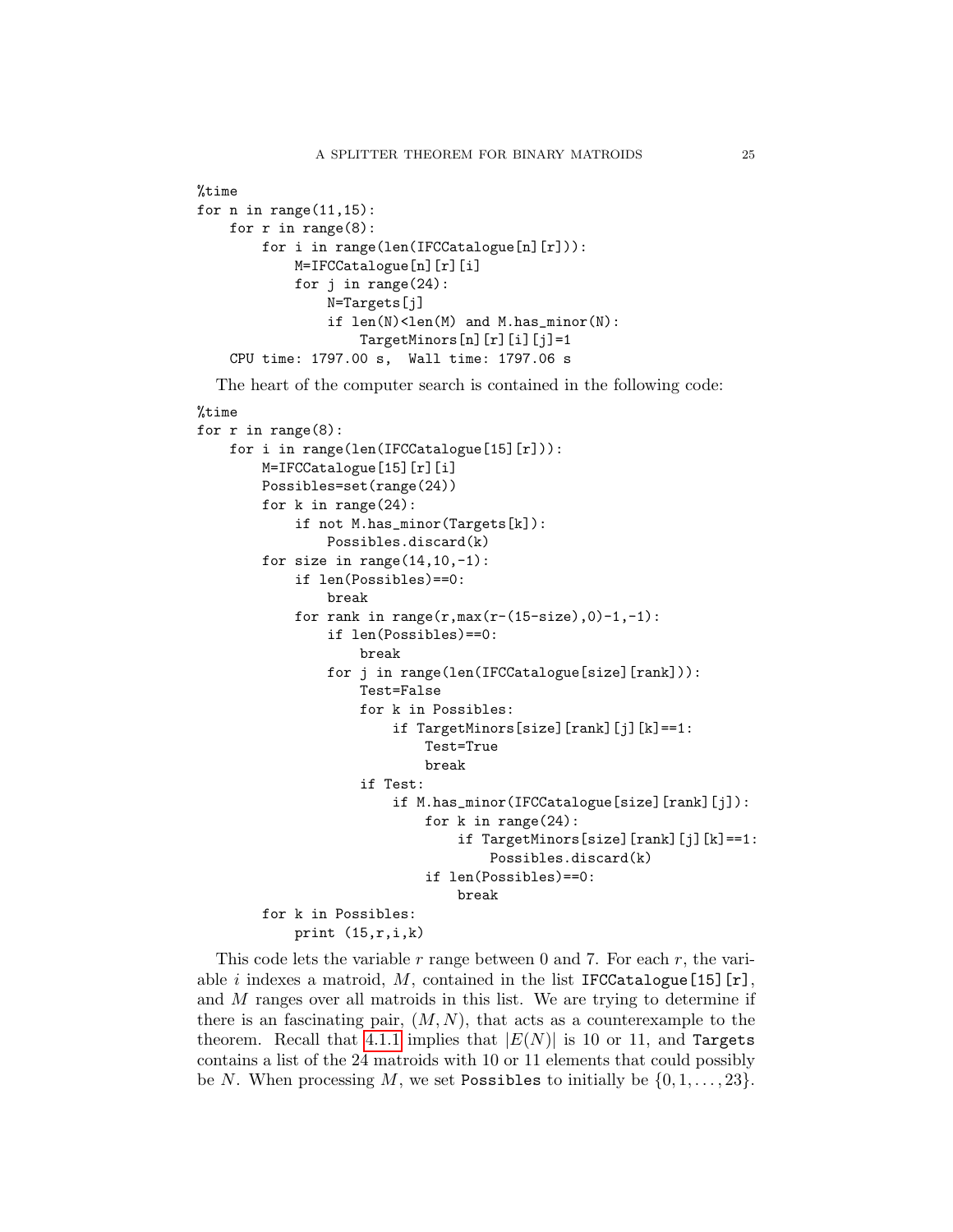```
%time
for n in range(11, 15):
    for r in range(8):
        for i in range(len(IFCCatalogue[n][r])):
            M=IFCCatalogue[n][r][i]
            for j in range(24):
                N=Targets[j]
                if len(N) < len(M) and M.has_minor(N):
                    TargetMinors[n][r][i][j]=1
    CPU time: 1797.00 s, Wall time: 1797.06 s
```
The heart of the computer search is contained in the following code:

#### %time

```
for r in range(8):
    for i in range(len(IFCCatalogue[15][r])):
        M=IFCCatalogue[15][r][i]
        Possibles=set(range(24))
        for k in range(24):
            if not M.has_minor(Targets[k]):
                Possibles.discard(k)
        for size in range(14, 10, -1):
            if len(Possibles)==0:
                break
            for rank in range(r, max(r-(15-size),0)-1,-1):
                if len(Possibles)==0:
                    break
                for j in range(len(IFCCatalogue[size][rank])):
                    Test=False
                    for k in Possibles:
                        if TargetMinors[size][rank][j][k]==1:
                            Test=True
                            break
                    if Test:
                        if M.has_minor(IFCCatalogue[size][rank][j]):
                             for k in range(24):
                                 if TargetMinors[size][rank][j][k]==1:
                                     Possibles.discard(k)
                             if len(Possibles)==0:
                                 break
        for k in Possibles:
            print (15,r,i,k)
```
This code lets the variable r range between 0 and 7. For each r, the variable i indexes a matroid, M, contained in the list IFCCatalogue [15] [r], and M ranges over all matroids in this list. We are trying to determine if there is an fascinating pair,  $(M, N)$ , that acts as a counterexample to the theorem. Recall that [4.1.1](#page-16-0) implies that  $|E(N)|$  is 10 or 11, and Targets contains a list of the 24 matroids with 10 or 11 elements that could possibly be N. When processing M, we set Possibles to initially be  $\{0, 1, \ldots, 23\}$ .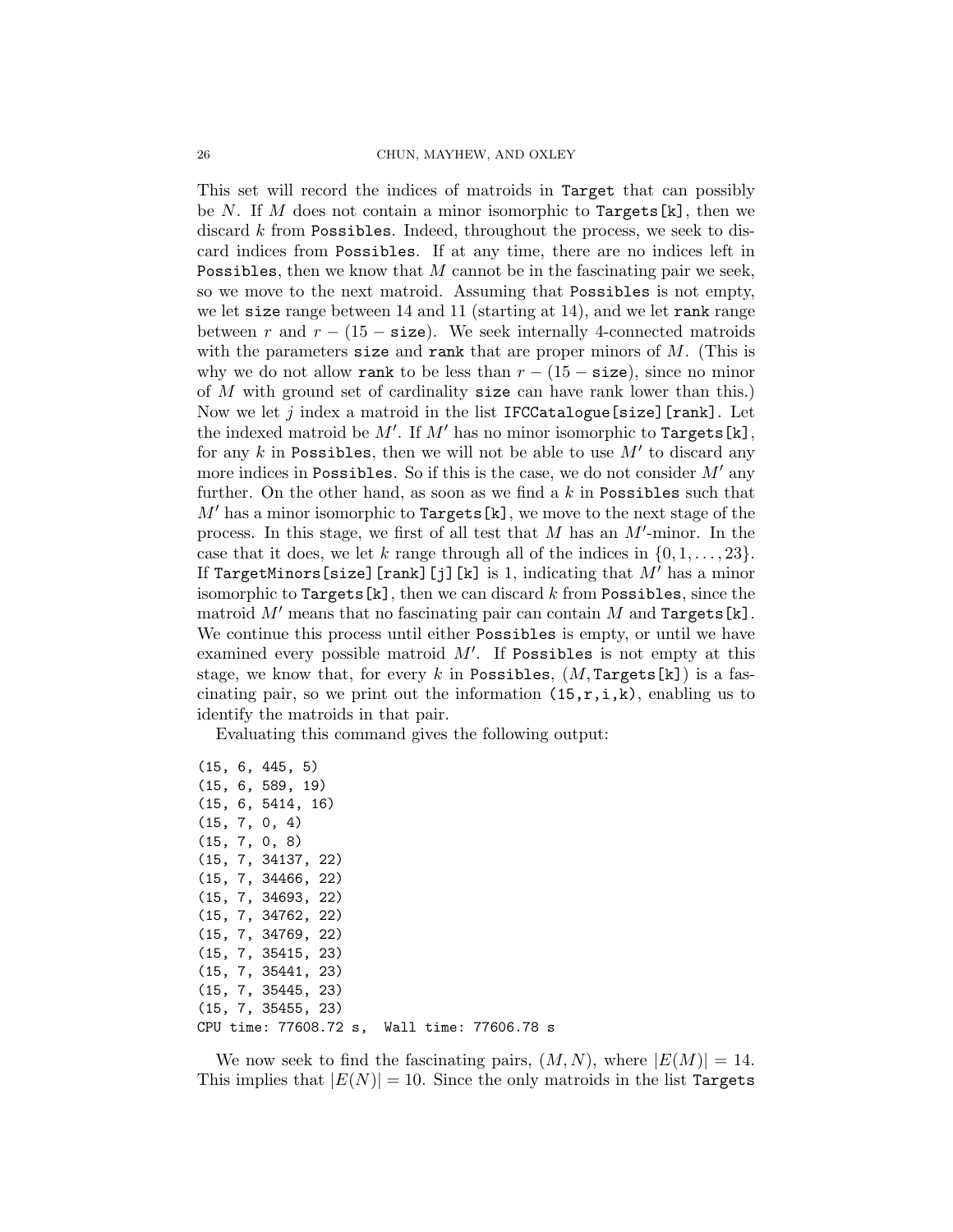This set will record the indices of matroids in Target that can possibly be N. If M does not contain a minor isomorphic to  $Targets[k]$ , then we discard k from Possibles. Indeed, throughout the process, we seek to discard indices from Possibles. If at any time, there are no indices left in Possibles, then we know that M cannot be in the fascinating pair we seek, so we move to the next matroid. Assuming that Possibles is not empty, we let size range between 14 and 11 (starting at 14), and we let rank range between r and  $r - (15 - \text{size})$ . We seek internally 4-connected matroids with the parameters size and rank that are proper minors of  $M$ . (This is why we do not allow rank to be less than  $r - (15 - \text{size})$ , since no minor of M with ground set of cardinality size can have rank lower than this.) Now we let j index a matroid in the list IFCCatalogue [size] [rank]. Let the indexed matroid be  $M'$ . If  $M'$  has no minor isomorphic to Targets[k], for any  $k$  in Possibles, then we will not be able to use  $M'$  to discard any more indices in Possibles. So if this is the case, we do not consider  $M'$  any further. On the other hand, as soon as we find a  $k$  in Possibles such that  $M'$  has a minor isomorphic to Targets [k], we move to the next stage of the process. In this stage, we first of all test that  $M$  has an  $M'$ -minor. In the case that it does, we let k range through all of the indices in  $\{0, 1, \ldots, 23\}$ . If TargetMinors[size][rank][j][k] is 1, indicating that  $M'$  has a minor isomorphic to Targets $[k]$ , then we can discard k from Possibles, since the matroid  $M'$  means that no fascinating pair can contain  $M$  and Targets[k]. We continue this process until either Possibles is empty, or until we have examined every possible matroid  $M'$ . If Possibles is not empty at this stage, we know that, for every k in Possibles,  $(M, \text{Targets[k]})$  is a fascinating pair, so we print out the information  $(15,r,i,k)$ , enabling us to identify the matroids in that pair.

Evaluating this command gives the following output:

```
(15, 6, 445, 5)
(15, 6, 589, 19)
(15, 6, 5414, 16)
(15, 7, 0, 4)
(15, 7, 0, 8)
(15, 7, 34137, 22)
(15, 7, 34466, 22)
(15, 7, 34693, 22)
(15, 7, 34762, 22)
(15, 7, 34769, 22)
(15, 7, 35415, 23)
(15, 7, 35441, 23)
(15, 7, 35445, 23)
(15, 7, 35455, 23)
CPU time: 77608.72 s, Wall time: 77606.78 s
```
We now seek to find the fascinating pairs,  $(M, N)$ , where  $|E(M)| = 14$ . This implies that  $|E(N)| = 10$ . Since the only matroids in the list Targets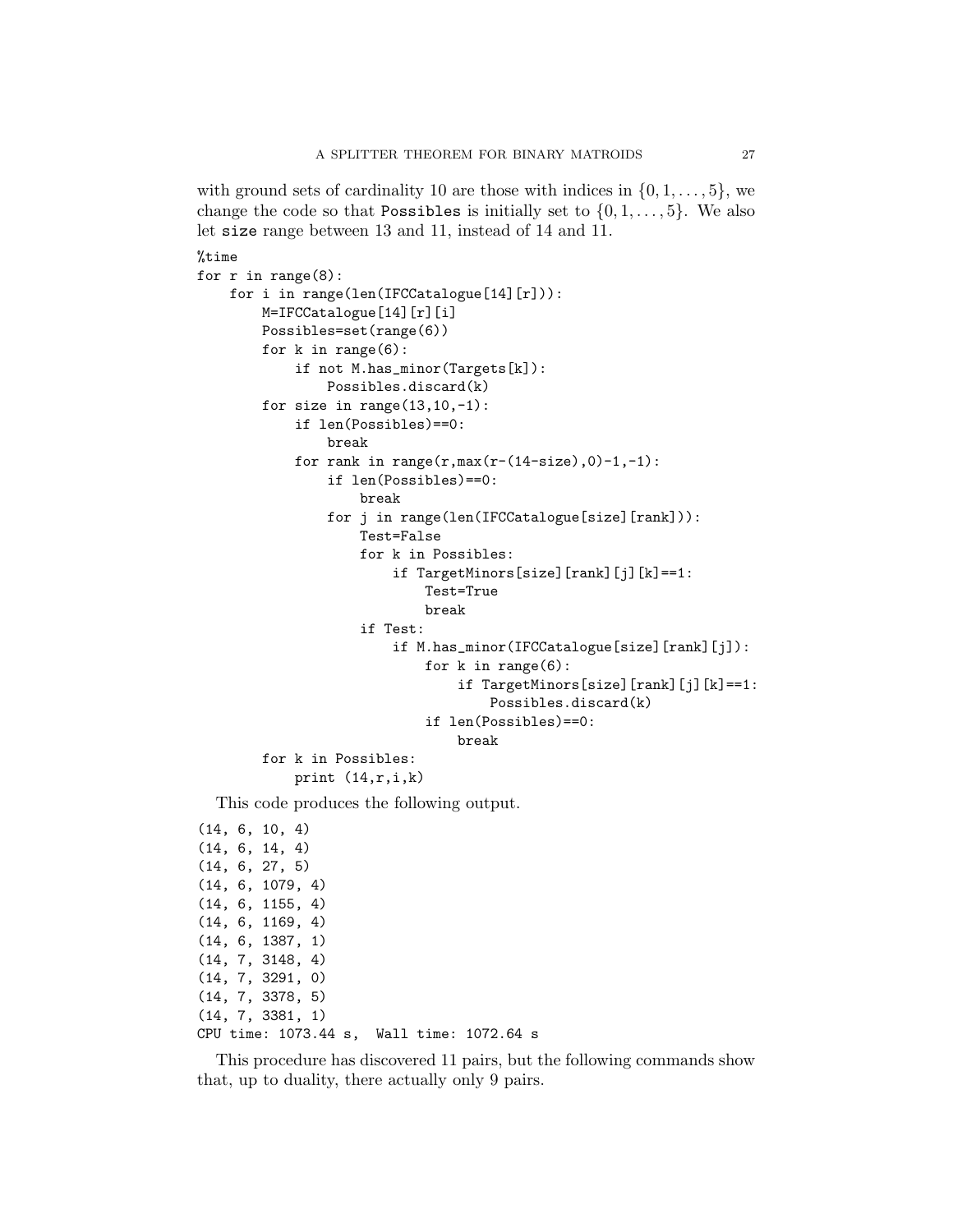with ground sets of cardinality 10 are those with indices in  $\{0, 1, \ldots, 5\}$ , we change the code so that Possibles is initially set to  $\{0, 1, \ldots, 5\}$ . We also let size range between 13 and 11, instead of 14 and 11.

```
%time
for r in range(8):
    for i in range(len(IFCCatalogue[14][r])):
        M=IFCCatalogue[14][r][i]
        Possibles=set(range(6))
        for k in range(6):
            if not M.has_minor(Targets[k]):
                Possibles.discard(k)
        for size in range(13, 10, -1):
            if len(Possibles)==0:
                break
            for rank in range(r, max(r-(14-size),0)-1,-1):
                if len(Possibles)==0:
                    break
                for j in range(len(IFCCatalogue[size][rank])):
                    Test=False
                    for k in Possibles:
                        if TargetMinors[size][rank][j][k]==1:
                            Test=True
                            break
                    if Test:
                        if M.has_minor(IFCCatalogue[size][rank][j]):
                             for k in range(6):
                                 if TargetMinors[size][rank][j][k]==1:
                                     Possibles.discard(k)
                             if len(Possibles)==0:
                                break
        for k in Possibles:
            print (14,r,i,k)
```
This code produces the following output.

```
(14, 6, 10, 4)
(14, 6, 14, 4)
(14, 6, 27, 5)
(14, 6, 1079, 4)
(14, 6, 1155, 4)
(14, 6, 1169, 4)
(14, 6, 1387, 1)
(14, 7, 3148, 4)
(14, 7, 3291, 0)
(14, 7, 3378, 5)
(14, 7, 3381, 1)
CPU time: 1073.44 s, Wall time: 1072.64 s
```
This procedure has discovered 11 pairs, but the following commands show that, up to duality, there actually only 9 pairs.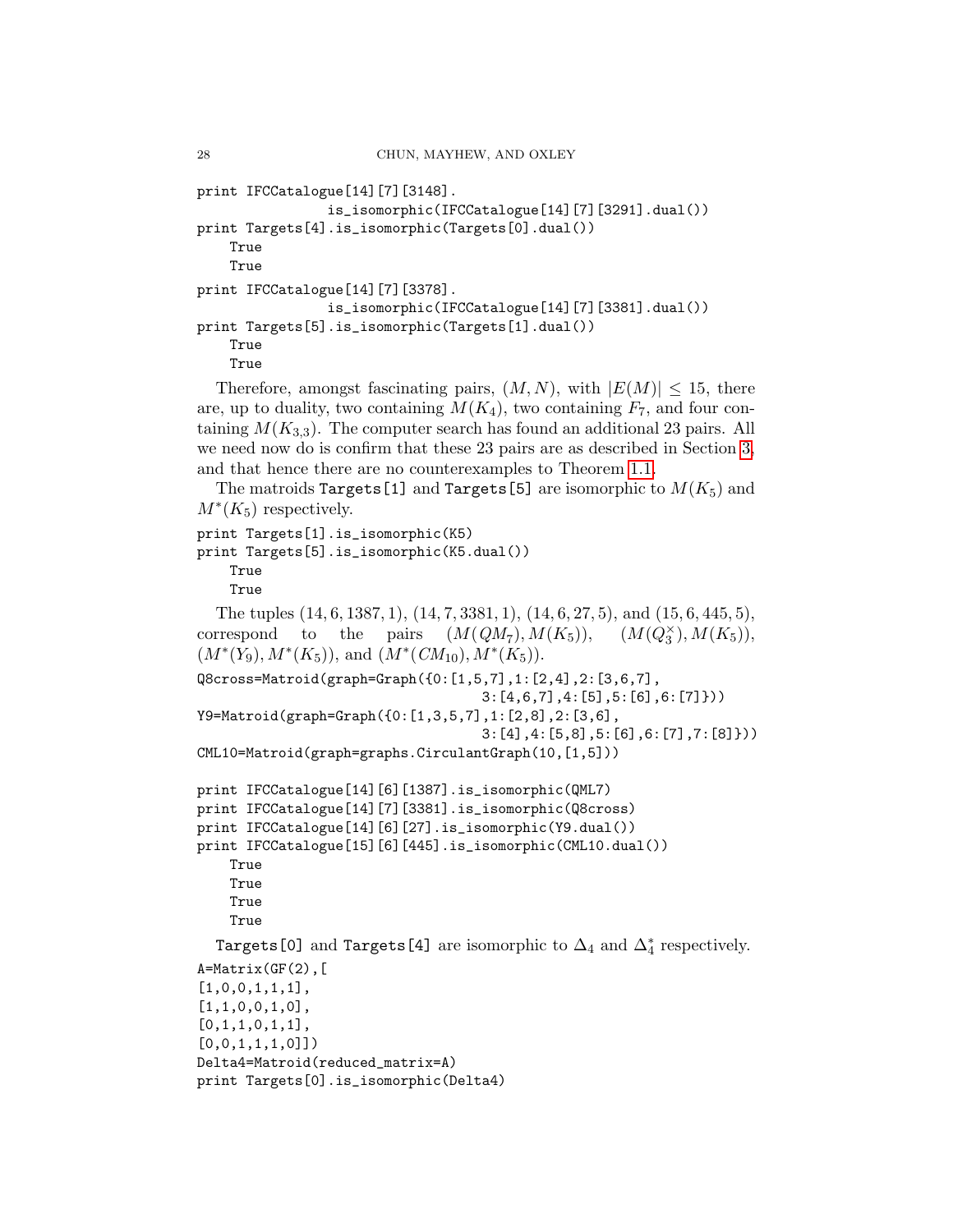```
print IFCCatalogue[14][7][3148].
                is_isomorphic(IFCCatalogue[14][7][3291].dual())
print Targets[4].is_isomorphic(Targets[0].dual())
    True
    True
print IFCCatalogue[14][7][3378].
                is_isomorphic(IFCCatalogue[14][7][3381].dual())
print Targets[5].is_isomorphic(Targets[1].dual())
    True
    True
```
Therefore, amongst fascinating pairs,  $(M, N)$ , with  $|E(M)| \leq 15$ , there are, up to duality, two containing  $M(K_4)$ , two containing  $F_7$ , and four containing  $M(K_{3,3})$ . The computer search has found an additional 23 pairs. All we need now do is confirm that these 23 pairs are as described in Section [3,](#page-5-0) and that hence there are no counterexamples to Theorem [1.1.](#page-2-0)

The matroids Targets [1] and Targets [5] are isomorphic to  $M(K_5)$  and  $M^*(K_5)$  respectively.

```
print Targets[1].is_isomorphic(K5)
print Targets[5].is_isomorphic(K5.dual())
    True
    True
```

```
The tuples (14, 6, 1387, 1), (14, 7, 3381, 1), (14, 6, 27, 5), and (15, 6, 445, 5),
correspond to the pairs (M(QM_7), M(K_5)), (M(Q_3^{\times}), M(K_5)),(M^*(Y_9), M^*(K_5)), and (M^*(CM_{10}), M^*(K_5)).Q8cross=Matroid(graph=Graph({0:[1,5,7],1:[2,4],2:[3,6,7],
                                     3:[4,6,7],4:[5],5:[6],6:[7]}))
Y9=Matroid(graph=Graph({0:[1,3,5,7],1:[2,8],2:[3,6],
                                     3:[4],4:[5,8],5:[6],6:[7],7:[8]}))
CML10=Matroid(graph=graphs.CirculantGraph(10,[1,5]))
print IFCCatalogue[14][6][1387].is_isomorphic(QML7)
print IFCCatalogue[14][7][3381].is_isomorphic(Q8cross)
print IFCCatalogue[14][6][27].is_isomorphic(Y9.dual())
print IFCCatalogue[15][6][445].is_isomorphic(CML10.dual())
    True
    True
    True
    True
  Targets[0] and Targets[4] are isomorphic to \Delta_4 and \Delta_4^* respectively.
A=Matrix(GF(2),[1,0,0,1,1,1],
```

```
[1,1,0,0,1,0],
[0,1,1,0,1,1],
[0,0,1,1,1,0]]Delta4=Matroid(reduced_matrix=A)
print Targets[0].is_isomorphic(Delta4)
```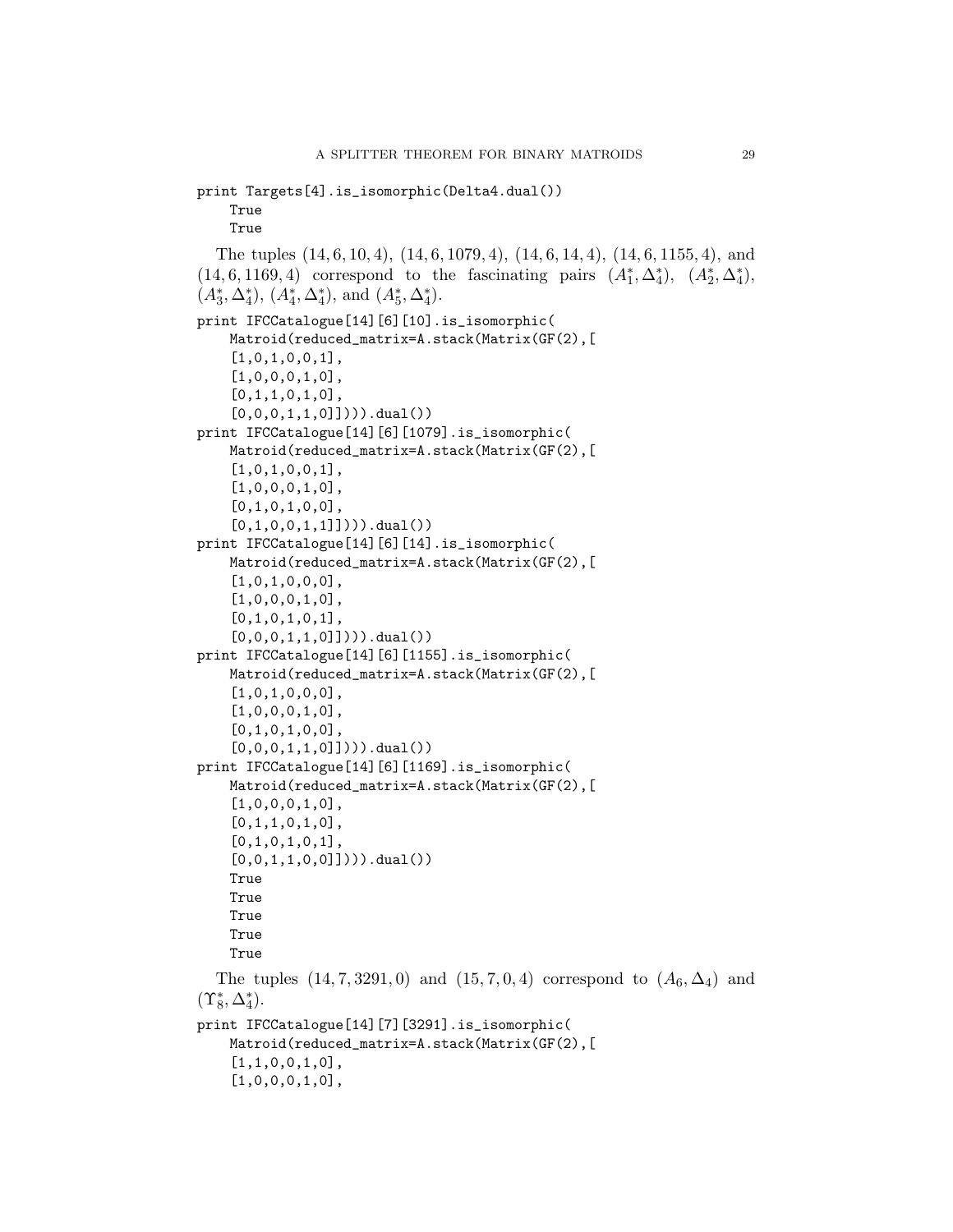```
print Targets[4].is_isomorphic(Delta4.dual())
    True
    True
  The tuples (14, 6, 10, 4), (14, 6, 1079, 4), (14, 6, 14, 4), (14, 6, 1155, 4), and
(14, 6, 1169, 4) correspond to the fascinating pairs (A_1^*, \Delta_4^*), (A_2^*, \Delta_4^*),(A_3^*, \Delta_4^*), (A_4^*, \Delta_4^*), \text{ and } (A_5^*, \Delta_4^*).print IFCCatalogue[14][6][10].is_isomorphic(
    Matroid(reduced_matrix=A.stack(Matrix(GF(2),[
    [1,0,1,0,0,1],
    [1,0,0,0,1,0],
    [0,1,1,0,1,0],
    [0,0,0,1,1,0]]))).dual())
print IFCCatalogue[14][6][1079].is_isomorphic(
    Matroid(reduced_matrix=A.stack(Matrix(GF(2),[
    [1,0,1,0,0,1],
    [1,0,0,0,1,0],
    [0,1,0,1,0,0],
    [0,1,0,0,1,1]]))).dual())
print IFCCatalogue[14][6][14].is_isomorphic(
    Matroid(reduced_matrix=A.stack(Matrix(GF(2),[
    [1,0,1,0,0,0],
    [1,0,0,0,1,0],
    [0,1,0,1,0,1],
    [0,0,0,1,1,0]]))).dual())
print IFCCatalogue[14][6][1155].is_isomorphic(
    Matroid(reduced_matrix=A.stack(Matrix(GF(2),[
    [1,0,1,0,0,0],
    [1,0,0,0,1,0],
    [0,1,0,1,0,0],
    [0,0,0,1,1,0]])).dual())
print IFCCatalogue[14][6][1169].is_isomorphic(
    Matroid(reduced_matrix=A.stack(Matrix(GF(2),[
    [1,0,0,0,1,0],
    [0,1,1,0,1,0],
    [0,1,0,1,0,1],
    [0,0,1,1,0,0]]))).dual())
    True
    True
    True
    True
    True
  The tuples (14, 7, 3291, 0) and (15, 7, 0, 4) correspond to (A_6, \Delta_4) and
(\Upsilon_8^*, \Delta_4^*).print IFCCatalogue[14][7][3291].is_isomorphic(
    Matroid(reduced_matrix=A.stack(Matrix(GF(2),[
    [1,1,0,0,1,0],
    [1,0,0,0,1,0],
```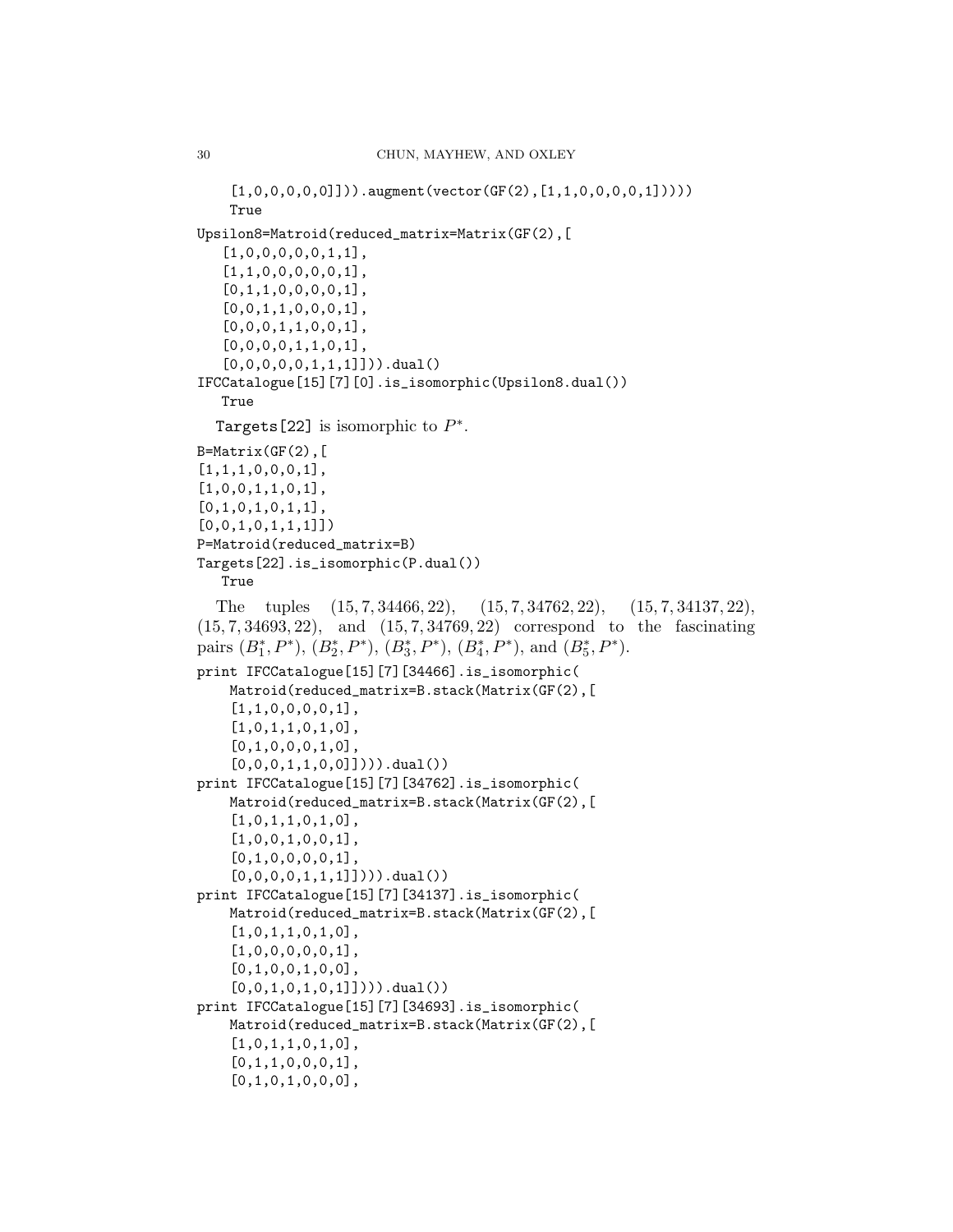```
[1,0,0,0,0,0]]).augment(vector(GF(2),[1,1,0,0,0,0,1]))))
    True
Upsilon8=Matroid(reduced_matrix=Matrix(GF(2),[
   [1,0,0,0,0,0,1,1],
   [1,1,0,0,0,0,0,1],
   [0,1,1,0,0,0,0,1],
   [0,0,1,1,0,0,0,1],
   [0,0,0,1,1,0,0,1],
   [0,0,0,0,1,1,0,1],
   [0,0,0,0,0,1,1,1]])).dual()
IFCCatalogue[15][7][0].is_isomorphic(Upsilon8.dual())
   True
  Targets [22] is isomorphic to P^*.
B=Matrix(GF(2),[1,1,1,0,0,0,1],
[1,0,0,1,1,0,1],
[0,1,0,1,0,1,1],
[0,0,1,0,1,1,1]]
P=Matroid(reduced_matrix=B)
Targets[22].is_isomorphic(P.dual())
   True
  The tuples (15, 7, 34466, 22), (15, 7, 34762, 22), (15, 7, 34137, 22),(15, 7, 34693, 22), and (15, 7, 34769, 22) correspond to the fascinating
pairs (B_1^*, P^*), (B_2^*, P^*), (B_3^*, P^*), (B_4^*, P^*), and (B_5^*, P^*).print IFCCatalogue[15][7][34466].is_isomorphic(
    Matroid(reduced_matrix=B.stack(Matrix(GF(2),[
    [1,1,0,0,0,0,1],
    [1,0,1,1,0,1,0],
    [0,1,0,0,0,1,0],
    [0,0,0,1,1,0,0]]))).dual())
print IFCCatalogue[15][7][34762].is_isomorphic(
    Matroid(reduced_matrix=B.stack(Matrix(GF(2),[
    [1,0,1,1,0,1,0],
    [1,0,0,1,0,0,1],
    [0,1,0,0,0,0,1],
    [0,0,0,0,1,1,1]]))).dual())
print IFCCatalogue[15][7][34137].is_isomorphic(
    Matroid(reduced_matrix=B.stack(Matrix(GF(2),[
    [1,0,1,1,0,1,0],
    [1,0,0,0,0,0,1],
    [0,1,0,0,1,0,0],
    [0,0,1,0,1,0,1]]))).dual())
print IFCCatalogue[15][7][34693].is_isomorphic(
    Matroid(reduced_matrix=B.stack(Matrix(GF(2),[
    [1,0,1,1,0,1,0],
    [0,1,1,0,0,0,1],
    [0,1,0,1,0,0,0],
```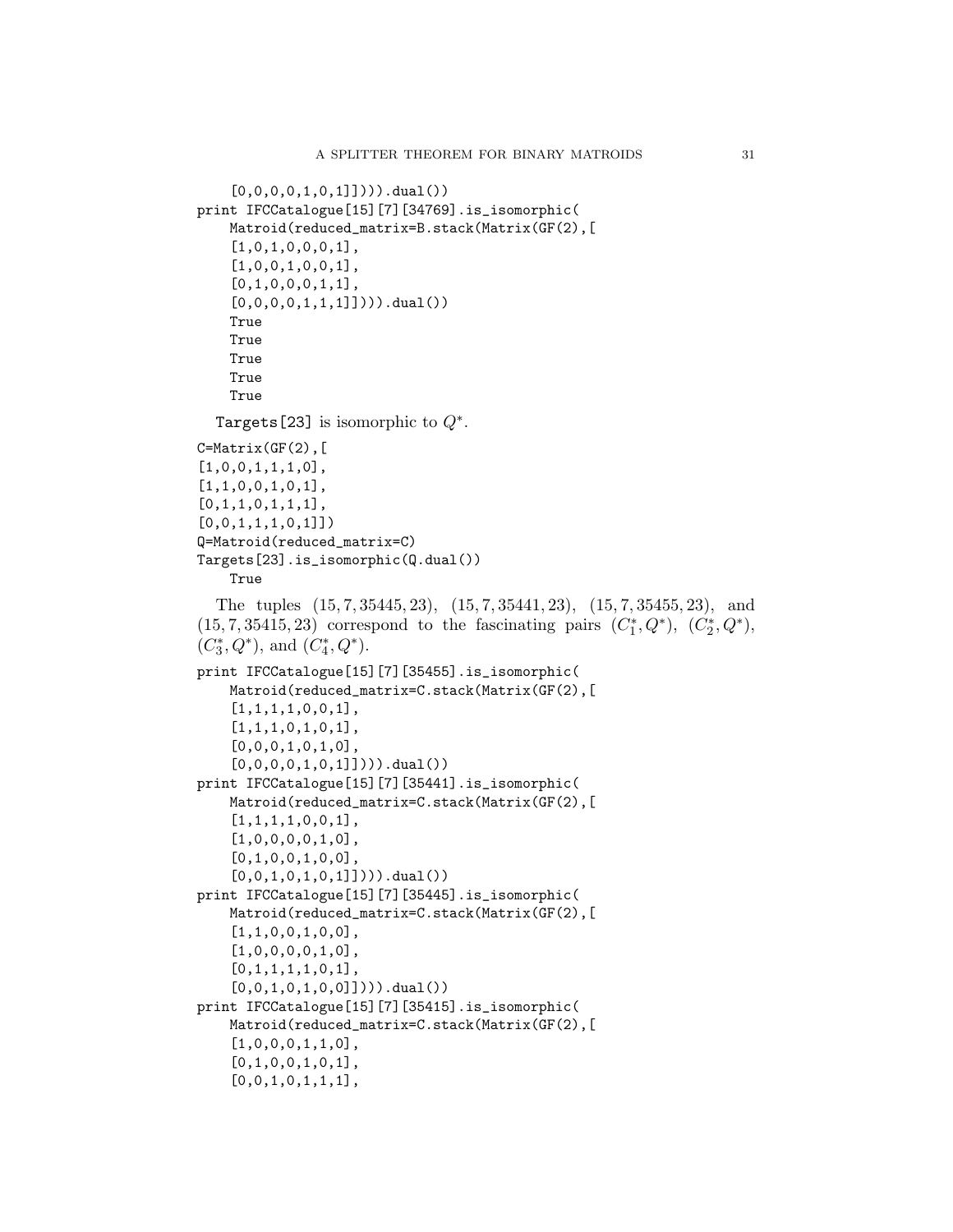```
[0,0,0,0,1,0,1]]))).dual())
print IFCCatalogue[15][7][34769].is_isomorphic(
    Matroid(reduced_matrix=B.stack(Matrix(GF(2),[
    [1,0,1,0,0,0,1],
    [1,0,0,1,0,0,1],
    [0,1,0,0,0,1,1],
    [0,0,0,0,1,1,1]]))).dual())
    True
    True
    True
    True
    True
  Targets [23] is isomorphic to Q^*.
C=Matrix(GF(2),[
[1,0,0,1,1,1,0],
[1,1,0,0,1,0,1],
[0,1,1,0,1,1,1],
[0,0,1,1,1,0,1]]Q=Matroid(reduced_matrix=C)
Targets[23].is_isomorphic(Q.dual())
    True
  The tuples (15, 7, 35445, 23), (15, 7, 35441, 23), (15, 7, 35455, 23), and
(15, 7, 35415, 23) correspond to the fascinating pairs (C_1^*, Q^*), (C_2^*, Q^*),(C_3^{\ast},Q^{\ast}), and (C_4^{\ast},Q^{\ast}).print IFCCatalogue[15][7][35455].is_isomorphic(
    Matroid(reduced_matrix=C.stack(Matrix(GF(2),[
    [1,1,1,1,0,0,1],
    [1,1,1,0,1,0,1],
    [0,0,0,1,0,1,0],
    [0,0,0,0,1,0,1]]))).dual())
print IFCCatalogue[15][7][35441].is_isomorphic(
    Matroid(reduced_matrix=C.stack(Matrix(GF(2),[
    [1,1,1,1,0,0,1],
    [1,0,0,0,0,1,0],
    [0,1,0,0,1,0,0],
    [0,0,1,0,1,0,1]]))).dual())
print IFCCatalogue[15][7][35445].is_isomorphic(
    Matroid(reduced_matrix=C.stack(Matrix(GF(2),[
    [1,1,0,0,1,0,0],
    [1,0,0,0,0,1,0],
    [0,1,1,1,1,0,1],
    [0,0,1,0,1,0,0]])).dual())
print IFCCatalogue[15][7][35415].is_isomorphic(
    Matroid(reduced_matrix=C.stack(Matrix(GF(2),[
    [1,0,0,0,1,1,0],
    [0,1,0,0,1,0,1],
    [0,0,1,0,1,1,1],
```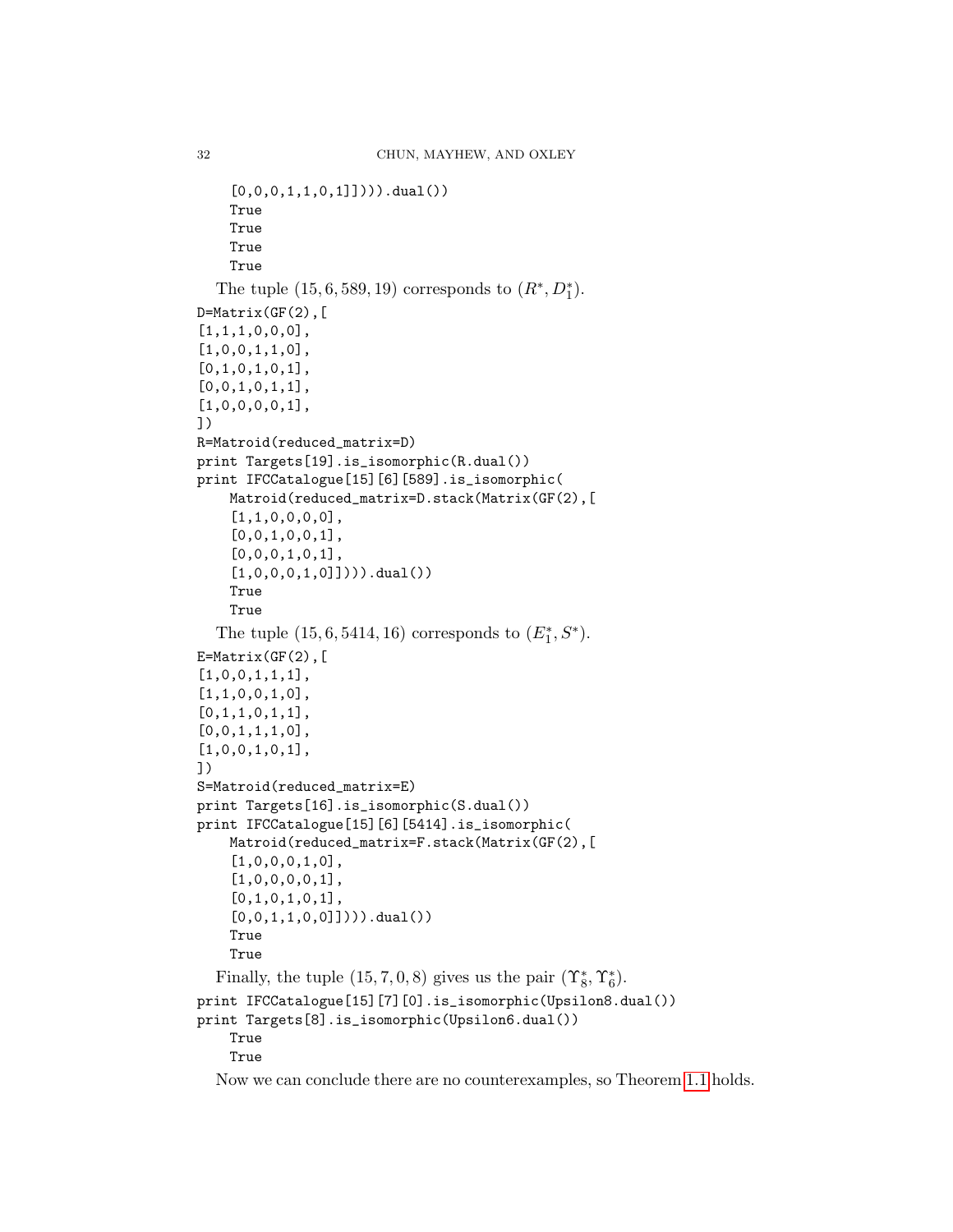```
[0,0,0,1,1,0,1]]))).dual())
    True
    True
    True
    True
  The tuple (15, 6, 589, 19) corresponds to (R^*, D_1^*).D=Matrix(GF(2),[1,1,1,0,0,0],
[1,0,0,1,1,0],
[0,1,0,1,0,1],
[0,0,1,0,1,1],
[1,0,0,0,0,1],
])
R=Matroid(reduced_matrix=D)
print Targets[19].is_isomorphic(R.dual())
print IFCCatalogue[15][6][589].is_isomorphic(
    Matroid(reduced_matrix=D.stack(Matrix(GF(2),[
    [1,1,0,0,0,0],
    [0,0,1,0,0,1],
    [0,0,0,1,0,1],
    [1,0,0,0,1,0]]))).dual())
    True
    True
  The tuple (15, 6, 5414, 16) corresponds to (E_1^*, S^*).
E=Matrix(GF(2),[1,0,0,1,1,1],
[1,1,0,0,1,0],
[0,1,1,0,1,1],
[0,0,1,1,1,0],
[1,0,0,1,0,1],
])
S=Matroid(reduced_matrix=E)
print Targets[16].is_isomorphic(S.dual())
print IFCCatalogue[15][6][5414].is_isomorphic(
    Matroid(reduced_matrix=F.stack(Matrix(GF(2),[
    [1,0,0,0,1,0],
    [1,0,0,0,0,1],
    [0,1,0,1,0,1],
    [0,0,1,1,0,0]]))).dual())
    True
    True
  Finally, the tuple (15, 7, 0, 8) gives us the pair (\Upsilon_8^*, \Upsilon_6^*).
print IFCCatalogue[15][7][0].is_isomorphic(Upsilon8.dual())
print Targets[8].is_isomorphic(Upsilon6.dual())
    True
    True
  Now we can conclude there are no counterexamples, so Theorem 1.1 holds.
```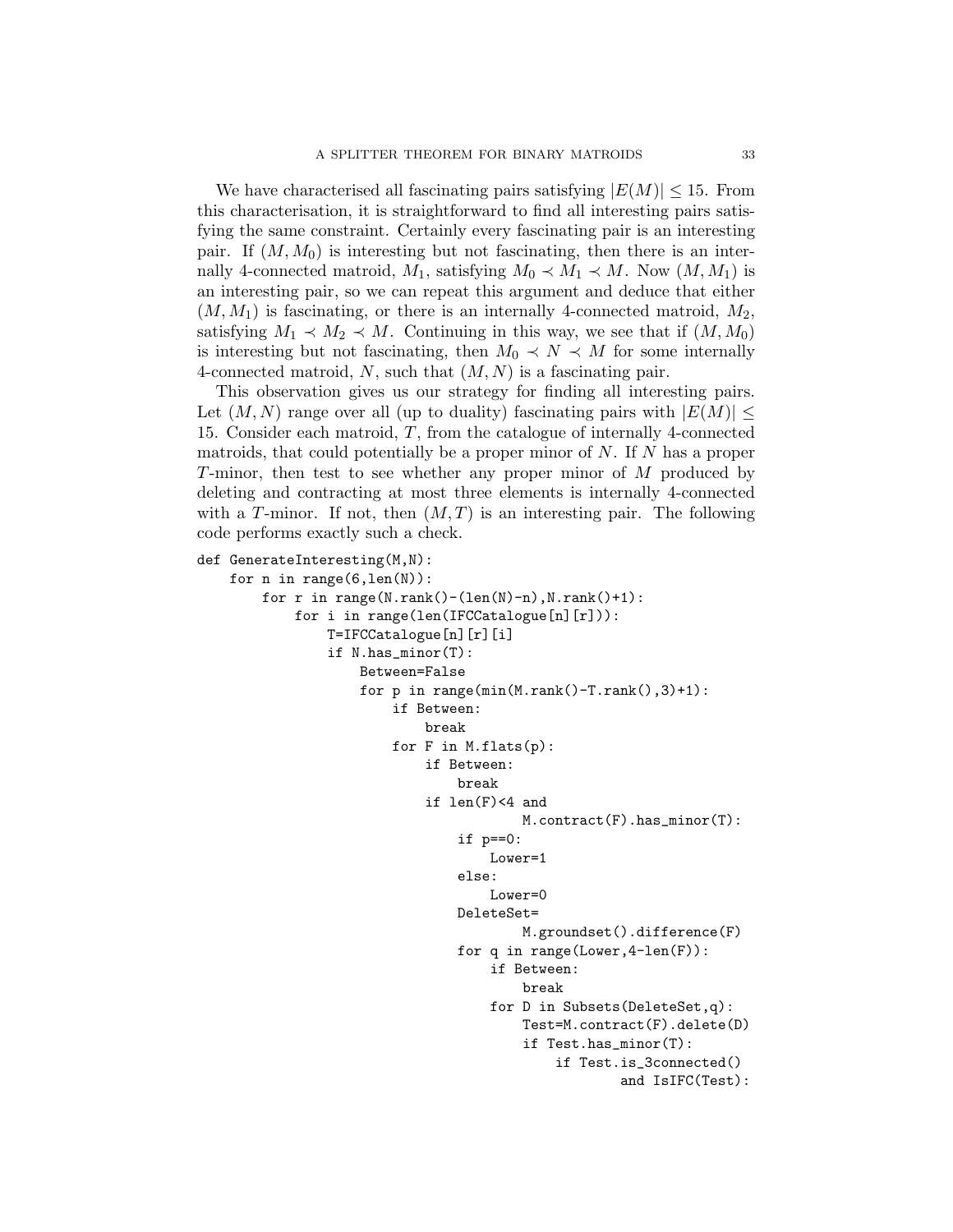We have characterised all fascinating pairs satisfying  $|E(M)| \leq 15$ . From this characterisation, it is straightforward to find all interesting pairs satisfying the same constraint. Certainly every fascinating pair is an interesting pair. If  $(M, M_0)$  is interesting but not fascinating, then there is an internally 4-connected matroid,  $M_1$ , satisfying  $M_0 \prec M_1 \prec M$ . Now  $(M, M_1)$  is an interesting pair, so we can repeat this argument and deduce that either  $(M, M_1)$  is fascinating, or there is an internally 4-connected matroid,  $M_2$ , satisfying  $M_1 \prec M_2 \prec M$ . Continuing in this way, we see that if  $(M, M_0)$ is interesting but not fascinating, then  $M_0 \prec N \prec M$  for some internally 4-connected matroid, N, such that  $(M, N)$  is a fascinating pair.

This observation gives us our strategy for finding all interesting pairs. Let  $(M, N)$  range over all (up to duality) fascinating pairs with  $|E(M)| \leq$ 15. Consider each matroid, T, from the catalogue of internally 4-connected matroids, that could potentially be a proper minor of  $N$ . If  $N$  has a proper T-minor, then test to see whether any proper minor of M produced by deleting and contracting at most three elements is internally 4-connected with a T-minor. If not, then  $(M, T)$  is an interesting pair. The following code performs exactly such a check.

```
def GenerateInteresting(M,N):
```

```
for n in range(6, len(N)):
    for r in range(N.\text{rank}()-(len(N)-n), N.\text{rank}() + 1):
        for i in range(len(IFCCatalogue[n][r])):
            T=IFCCatalogue[n][r][i]
            if N.has_minor(T):
                 Between=False
                 for p in range(min(M.rank()-T.rank(),3)+1):
                     if Between:
                         break
                     for F in M.flats(p):
                         if Between:
                              break
                         if len(F)<4 and
                                      M.contract(F).has_minor(T):
                              if p==0:
                                  Lower=1
                              else:
                                  Lower=0
                              DeleteSet=
                                      M.groundset().difference(F)
                              for q in range(Lower,4-len(F)):
                                  if Between:
                                      break
                                  for D in Subsets(DeleteSet,q):
                                      Test=M.contract(F).delete(D)
                                      if Test.has_minor(T):
                                           if Test.is_3connected()
                                                   and IsIFC(Test):
```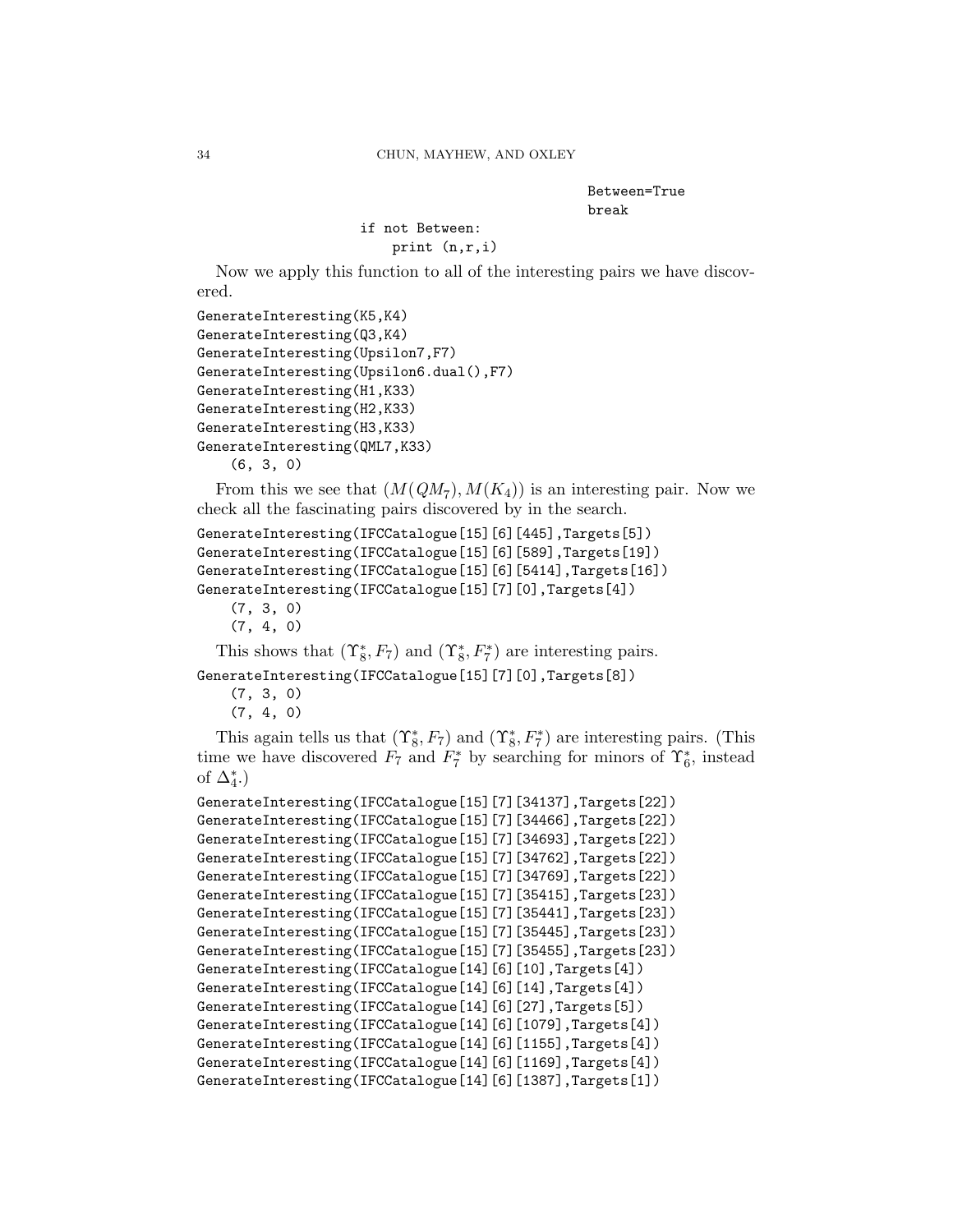Between=True break

```
if not Between:
   print (n,r,i)
```
Now we apply this function to all of the interesting pairs we have discovered.

```
GenerateInteresting(K5,K4)
GenerateInteresting(Q3,K4)
GenerateInteresting(Upsilon7,F7)
GenerateInteresting(Upsilon6.dual(),F7)
GenerateInteresting(H1,K33)
GenerateInteresting(H2,K33)
GenerateInteresting(H3,K33)
GenerateInteresting(QML7,K33)
    (6, 3, 0)
```
From this we see that  $(M(QM_7), M(K_4))$  is an interesting pair. Now we check all the fascinating pairs discovered by in the search.

```
GenerateInteresting(IFCCatalogue[15][6][445],Targets[5])
GenerateInteresting(IFCCatalogue[15][6][589],Targets[19])
GenerateInteresting(IFCCatalogue[15][6][5414],Targets[16])
GenerateInteresting(IFCCatalogue[15][7][0],Targets[4])
```

```
(7, 3, 0)
```

```
(7, 4, 0)
```
This shows that  $(\Upsilon_8^*, F_7)$  and  $(\Upsilon_8^*, F_7^*)$  are interesting pairs.

GenerateInteresting(IFCCatalogue[15][7][0],Targets[8])

```
(7, 3, 0)
(7, 4, 0)
```
This again tells us that  $(\Upsilon_8^*, F_7)$  and  $(\Upsilon_8^*, F_7^*)$  are interesting pairs. (This time we have discovered  $F_7$  and  $F_7^*$  by searching for minors of  $\Upsilon_6^*$ , instead of  $\Delta_4^*$ .)

```
GenerateInteresting(IFCCatalogue[15][7][34137],Targets[22])
GenerateInteresting(IFCCatalogue[15][7][34466],Targets[22])
GenerateInteresting(IFCCatalogue[15][7][34693],Targets[22])
GenerateInteresting(IFCCatalogue[15][7][34762],Targets[22])
GenerateInteresting(IFCCatalogue[15][7][34769],Targets[22])
GenerateInteresting(IFCCatalogue[15][7][35415],Targets[23])
GenerateInteresting(IFCCatalogue[15][7][35441],Targets[23])
GenerateInteresting(IFCCatalogue[15][7][35445],Targets[23])
GenerateInteresting(IFCCatalogue[15][7][35455],Targets[23])
GenerateInteresting(IFCCatalogue[14][6][10],Targets[4])
GenerateInteresting(IFCCatalogue[14][6][14],Targets[4])
GenerateInteresting(IFCCatalogue[14][6][27],Targets[5])
GenerateInteresting(IFCCatalogue[14][6][1079],Targets[4])
GenerateInteresting(IFCCatalogue[14][6][1155],Targets[4])
GenerateInteresting(IFCCatalogue[14][6][1169],Targets[4])
GenerateInteresting(IFCCatalogue[14][6][1387],Targets[1])
```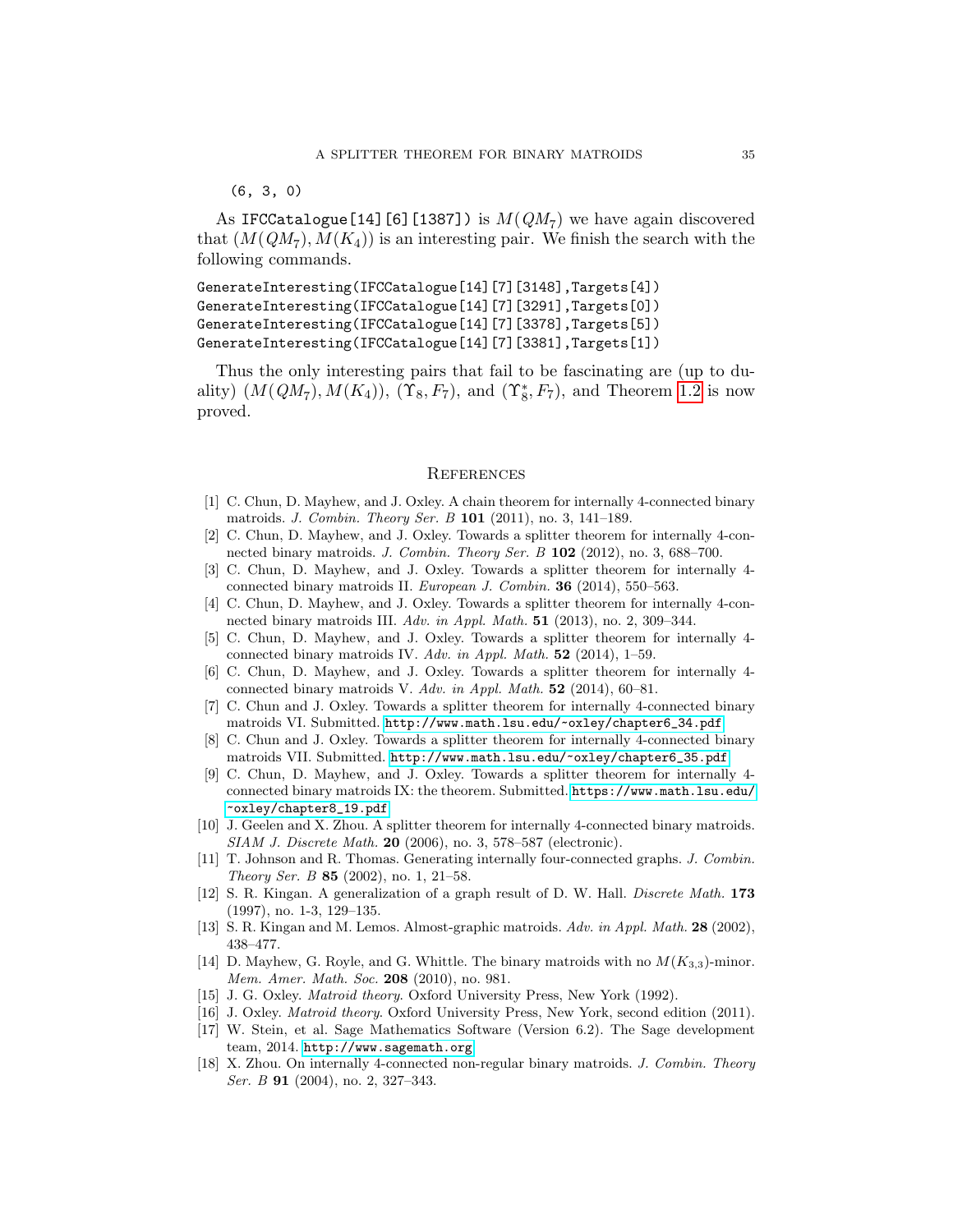#### (6, 3, 0)

As IFCCatalogue[14][6][1387]) is  $M(QM_7)$  we have again discovered that  $(M(QM_7), M(K_4))$  is an interesting pair. We finish the search with the following commands.

```
GenerateInteresting(IFCCatalogue[14][7][3148],Targets[4])
GenerateInteresting(IFCCatalogue[14][7][3291],Targets[0])
GenerateInteresting(IFCCatalogue[14][7][3378],Targets[5])
GenerateInteresting(IFCCatalogue[14][7][3381],Targets[1])
```
Thus the only interesting pairs that fail to be fascinating are (up to duality)  $(M(QM_7), M(K_4))$ ,  $(\Upsilon_8, F_7)$ , and  $(\Upsilon_8^*, F_7)$ , and Theorem [1.2](#page-2-1) is now proved.

#### **REFERENCES**

- <span id="page-34-13"></span>[1] C. Chun, D. Mayhew, and J. Oxley. A chain theorem for internally 4-connected binary matroids. J. Combin. Theory Ser. B 101 (2011), no. 3, 141–189.
- <span id="page-34-0"></span>[2] C. Chun, D. Mayhew, and J. Oxley. Towards a splitter theorem for internally 4-connected binary matroids. J. Combin. Theory Ser. B 102 (2012), no. 3, 688–700.
- <span id="page-34-1"></span>[3] C. Chun, D. Mayhew, and J. Oxley. Towards a splitter theorem for internally 4 connected binary matroids II. European J. Combin. 36 (2014), 550–563.
- <span id="page-34-2"></span>[4] C. Chun, D. Mayhew, and J. Oxley. Towards a splitter theorem for internally 4-connected binary matroids III. Adv. in Appl. Math. 51 (2013), no. 2, 309–344.
- <span id="page-34-3"></span>[5] C. Chun, D. Mayhew, and J. Oxley. Towards a splitter theorem for internally 4 connected binary matroids IV. Adv. in Appl. Math. 52 (2014), 1–59.
- <span id="page-34-4"></span>[6] C. Chun, D. Mayhew, and J. Oxley. Towards a splitter theorem for internally 4 connected binary matroids V. Adv. in Appl. Math. 52 (2014), 60–81.
- <span id="page-34-5"></span>[7] C. Chun and J. Oxley. Towards a splitter theorem for internally 4-connected binary matroids VI. Submitted. [http://www.math.lsu.edu/~oxley/chapter6\\_34.pdf](http://www.math.lsu.edu/~oxley/chapter6_34.pdf).
- <span id="page-34-6"></span>[8] C. Chun and J. Oxley. Towards a splitter theorem for internally 4-connected binary matroids VII. Submitted. [http://www.math.lsu.edu/~oxley/chapter6\\_35.pdf](http://www.math.lsu.edu/~oxley/chapter6_35.pdf).
- <span id="page-34-7"></span>[9] C. Chun, D. Mayhew, and J. Oxley. Towards a splitter theorem for internally 4 connected binary matroids IX: the theorem. Submitted. [https://www.math.lsu.edu/](https://www.math.lsu.edu/~oxley/chapter8_19.pdf) [~oxley/chapter8\\_19.pdf](https://www.math.lsu.edu/~oxley/chapter8_19.pdf).
- <span id="page-34-14"></span>[10] J. Geelen and X. Zhou. A splitter theorem for internally 4-connected binary matroids. SIAM J. Discrete Math. 20 (2006), no. 3, 578–587 (electronic).
- <span id="page-34-8"></span>[11] T. Johnson and R. Thomas. Generating internally four-connected graphs. J. Combin. Theory Ser. B 85 (2002), no. 1, 21–58.
- <span id="page-34-11"></span>[12] S. R. Kingan. A generalization of a graph result of D. W. Hall. Discrete Math. 173 (1997), no. 1-3, 129–135.
- <span id="page-34-9"></span>[13] S. R. Kingan and M. Lemos. Almost-graphic matroids. Adv. in Appl. Math. 28 (2002), 438–477.
- <span id="page-34-10"></span>[14] D. Mayhew, G. Royle, and G. Whittle. The binary matroids with no  $M(K_{3,3})$ -minor. Mem. Amer. Math. Soc. 208 (2010), no. 981.
- <span id="page-34-15"></span>[15] J. G. Oxley. *Matroid theory*. Oxford University Press, New York (1992).
- <span id="page-34-16"></span>[16] J. Oxley. Matroid theory. Oxford University Press, New York, second edition (2011).
- <span id="page-34-12"></span>[17] W. Stein, et al. Sage Mathematics Software (Version 6.2). The Sage development team, 2014. <http://www.sagemath.org>.
- <span id="page-34-17"></span>[18] X. Zhou. On internally 4-connected non-regular binary matroids. J. Combin. Theory Ser. B **91** (2004), no. 2, 327-343.